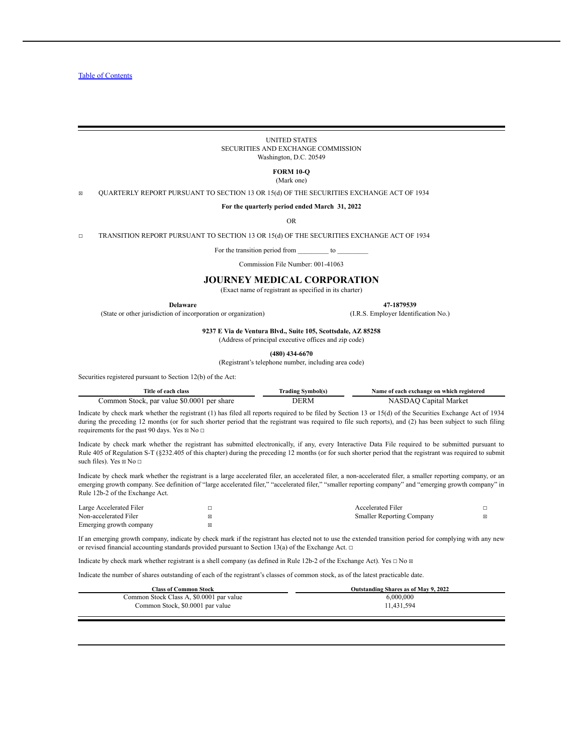#### UNITED STATES SECURITIES AND EXCHANGE COMMISSION Washington, D.C. 20549

**FORM 10-Q**

(Mark one)

☒ QUARTERLY REPORT PURSUANT TO SECTION 13 OR 15(d) OF THE SECURITIES EXCHANGE ACT OF 1934

**For the quarterly period ended March 31, 2022**

OR

☐ TRANSITION REPORT PURSUANT TO SECTION 13 OR 15(d) OF THE SECURITIES EXCHANGE ACT OF 1934

For the transition period from to  $\sim$ 

Commission File Number: 001-41063

# **JOURNEY MEDICAL CORPORATION**

(Exact name of registrant as specified in its charter)

(State or other jurisdiction of incorporation or organization)

**Delaware 47-1879539**<br> **47-1879539**<br> **47-1879539**<br> **47-1879539**<br> **47-1879539**<br> **47-1879539**<br> **47-1879539** 

**9237 E Via de Ventura Blvd., Suite 105, Scottsdale, AZ 85258**

(Address of principal executive offices and zip code)

**(480) 434-6670**

(Registrant's telephone number, including area code)

Securities registered pursuant to Section 12(b) of the Act:

| Title of each class                        | Trading Svmbol(s) | Name of each exchange on which registered |  |  |  |  |  |
|--------------------------------------------|-------------------|-------------------------------------------|--|--|--|--|--|
| Common Stock, par value \$0.0001 per share | <b>DER M</b>      | NASDAO Capital Market                     |  |  |  |  |  |

Indicate by check mark whether the registrant (1) has filed all reports required to be filed by Section 13 or 15(d) of the Securities Exchange Act of 1934 during the preceding 12 months (or for such shorter period that the registrant was required to file such reports), and (2) has been subject to such filing requirements for the past 90 days. Yes  $\boxtimes$  No  $\Box$ 

Indicate by check mark whether the registrant has submitted electronically, if any, every Interactive Data File required to be submitted pursuant to Rule 405 of Regulation S-T (§232.405 of this chapter) during the preceding 12 months (or for such shorter period that the registrant was required to submit such files). Yes  $\boxtimes$  No  $\Box$ 

Indicate by check mark whether the registrant is a large accelerated filer, an accelerated filer, a non-accelerated filer, a smaller reporting company, or an emerging growth company. See definition of "large accelerated filer," "accelerated filer," "smaller reporting company" and "emerging growth company" in Rule 12b-2 of the Exchange Act.

| Large Accelerated Filer | Accelerated Filer                |  |
|-------------------------|----------------------------------|--|
| Non-accelerated Filer   | <b>Smaller Reporting Company</b> |  |
| Emerging growth company |                                  |  |

If an emerging growth company, indicate by check mark if the registrant has elected not to use the extended transition period for complying with any new or revised financial accounting standards provided pursuant to Section 13(a) of the Exchange Act. □

Indicate by check mark whether registrant is a shell company (as defined in Rule 12b-2 of the Exchange Act). Yes □ No ⊠

Indicate the number of shares outstanding of each of the registrant's classes of common stock, as of the latest practicable date.

| <b>Class of Common Stock</b>             | Outstanding Shares as of May 9, 2022 |
|------------------------------------------|--------------------------------------|
| Common Stock Class A, \$0,0001 par value | 6.000.000                            |
| Common Stock, \$0,0001 par value         | 11.431.594                           |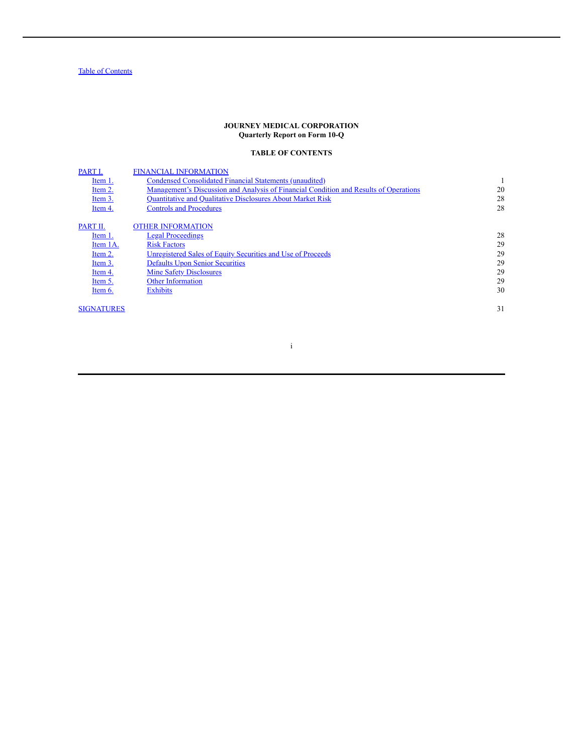# **JOURNEY MEDICAL CORPORATION Quarterly Report on Form 10-Q**

# **TABLE OF CONTENTS**

<span id="page-1-0"></span>

| PART I.    | <b>FINANCIAL INFORMATION</b>                                                                 |    |
|------------|----------------------------------------------------------------------------------------------|----|
| Item 1.    | Condensed Consolidated Financial Statements (unaudited)                                      |    |
| Item 2.    | <u>Management's Discussion and Analysis of Financial Condition and Results of Operations</u> | 20 |
| Item 3.    | <b>Quantitative and Qualitative Disclosures About Market Risk</b>                            | 28 |
| Item 4.    | <b>Controls and Procedures</b>                                                               | 28 |
| PART II.   | <b>OTHER INFORMATION</b>                                                                     |    |
| Item 1.    | <b>Legal Proceedings</b>                                                                     | 28 |
| Item 1A.   | <b>Risk Factors</b>                                                                          | 29 |
| Item 2.    | Unregistered Sales of Equity Securities and Use of Proceeds                                  | 29 |
| Item 3.    | <b>Defaults Upon Senior Securities</b>                                                       | 29 |
| Item 4.    | <b>Mine Safety Disclosures</b>                                                               | 29 |
| Item 5.    | Other Information                                                                            | 29 |
| Item $6.$  | <b>Exhibits</b>                                                                              | 30 |
|            |                                                                                              |    |
| SIGNATURES |                                                                                              | 31 |

i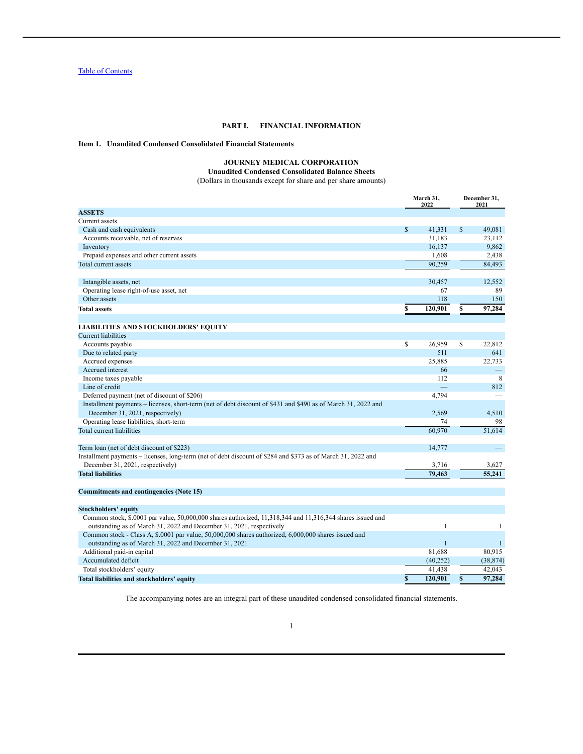# **PART I. FINANCIAL INFORMATION**

# <span id="page-2-1"></span><span id="page-2-0"></span>**Item 1. Unaudited Condensed Consolidated Financial Statements**

# **JOURNEY MEDICAL CORPORATION**

**Unaudited Condensed Consolidated Balance Sheets**

(Dollars in thousands except for share and per share amounts)

|                                                                                                               | March 31.<br>2022 |              | December 31,<br>2021 |
|---------------------------------------------------------------------------------------------------------------|-------------------|--------------|----------------------|
| <b>ASSETS</b>                                                                                                 |                   |              |                      |
| Current assets                                                                                                |                   |              |                      |
| Cash and cash equivalents                                                                                     | $\mathbf S$       | 41,331       | \$<br>49,081         |
| Accounts receivable, net of reserves                                                                          |                   | 31.183       | 23.112               |
| Inventory                                                                                                     |                   | 16,137       | 9,862                |
| Prepaid expenses and other current assets                                                                     |                   | 1,608        | 2,438                |
| Total current assets                                                                                          |                   | 90,259       | 84,493               |
| Intangible assets, net                                                                                        |                   | 30,457       | 12,552               |
| Operating lease right-of-use asset, net                                                                       |                   | 67           | 89                   |
| Other assets                                                                                                  |                   | 118          | 150                  |
| <b>Total assets</b>                                                                                           | S                 | 120,901      | \$<br>97,284         |
|                                                                                                               |                   |              |                      |
| <b>LIABILITIES AND STOCKHOLDERS' EQUITY</b>                                                                   |                   |              |                      |
| Current liabilities                                                                                           |                   |              |                      |
| Accounts payable                                                                                              | \$                | 26,959       | \$<br>22,812         |
| Due to related party                                                                                          |                   | 511          | 641                  |
| Accrued expenses                                                                                              |                   | 25,885       | 22,733               |
| Accrued interest                                                                                              |                   | 66           |                      |
| Income taxes payable                                                                                          |                   | 112          | 8                    |
| Line of credit                                                                                                |                   |              | 812                  |
| Deferred payment (net of discount of \$206)                                                                   |                   | 4,794        |                      |
| Installment payments – licenses, short-term (net of debt discount of \$431 and \$490 as of March 31, 2022 and |                   |              |                      |
| December 31, 2021, respectively)                                                                              |                   | 2,569        | 4,510                |
| Operating lease liabilities, short-term                                                                       |                   | 74           | 98                   |
| Total current liabilities                                                                                     |                   | 60.970       | 51,614               |
| Term loan (net of debt discount of \$223)                                                                     |                   | 14,777       |                      |
| Installment payments – licenses, long-term (net of debt discount of \$284 and \$373 as of March 31, 2022 and  |                   |              |                      |
| December 31, 2021, respectively)                                                                              |                   | 3,716        | 3,627                |
| <b>Total liabilities</b>                                                                                      |                   | 79,463       | 55,241               |
|                                                                                                               |                   |              |                      |
| <b>Commitments and contingencies (Note 15)</b>                                                                |                   |              |                      |
| <b>Stockholders' equity</b>                                                                                   |                   |              |                      |
| Common stock, \$.0001 par value, 50,000,000 shares authorized, 11,318,344 and 11,316,344 shares issued and    |                   |              |                      |
| outstanding as of March 31, 2022 and December 31, 2021, respectively                                          |                   | 1            | 1                    |
| Common stock - Class A, \$.0001 par value, 50,000,000 shares authorized, 6,000,000 shares issued and          |                   |              |                      |
| outstanding as of March 31, 2022 and December 31, 2021                                                        |                   | $\mathbf{1}$ | $\mathbf{1}$         |
| Additional paid-in capital                                                                                    |                   | 81.688       | 80,915               |
| Accumulated deficit                                                                                           |                   | (40, 252)    | (38, 874)            |
| Total stockholders' equity                                                                                    |                   | 41,438       | 42,043               |
|                                                                                                               | \$                | 120,901      | \$<br>97,284         |
| Total liabilities and stockholders' equity                                                                    |                   |              |                      |

The accompanying notes are an integral part of these unaudited condensed consolidated financial statements.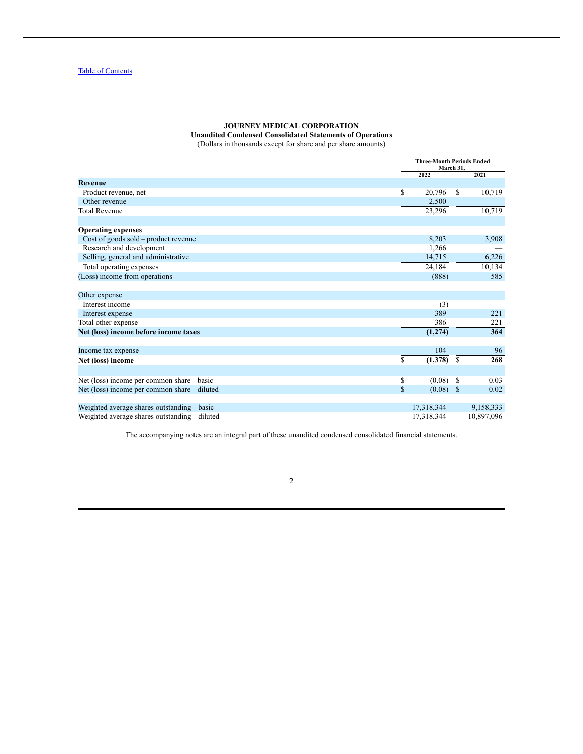# **JOURNEY MEDICAL CORPORATION Unaudited Condensed Consolidated Statements of Operations** (Dollars in thousands except for share and per share amounts)

**Three-Month Periods Ended March 31, 2022 2021 Revenue** Product revenue, net \$ 20,796 \$ 10,719 Other revenue  $2,500$  and  $-$ Total Revenue 23,296 10,719 **Operating expenses** Cost of goods sold – product revenue 8,203 3,908 Research and development 1,266 — Selling, general and administrative 11,266 — Selling, general and administrative 14,715 6,226 Selling, general and administrative Total operating expenses 24,184 10,134 (Loss) income from operations 6885 585 Other expense Interest income (3) — (3) — (3) — (3) — (3) — (3) — (3) — (3) — (3) — (3) — (3) — (3) — (3) — (3) — (3) — (3) — (3) — (3) — (3) — (3) — (3) — (3) — (3) — (3) — (3) — (3) — (3) — (3) — (3) — (3) — (3) — (3) — (3) — (3) — (3 Interest expense 389<br>
State of the expense 389<br>
Total other expense 386 Total other expense 221 **Net (loss) income before income taxes (1,274) 364** Income tax expense 104 96 **Net (loss) income** \$ **(1,378)** \$ **268** Net (loss) income per common share – basic  $$ (0.08) $ 0.03$ Net (loss) income per common share – diluted  $$ (0.08) $ $ 0.02$ Weighted average shares outstanding – basic 17,318,344 9,158,333<br>Weighted average shares outstanding – diluted 17,318,344 10,897,096 Weighted average shares outstanding – diluted 17,318,344 10,897,096

The accompanying notes are an integral part of these unaudited condensed consolidated financial statements.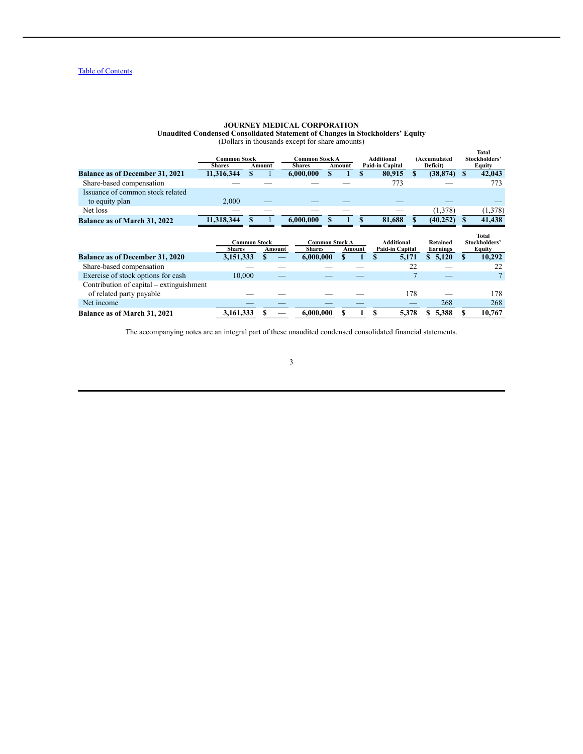#### **JOURNEY MEDICAL CORPORATION Unaudited Condensed Consolidated Statement of Changes in Stockholders' Equity** (Dollars in thousands except for share amounts)

|                                                                      | <b>Common Stock</b><br><b>Shares</b> | Amount                        | <b>Shares</b> | <b>Common Stock A</b>                  | Amount |        | <b>Additional</b><br>Paid-in Capital |       | (Accumulated<br>Deficit)    |   | <b>Total</b><br>Stockholders'<br><b>Equity</b> |
|----------------------------------------------------------------------|--------------------------------------|-------------------------------|---------------|----------------------------------------|--------|--------|--------------------------------------|-------|-----------------------------|---|------------------------------------------------|
| <b>Balance as of December 31, 2021</b>                               | 11,316,344                           |                               | 6,000,000     |                                        |        |        | 80,915                               | \$.   | (38, 874)                   | S | 42,043                                         |
| Share-based compensation                                             |                                      |                               |               |                                        |        |        | 773                                  |       |                             |   | 773                                            |
| Issuance of common stock related                                     |                                      |                               |               |                                        |        |        |                                      |       |                             |   |                                                |
| to equity plan                                                       | 2,000                                |                               |               |                                        |        |        |                                      |       |                             |   |                                                |
| Net loss                                                             |                                      |                               |               |                                        |        |        |                                      |       | (1,378)                     |   | (1,378)                                        |
| Balance as of March 31, 2022                                         | 11,318,344                           |                               | 6.000.000     |                                        |        | S      | 81,688                               |       | (40, 252)                   |   | 41,438                                         |
|                                                                      | <b>Shares</b>                        | <b>Common Stock</b><br>Amount |               | <b>Common Stock A</b><br><b>Shares</b> |        | Amount | <b>Additional</b><br>Paid-in Capital |       | <b>Retained</b><br>Earnings |   | <b>Total</b><br>Stockholders'<br><b>Equity</b> |
| <b>Balance as of December 31, 2020</b>                               | 3,151,333                            | \$                            |               | 6,000,000                              |        |        |                                      | 5,171 | \$5,120                     | S | 10,292                                         |
| Share-based compensation                                             |                                      |                               |               |                                        |        |        |                                      | 22    |                             |   | 22                                             |
| Exercise of stock options for cash                                   | 10,000                               |                               |               |                                        |        |        |                                      |       |                             |   |                                                |
| Contribution of capital – extinguishment<br>of related party payable |                                      |                               |               |                                        |        |        |                                      | 178   |                             |   | 178                                            |
| Net income                                                           |                                      |                               |               |                                        |        |        |                                      |       | 268                         |   | 268                                            |
| Balance as of March 31, 2021                                         | 3.161.333                            |                               |               | 6.000.000                              |        |        |                                      | 5.378 | 5,388                       |   | 10,767                                         |

The accompanying notes are an integral part of these unaudited condensed consolidated financial statements.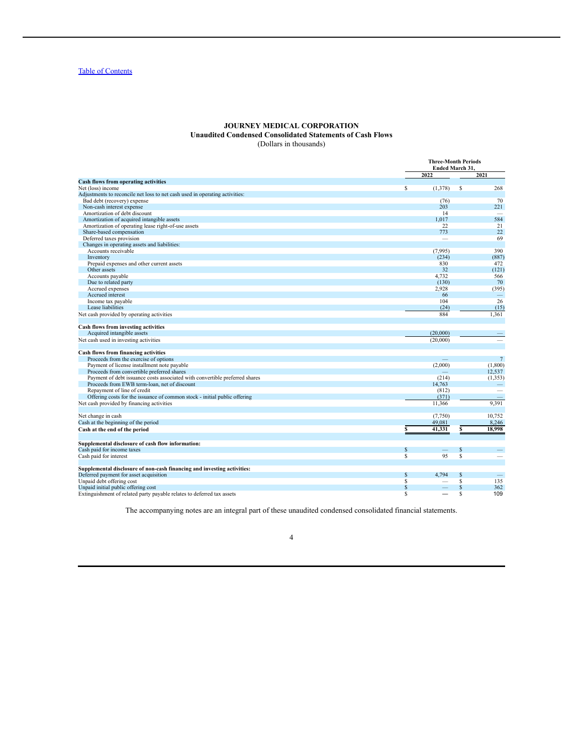# **JOURNEY MEDICAL CORPORATION Unaudited Condensed Consolidated Statements of Cash Flows** (Dollars in thousands)

|                                                                             |                         | <b>Three-Month Periods</b><br><b>Ended March 31.</b> |                                                      |  |  |
|-----------------------------------------------------------------------------|-------------------------|------------------------------------------------------|------------------------------------------------------|--|--|
|                                                                             | 2022                    |                                                      | 2021                                                 |  |  |
| <b>Cash flows from operating activities</b>                                 |                         |                                                      |                                                      |  |  |
| Net (loss) income                                                           | S<br>(1,378)            | s                                                    | 268                                                  |  |  |
| Adjustments to reconcile net loss to net cash used in operating activities: |                         |                                                      |                                                      |  |  |
| Bad debt (recovery) expense                                                 |                         | (76)                                                 | 70                                                   |  |  |
| Non-cash interest expense                                                   |                         | 203                                                  | 221                                                  |  |  |
| Amortization of debt discount                                               |                         | 14                                                   | $\overline{\phantom{a}}$                             |  |  |
| Amortization of acquired intangible assets                                  |                         | 1.017                                                | 584                                                  |  |  |
| Amortization of operating lease right-of-use assets                         |                         | 22                                                   | 21                                                   |  |  |
| Share-based compensation                                                    |                         | 773                                                  | 22                                                   |  |  |
| Deferred taxes provision                                                    |                         |                                                      | 69                                                   |  |  |
| Changes in operating assets and liabilities:                                |                         |                                                      |                                                      |  |  |
| Accounts receivable                                                         | (7,995)                 |                                                      | 390                                                  |  |  |
| Inventory                                                                   |                         | (234)                                                | (887)                                                |  |  |
| Prepaid expenses and other current assets                                   |                         | 830                                                  | 472                                                  |  |  |
| Other assets                                                                |                         | 32                                                   | (121)                                                |  |  |
| Accounts payable                                                            | 4,732                   |                                                      | 566                                                  |  |  |
| Due to related party                                                        |                         | (130)                                                | 70                                                   |  |  |
| Accrued expenses                                                            | 2,928                   |                                                      | (395)                                                |  |  |
| Accrued interest                                                            |                         | 66                                                   |                                                      |  |  |
| Income tax payable                                                          |                         | 104                                                  | 26                                                   |  |  |
| Lease liabilities                                                           |                         | (24)                                                 | (15)                                                 |  |  |
| Net cash provided by operating activities                                   |                         | 884                                                  | 1.361                                                |  |  |
|                                                                             |                         |                                                      |                                                      |  |  |
|                                                                             |                         |                                                      |                                                      |  |  |
| Cash flows from investing activities                                        |                         |                                                      |                                                      |  |  |
| Acquired intangible assets                                                  | (20,000)                |                                                      |                                                      |  |  |
| Net cash used in investing activities                                       | (20.000)                |                                                      |                                                      |  |  |
| Cash flows from financing activities                                        |                         |                                                      |                                                      |  |  |
| Proceeds from the exercise of options                                       |                         |                                                      | $7\phantom{.0}$                                      |  |  |
| Payment of license installment note payable                                 | (2,000)                 |                                                      | (1,800)                                              |  |  |
| Proceeds from convertible preferred shares                                  |                         |                                                      | 12,537                                               |  |  |
| Payment of debt issuance costs associated with convertible preferred shares |                         | (214)                                                | (1, 353)                                             |  |  |
| Proceeds from EWB term-loan, net of discount                                | 14.763                  |                                                      |                                                      |  |  |
| Repayment of line of credit                                                 |                         | (812)                                                | $\overline{\phantom{0}}$<br>$\overline{\phantom{a}}$ |  |  |
|                                                                             |                         |                                                      |                                                      |  |  |
| Offering costs for the issuance of common stock - initial public offering   |                         | (371)                                                |                                                      |  |  |
| Net cash provided by financing activities                                   | 11,366                  |                                                      | 9,391                                                |  |  |
| Net change in cash                                                          | (7,750)                 |                                                      | 10,752                                               |  |  |
| Cash at the beginning of the period                                         | 49,081                  |                                                      | 8,246                                                |  |  |
| Cash at the end of the period                                               | S<br>41,331             | s                                                    | 18.998                                               |  |  |
|                                                                             |                         |                                                      |                                                      |  |  |
| Supplemental disclosure of cash flow information:                           |                         |                                                      |                                                      |  |  |
| Cash paid for income taxes                                                  | \$                      | \$<br>$\qquad \qquad$                                | $\qquad \qquad -$                                    |  |  |
| Cash paid for interest                                                      | $\overline{\mathbf{s}}$ | $\overline{\mathbf{s}}$<br>95                        | $\overline{\phantom{0}}$                             |  |  |
|                                                                             |                         |                                                      |                                                      |  |  |
| Supplemental disclosure of non-cash financing and investing activities:     |                         |                                                      |                                                      |  |  |
| Deferred payment for asset acquisition                                      | \$<br>4.794             | $\mathsf{s}$                                         | -                                                    |  |  |
| Unpaid debt offering cost                                                   | S                       | $\mathbf S$                                          | 135                                                  |  |  |
| Unpaid initial public offering cost                                         | \$                      | $\mathsf{s}$<br>$\equiv$                             | 362                                                  |  |  |
| Extinguishment of related party payable relates to deferred tax assets      | S                       | s<br>-                                               | 109                                                  |  |  |
|                                                                             |                         |                                                      |                                                      |  |  |

The accompanying notes are an integral part of these unaudited condensed consolidated financial statements.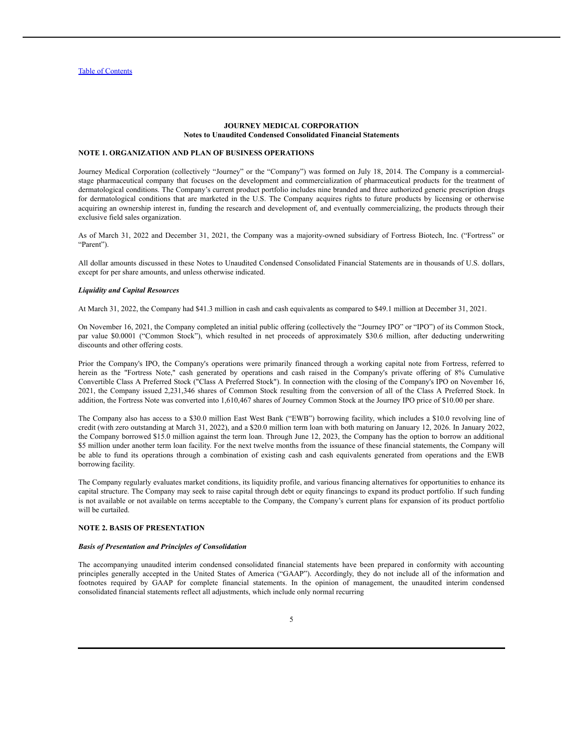# **JOURNEY MEDICAL CORPORATION Notes to Unaudited Condensed Consolidated Financial Statements**

## **NOTE 1. ORGANIZATION AND PLAN OF BUSINESS OPERATIONS**

Journey Medical Corporation (collectively "Journey" or the "Company") was formed on July 18, 2014. The Company is a commercialstage pharmaceutical company that focuses on the development and commercialization of pharmaceutical products for the treatment of dermatological conditions. The Company's current product portfolio includes nine branded and three authorized generic prescription drugs for dermatological conditions that are marketed in the U.S. The Company acquires rights to future products by licensing or otherwise acquiring an ownership interest in, funding the research and development of, and eventually commercializing, the products through their exclusive field sales organization.

As of March 31, 2022 and December 31, 2021, the Company was a majority-owned subsidiary of Fortress Biotech, Inc. ("Fortress" or "Parent").

All dollar amounts discussed in these Notes to Unaudited Condensed Consolidated Financial Statements are in thousands of U.S. dollars, except for per share amounts, and unless otherwise indicated.

#### *Liquidity and Capital Resources*

At March 31, 2022, the Company had \$41.3 million in cash and cash equivalents as compared to \$49.1 million at December 31, 2021.

On November 16, 2021, the Company completed an initial public offering (collectively the "Journey IPO" or "IPO") of its Common Stock, par value \$0.0001 ("Common Stock"), which resulted in net proceeds of approximately \$30.6 million, after deducting underwriting discounts and other offering costs.

Prior the Company's IPO, the Company's operations were primarily financed through a working capital note from Fortress, referred to herein as the "Fortress Note," cash generated by operations and cash raised in the Company's private offering of 8% Cumulative Convertible Class A Preferred Stock ("Class A Preferred Stock"). In connection with the closing of the Company's IPO on November 16, 2021, the Company issued 2,231,346 shares of Common Stock resulting from the conversion of all of the Class A Preferred Stock. In addition, the Fortress Note was converted into 1,610,467 shares of Journey Common Stock at the Journey IPO price of \$10.00 per share.

The Company also has access to a \$30.0 million East West Bank ("EWB") borrowing facility, which includes a \$10.0 revolving line of credit (with zero outstanding at March 31, 2022), and a \$20.0 million term loan with both maturing on January 12, 2026. In January 2022, the Company borrowed \$15.0 million against the term loan. Through June 12, 2023, the Company has the option to borrow an additional \$5 million under another term loan facility. For the next twelve months from the issuance of these financial statements, the Company will be able to fund its operations through a combination of existing cash and cash equivalents generated from operations and the EWB borrowing facility.

The Company regularly evaluates market conditions, its liquidity profile, and various financing alternatives for opportunities to enhance its capital structure. The Company may seek to raise capital through debt or equity financings to expand its product portfolio. If such funding is not available or not available on terms acceptable to the Company, the Company's current plans for expansion of its product portfolio will be curtailed.

# **NOTE 2. BASIS OF PRESENTATION**

#### *Basis of Presentation and Principles of Consolidation*

The accompanying unaudited interim condensed consolidated financial statements have been prepared in conformity with accounting principles generally accepted in the United States of America ("GAAP"). Accordingly, they do not include all of the information and footnotes required by GAAP for complete financial statements. In the opinion of management, the unaudited interim condensed consolidated financial statements reflect all adjustments, which include only normal recurring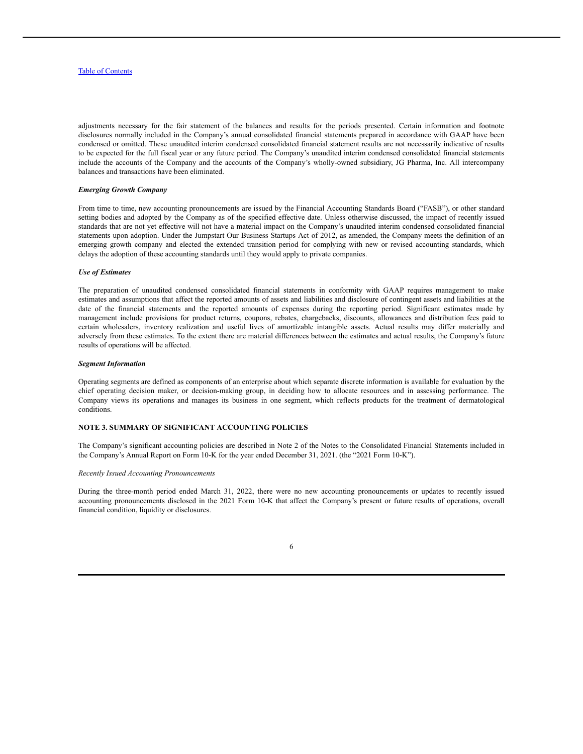adjustments necessary for the fair statement of the balances and results for the periods presented. Certain information and footnote disclosures normally included in the Company's annual consolidated financial statements prepared in accordance with GAAP have been condensed or omitted. These unaudited interim condensed consolidated financial statement results are not necessarily indicative of results to be expected for the full fiscal year or any future period. The Company's unaudited interim condensed consolidated financial statements include the accounts of the Company and the accounts of the Company's wholly-owned subsidiary, JG Pharma, Inc. All intercompany balances and transactions have been eliminated.

### *Emerging Growth Company*

From time to time, new accounting pronouncements are issued by the Financial Accounting Standards Board ("FASB"), or other standard setting bodies and adopted by the Company as of the specified effective date. Unless otherwise discussed, the impact of recently issued standards that are not yet effective will not have a material impact on the Company's unaudited interim condensed consolidated financial statements upon adoption. Under the Jumpstart Our Business Startups Act of 2012, as amended, the Company meets the definition of an emerging growth company and elected the extended transition period for complying with new or revised accounting standards, which delays the adoption of these accounting standards until they would apply to private companies.

#### *Use of Estimates*

The preparation of unaudited condensed consolidated financial statements in conformity with GAAP requires management to make estimates and assumptions that affect the reported amounts of assets and liabilities and disclosure of contingent assets and liabilities at the date of the financial statements and the reported amounts of expenses during the reporting period. Significant estimates made by management include provisions for product returns, coupons, rebates, chargebacks, discounts, allowances and distribution fees paid to certain wholesalers, inventory realization and useful lives of amortizable intangible assets. Actual results may differ materially and adversely from these estimates. To the extent there are material differences between the estimates and actual results, the Company's future results of operations will be affected.

#### *Segment Information*

Operating segments are defined as components of an enterprise about which separate discrete information is available for evaluation by the chief operating decision maker, or decision-making group, in deciding how to allocate resources and in assessing performance. The Company views its operations and manages its business in one segment, which reflects products for the treatment of dermatological conditions.

## **NOTE 3. SUMMARY OF SIGNIFICANT ACCOUNTING POLICIES**

The Company's significant accounting policies are described in Note 2 of the Notes to the Consolidated Financial Statements included in the Company's Annual Report on Form 10-K for the year ended December 31, 2021. (the "2021 Form 10-K").

#### *Recently Issued Accounting Pronouncements*

During the three-month period ended March 31, 2022, there were no new accounting pronouncements or updates to recently issued accounting pronouncements disclosed in the 2021 Form 10-K that affect the Company's present or future results of operations, overall financial condition, liquidity or disclosures.

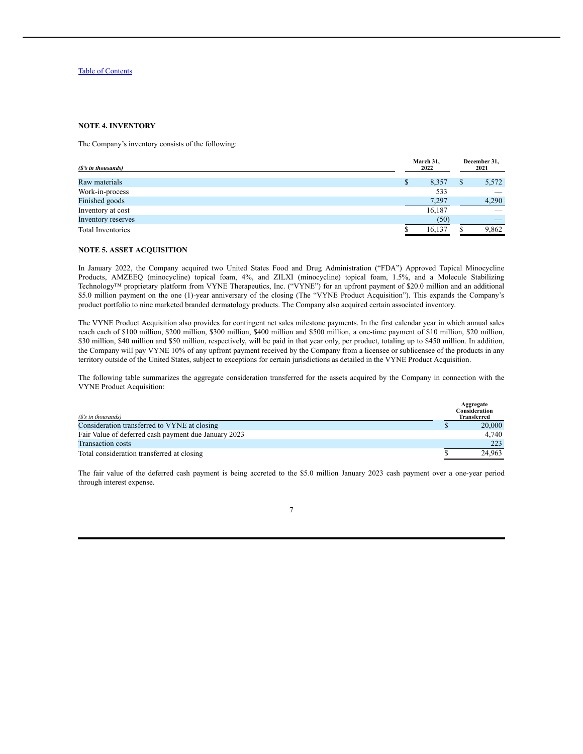## **NOTE 4. INVENTORY**

The Company's inventory consists of the following:

| (S's in thousands)       |    | March 31,<br>2022 | December 31,<br>2021 |       |  |
|--------------------------|----|-------------------|----------------------|-------|--|
| Raw materials            | \$ | 8,357             |                      | 5,572 |  |
| Work-in-process          |    | 533               |                      |       |  |
| Finished goods           |    | 7.297             |                      | 4,290 |  |
| Inventory at cost        |    | 16,187            |                      |       |  |
| Inventory reserves       |    | (50)              |                      |       |  |
| <b>Total Inventories</b> |    | 16,137            |                      | 9,862 |  |

# **NOTE 5. ASSET ACQUISITION**

In January 2022, the Company acquired two United States Food and Drug Administration ("FDA") Approved Topical Minocycline Products, AMZEEQ (minocycline) topical foam, 4%, and ZILXI (minocycline) topical foam, 1.5%, and a Molecule Stabilizing Technology™ proprietary platform from VYNE Therapeutics, Inc. ("VYNE") for an upfront payment of \$20.0 million and an additional \$5.0 million payment on the one (1)-year anniversary of the closing (The "VYNE Product Acquisition"). This expands the Company's product portfolio to nine marketed branded dermatology products. The Company also acquired certain associated inventory.

The VYNE Product Acquisition also provides for contingent net sales milestone payments. In the first calendar year in which annual sales reach each of \$100 million, \$200 million, \$300 million, \$400 million and \$500 million, a one-time payment of \$10 million, \$20 million, \$30 million, \$40 million and \$50 million, respectively, will be paid in that year only, per product, totaling up to \$450 million. In addition, the Company will pay VYNE 10% of any upfront payment received by the Company from a licensee or sublicensee of the products in any territory outside of the United States, subject to exceptions for certain jurisdictions as detailed in the VYNE Product Acquisition.

The following table summarizes the aggregate consideration transferred for the assets acquired by the Company in connection with the VYNE Product Acquisition:

| (S's in thousands)                                   | Aggregate<br>Consideration<br><b>Transferred</b> |
|------------------------------------------------------|--------------------------------------------------|
| Consideration transferred to VYNE at closing         | 20,000                                           |
| Fair Value of deferred cash payment due January 2023 | 4.740                                            |
| <b>Transaction costs</b>                             | 223                                              |
| Total consideration transferred at closing           | 24,963                                           |

The fair value of the deferred cash payment is being accreted to the \$5.0 million January 2023 cash payment over a one-year period through interest expense.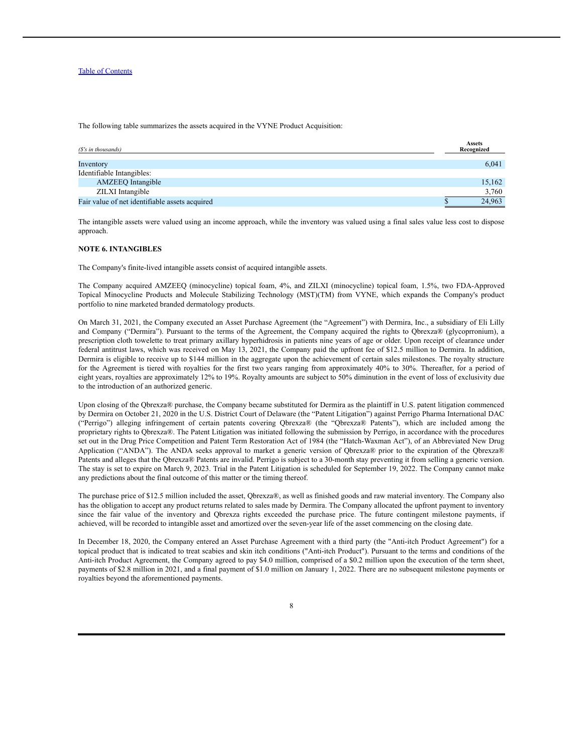The following table summarizes the assets acquired in the VYNE Product Acquisition:

| (S's in thousands)                             | <b>Assets</b><br>Recognized |
|------------------------------------------------|-----------------------------|
| Inventory                                      | 6,041                       |
| Identifiable Intangibles:                      |                             |
| AMZEEQ Intangible                              | 15,162                      |
| ZILXI Intangible                               | 3,760                       |
| Fair value of net identifiable assets acquired | 24,963                      |

The intangible assets were valued using an income approach, while the inventory was valued using a final sales value less cost to dispose approach.

## **NOTE 6. INTANGIBLES**

The Company's finite-lived intangible assets consist of acquired intangible assets.

The Company acquired AMZEEQ (minocycline) topical foam, 4%, and ZILXI (minocycline) topical foam, 1.5%, two FDA-Approved Topical Minocycline Products and Molecule Stabilizing Technology (MST)(TM) from VYNE, which expands the Company's product portfolio to nine marketed branded dermatology products.

On March 31, 2021, the Company executed an Asset Purchase Agreement (the "Agreement") with Dermira, Inc., a subsidiary of Eli Lilly and Company ("Dermira"). Pursuant to the terms of the Agreement, the Company acquired the rights to Qbrexza® (glycoprronium), a prescription cloth towelette to treat primary axillary hyperhidrosis in patients nine years of age or older. Upon receipt of clearance under federal antitrust laws, which was received on May 13, 2021, the Company paid the upfront fee of \$12.5 million to Dermira. In addition, Dermira is eligible to receive up to \$144 million in the aggregate upon the achievement of certain sales milestones. The royalty structure for the Agreement is tiered with royalties for the first two years ranging from approximately 40% to 30%. Thereafter, for a period of eight years, royalties are approximately 12% to 19%. Royalty amounts are subject to 50% diminution in the event of loss of exclusivity due to the introduction of an authorized generic.

Upon closing of the Qbrexza® purchase, the Company became substituted for Dermira as the plaintiff in U.S. patent litigation commenced by Dermira on October 21, 2020 in the U.S. District Court of Delaware (the "Patent Litigation") against Perrigo Pharma International DAC ("Perrigo") alleging infringement of certain patents covering Qbrexza® (the "Qbrexza® Patents"), which are included among the proprietary rights to Qbrexza®. The Patent Litigation was initiated following the submission by Perrigo, in accordance with the procedures set out in the Drug Price Competition and Patent Term Restoration Act of 1984 (the "Hatch-Waxman Act"), of an Abbreviated New Drug Application ("ANDA"). The ANDA seeks approval to market a generic version of Qbrexza® prior to the expiration of the Qbrexza® Patents and alleges that the Qbrexza® Patents are invalid. Perrigo is subject to a 30-month stay preventing it from selling a generic version. The stay is set to expire on March 9, 2023. Trial in the Patent Litigation is scheduled for September 19, 2022. The Company cannot make any predictions about the final outcome of this matter or the timing thereof.

The purchase price of \$12.5 million included the asset, Qbrexza®, as well as finished goods and raw material inventory. The Company also has the obligation to accept any product returns related to sales made by Dermira. The Company allocated the upfront payment to inventory since the fair value of the inventory and Qbrexza rights exceeded the purchase price. The future contingent milestone payments, if achieved, will be recorded to intangible asset and amortized over the seven-year life of the asset commencing on the closing date.

In December 18, 2020, the Company entered an Asset Purchase Agreement with a third party (the "Anti-itch Product Agreement") for a topical product that is indicated to treat scabies and skin itch conditions ("Anti-itch Product"). Pursuant to the terms and conditions of the Anti-itch Product Agreement, the Company agreed to pay \$4.0 million, comprised of a \$0.2 million upon the execution of the term sheet, payments of \$2.8 million in 2021, and a final payment of \$1.0 million on January 1, 2022. There are no subsequent milestone payments or royalties beyond the aforementioned payments.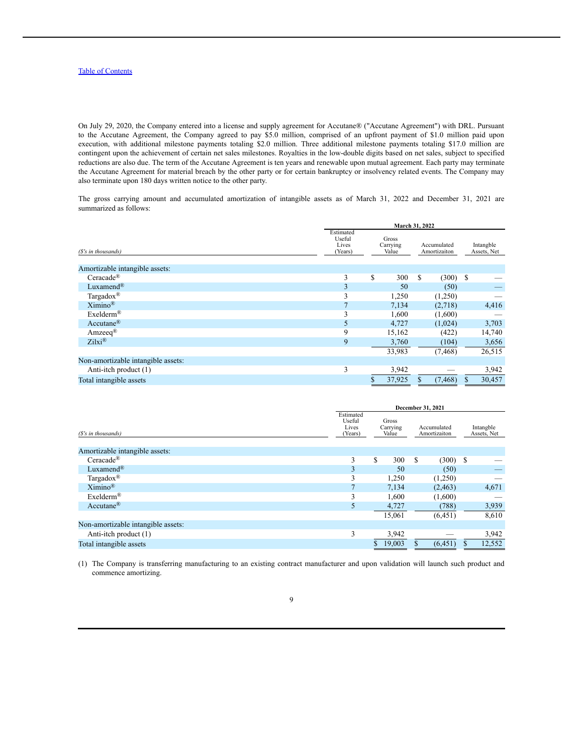On July 29, 2020, the Company entered into a license and supply agreement for Accutane® ("Accutane Agreement") with DRL. Pursuant to the Accutane Agreement, the Company agreed to pay \$5.0 million, comprised of an upfront payment of \$1.0 million paid upon execution, with additional milestone payments totaling \$2.0 million. Three additional milestone payments totaling \$17.0 million are contingent upon the achievement of certain net sales milestones. Royalties in the low-double digits based on net sales, subject to specified reductions are also due. The term of the Accutane Agreement is ten years and renewable upon mutual agreement. Each party may terminate the Accutane Agreement for material breach by the other party or for certain bankruptcy or insolvency related events. The Company may also terminate upon 180 days written notice to the other party.

The gross carrying amount and accumulated amortization of intangible assets as of March 31, 2022 and December 31, 2021 are summarized as follows:

|                                    | March 31, 2022                          |                                                           |        |    |                          |    |        |
|------------------------------------|-----------------------------------------|-----------------------------------------------------------|--------|----|--------------------------|----|--------|
| (\$'s in thousands)                | Estimated<br>Useful<br>Lives<br>(Years) | Gross<br>Carrying<br>Accumulated<br>Amortizaiton<br>Value |        |    | Intangble<br>Assets, Net |    |        |
| Amortizable intangible assets:     |                                         |                                                           |        |    |                          |    |        |
| Ceracade®                          | 3                                       | \$                                                        | 300    | S  | $(300)$ \$               |    |        |
| Luxamend <sup>®</sup>              | 3                                       |                                                           | 50     |    | (50)                     |    |        |
| Targadox®                          | 3                                       |                                                           | 1,250  |    | (1,250)                  |    |        |
| $Ximino^{\circledR}$               | $\mathcal{I}$                           |                                                           | 7,134  |    | (2,718)                  |    | 4,416  |
| $Exelderm^{\circledR}$             | 3                                       |                                                           | 1,600  |    | (1,600)                  |    |        |
| Accutane <sup>®</sup>              | 5                                       |                                                           | 4,727  |    | (1,024)                  |    | 3,703  |
| Amzeeq $\mathbb{R}$                | 9                                       |                                                           | 15,162 |    | (422)                    |    | 14,740 |
| $Zilxi^{\circledR}$                | 9                                       |                                                           | 3,760  |    | (104)                    |    | 3,656  |
|                                    |                                         |                                                           | 33,983 |    | (7, 468)                 |    | 26,515 |
| Non-amortizable intangible assets: |                                         |                                                           |        |    |                          |    |        |
| Anti-itch product (1)              | 3                                       |                                                           | 3,942  |    |                          |    | 3,942  |
| Total intangible assets            |                                         | \$                                                        | 37,925 | \$ | (7, 468)                 | \$ | 30,457 |

|                                    |                              | December 31, 2021 |                                                           |             |    |                          |  |  |
|------------------------------------|------------------------------|-------------------|-----------------------------------------------------------|-------------|----|--------------------------|--|--|
| (\$'s in thousands)                | Estimated<br>Useful<br>Lives | (Years)           | Gross<br>Accumulated<br>Carrying<br>Amortizaiton<br>Value |             |    | Intangble<br>Assets, Net |  |  |
| Amortizable intangible assets:     |                              |                   |                                                           |             |    |                          |  |  |
| Ceracade <sup>®</sup>              |                              | 3<br>\$           | 300                                                       | (300)<br>\$ | -S |                          |  |  |
| Luxamend <sup>®</sup>              |                              | 3                 | 50                                                        | (50)        |    |                          |  |  |
| Targadox®                          |                              | 3                 | 1,250                                                     | (1,250)     |    |                          |  |  |
| $Ximino^{\circledR}$               |                              | 7                 | 7,134                                                     | (2, 463)    |    | 4,671                    |  |  |
| $Exelderm^{\circledR}$             |                              | 3                 | 1,600                                                     | (1,600)     |    |                          |  |  |
| Accutane <sup>(</sup>              |                              | 5                 | 4,727                                                     | (788)       |    | 3,939                    |  |  |
|                                    |                              |                   | 15,061                                                    | (6, 451)    |    | 8,610                    |  |  |
| Non-amortizable intangible assets: |                              |                   |                                                           |             |    |                          |  |  |
| Anti-itch product (1)              |                              | 3                 | 3,942                                                     |             |    | 3,942                    |  |  |
| Total intangible assets            |                              |                   | 19,003                                                    | (6, 451)    | \$ | 12,552                   |  |  |

(1) The Company is transferring manufacturing to an existing contract manufacturer and upon validation will launch such product and commence amortizing.

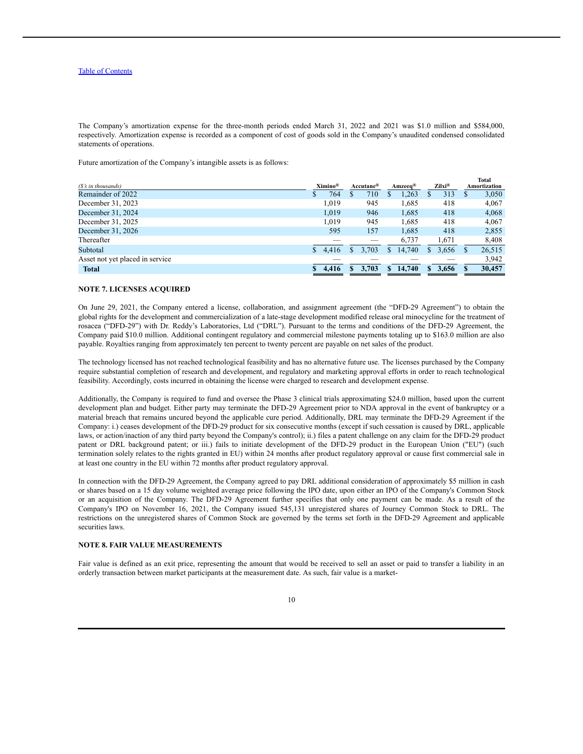The Company's amortization expense for the three-month periods ended March 31, 2022 and 2021 was \$1.0 million and \$584,000, respectively. Amortization expense is recorded as a component of cost of goods sold in the Company's unaudited condensed consolidated statements of operations.

Future amortization of the Company's intangible assets is as follows:

|                                 |    |                     |   |           |    |                      |   |                   |   | <b>Total</b>        |
|---------------------------------|----|---------------------|---|-----------|----|----------------------|---|-------------------|---|---------------------|
| $(S \succeq in$ thousands)      |    | Ximino <sup>®</sup> |   | Accutane® |    | $Amzeeq^{\circledR}$ |   | $Zilxi^{\otimes}$ |   | <b>Amortization</b> |
| Remainder of 2022               | S  | 764                 | Ф | 710       |    | 1,263                |   | 313               |   | 3,050               |
| December 31, 2023               |    | 1,019               |   | 945       |    | 1,685                |   | 418               |   | 4,067               |
| December 31, 2024               |    | 1,019               |   | 946       |    | 1,685                |   | 418               |   | 4,068               |
| December 31, 2025               |    | 1.019               |   | 945       |    | 1.685                |   | 418               |   | 4,067               |
| December 31, 2026               |    | 595                 |   | 157       |    | 1.685                |   | 418               |   | 2,855               |
| Thereafter                      |    |                     |   |           |    | 6,737                |   | 1,671             |   | 8,408               |
| Subtotal                        | S. | 4,416               |   | 3.703     | S  | 14,740               | S | 3,656             | S | 26,515              |
| Asset not yet placed in service |    |                     |   |           |    |                      |   |                   |   | 3,942               |
| <b>Total</b>                    | \$ | 4.416               |   | 3,703     | S. | 14,740               |   | 3.656             |   | 30,457              |
|                                 |    |                     |   |           |    |                      |   |                   |   |                     |

## **NOTE 7. LICENSES ACQUIRED**

On June 29, 2021, the Company entered a license, collaboration, and assignment agreement (the "DFD-29 Agreement") to obtain the global rights for the development and commercialization of a late-stage development modified release oral minocycline for the treatment of rosacea ("DFD-29") with Dr. Reddy's Laboratories, Ltd ("DRL"). Pursuant to the terms and conditions of the DFD-29 Agreement, the Company paid \$10.0 million. Additional contingent regulatory and commercial milestone payments totaling up to \$163.0 million are also payable. Royalties ranging from approximately ten percent to twenty percent are payable on net sales of the product.

The technology licensed has not reached technological feasibility and has no alternative future use. The licenses purchased by the Company require substantial completion of research and development, and regulatory and marketing approval efforts in order to reach technological feasibility. Accordingly, costs incurred in obtaining the license were charged to research and development expense.

Additionally, the Company is required to fund and oversee the Phase 3 clinical trials approximating \$24.0 million, based upon the current development plan and budget. Either party may terminate the DFD-29 Agreement prior to NDA approval in the event of bankruptcy or a material breach that remains uncured beyond the applicable cure period. Additionally, DRL may terminate the DFD-29 Agreement if the Company: i.) ceases development of the DFD-29 product for six consecutive months (except if such cessation is caused by DRL, applicable laws, or action/inaction of any third party beyond the Company's control); ii.) files a patent challenge on any claim for the DFD-29 product patent or DRL background patent; or iii.) fails to initiate development of the DFD-29 product in the European Union ("EU") (such termination solely relates to the rights granted in EU) within 24 months after product regulatory approval or cause first commercial sale in at least one country in the EU within 72 months after product regulatory approval.

In connection with the DFD-29 Agreement, the Company agreed to pay DRL additional consideration of approximately \$5 million in cash or shares based on a 15 day volume weighted average price following the IPO date, upon either an IPO of the Company's Common Stock or an acquisition of the Company. The DFD-29 Agreement further specifies that only one payment can be made. As a result of the Company's IPO on November 16, 2021, the Company issued 545,131 unregistered shares of Journey Common Stock to DRL. The restrictions on the unregistered shares of Common Stock are governed by the terms set forth in the DFD-29 Agreement and applicable securities laws.

#### **NOTE 8. FAIR VALUE MEASUREMENTS**

Fair value is defined as an exit price, representing the amount that would be received to sell an asset or paid to transfer a liability in an orderly transaction between market participants at the measurement date. As such, fair value is a market-

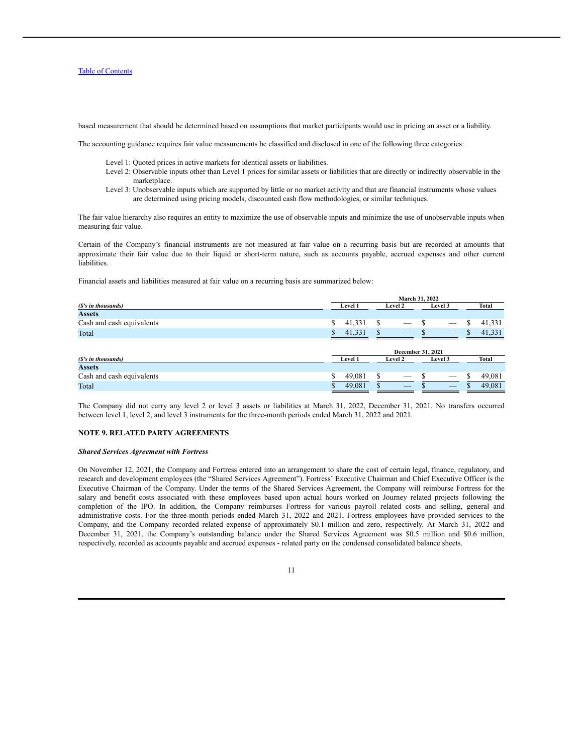based measurement that should be determined based on assumptions that market participants would use in pricing an asset or a liability.

The accounting guidance requires fair value measurements be classified and disclosed in one of the following three categories:

- Level 1: Quoted prices in active markets for identical assets or liabilities.
- Level 2: Observable inputs other than Level 1 prices for similar assets or liabilities that are directly or indirectly observable in the marketplace.
- Level 3: Unobservable inputs which are supported by little or no market activity and that are financial instruments whose values are determined using pricing models, discounted cash flow methodologies, or similar techniques.

The fair value hierarchy also requires an entity to maximize the use of observable inputs and minimize the use of unobservable inputs when measuring fair value.

Certain of the Company's financial instruments are not measured at fair value on a recurring basis but are recorded at amounts that approximate their fair value due to their liquid or short-term nature, such as accounts payable, accrued expenses and other current liabilities.

Financial assets and liabilities measured at fair value on a recurring basis are summarized below:

| March 31, 2022 |                    |         |     |         |   |                              |              |  |
|----------------|--------------------|---------|-----|---------|---|------------------------------|--------------|--|
|                | Level 1<br>Level 2 |         |     |         |   |                              | <b>Total</b> |  |
|                |                    |         |     |         |   |                              |              |  |
| ъ              | 41,331             |         | __  |         |   | J.                           | 41,331       |  |
|                | 41,331             |         | —   |         |   |                              | 41,331       |  |
|                |                    |         |     |         |   |                              |              |  |
|                |                    |         |     | Level 3 |   |                              | Total        |  |
|                |                    |         |     |         |   |                              |              |  |
| S              | 49,081             | S       | $-$ |         | – | S                            | 49,081       |  |
|                | 49,081             |         |     |         | _ |                              | 49,081       |  |
|                |                    | Level 1 |     | Level 2 |   | Level 3<br>December 31, 2021 |              |  |

The Company did not carry any level 2 or level 3 assets or liabilities at March 31, 2022, December 31, 2021. No transfers occurred between level 1, level 2, and level 3 instruments for the three-month periods ended March 31, 2022 and 2021.

## **NOTE 9. RELATED PARTY AGREEMENTS**

#### *Shared Services Agreement with Fortress*

On November 12, 2021, the Company and Fortress entered into an arrangement to share the cost of certain legal, finance, regulatory, and research and development employees (the "Shared Services Agreement"). Fortress' Executive Chairman and Chief Executive Officer is the Executive Chairman of the Company. Under the terms of the Shared Services Agreement, the Company will reimburse Fortress for the salary and benefit costs associated with these employees based upon actual hours worked on Journey related projects following the completion of the IPO. In addition, the Company reimburses Fortress for various payroll related costs and selling, general and administrative costs. For the three-month periods ended March 31, 2022 and 2021, Fortress employees have provided services to the Company, and the Company recorded related expense of approximately \$0.1 million and zero, respectively. At March 31, 2022 and December 31, 2021, the Company's outstanding balance under the Shared Services Agreement was \$0.5 million and \$0.6 million, respectively, recorded as accounts payable and accrued expenses - related party on the condensed consolidated balance sheets.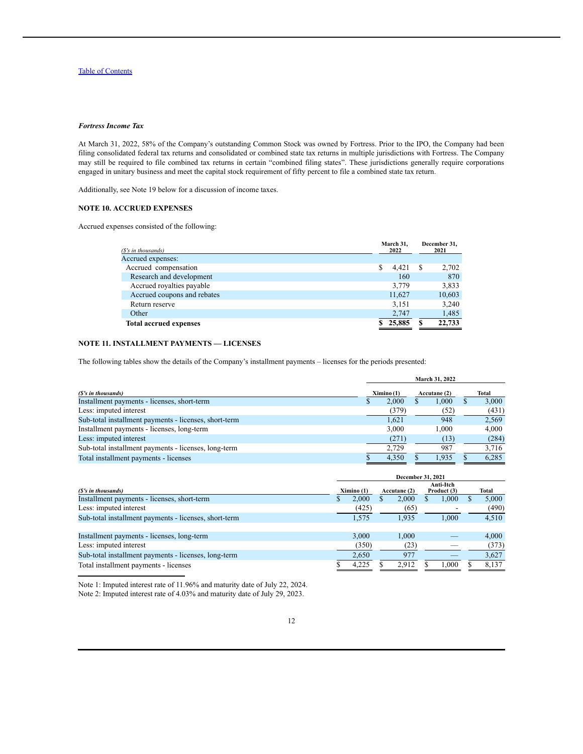## *Fortress Income Tax*

At March 31, 2022, 58% of the Company's outstanding Common Stock was owned by Fortress. Prior to the IPO, the Company had been filing consolidated federal tax returns and consolidated or combined state tax returns in multiple jurisdictions with Fortress. The Company may still be required to file combined tax returns in certain "combined filing states". These jurisdictions generally require corporations engaged in unitary business and meet the capital stock requirement of fifty percent to file a combined state tax return.

Additionally, see Note 19 below for a discussion of income taxes.

# **NOTE 10. ACCRUED EXPENSES**

Accrued expenses consisted of the following:

| (\$'s in thousands)           | March 31,<br>2022 |     | December 31.<br>2021 |
|-------------------------------|-------------------|-----|----------------------|
| Accrued expenses:             |                   |     |                      |
| Accrued compensation          | 4,421             | S   | 2,702                |
| Research and development      | 160               |     | 870                  |
| Accrued royalties payable     | 3.779             |     | 3,833                |
| Accrued coupons and rebates   | 11.627            |     | 10,603               |
| Return reserve                | 3,151             |     | 3,240                |
| Other                         | 2,747             |     | 1,485                |
| <b>Total accrued expenses</b> | 25,885            | \$. | 22,733               |

# **NOTE 11. INSTALLMENT PAYMENTS — LICENSES**

The following tables show the details of the Company's installment payments – licenses for the periods presented:

|                                                       |   |           | March 31, 2022 |       |  |
|-------------------------------------------------------|---|-----------|----------------|-------|--|
| (S's in thousands)                                    |   | Ximino(1) | Accutane (2)   | Total |  |
| Installment payments - licenses, short-term           | D | 2,000     | 1,000          | 3,000 |  |
| Less: imputed interest                                |   | (379)     | (52)           | (431) |  |
| Sub-total installment payments - licenses, short-term |   | 1.621     | 948            | 2.569 |  |
| Installment payments - licenses, long-term            |   | 3.000     | 1.000          | 4.000 |  |
| Less: imputed interest                                |   | (271)     | (13)           | (284) |  |
| Sub-total installment payments - licenses, long-term  |   | 2.729     | 987            | 3,716 |  |
| Total installment payments - licenses                 |   | 4.350     | 1.935          | 6,285 |  |

|                                                       | December 31, 2021 |           |  |                                          |  |       |  |       |  |
|-------------------------------------------------------|-------------------|-----------|--|------------------------------------------|--|-------|--|-------|--|
| (S's in thousands)                                    |                   | Ximino(1) |  | Anti-Itch<br>Product (3)<br>Accutane (2) |  |       |  | Total |  |
| Installment payments - licenses, short-term           | . D               | 2,000     |  | 2,000                                    |  | 1,000 |  | 5,000 |  |
| Less: imputed interest                                |                   | (425)     |  | (65)                                     |  |       |  | (490) |  |
| Sub-total installment payments - licenses, short-term |                   | 1.575     |  | 1.935                                    |  | 1.000 |  | 4,510 |  |
|                                                       |                   |           |  |                                          |  |       |  |       |  |
| Installment payments - licenses, long-term            |                   | 3.000     |  | 1.000                                    |  |       |  | 4,000 |  |
| Less: imputed interest                                |                   | (350)     |  | (23)                                     |  |       |  | (373) |  |
| Sub-total installment payments - licenses, long-term  |                   | 2.650     |  | 977                                      |  |       |  | 3,627 |  |
| Total installment payments - licenses                 |                   | 4.225     |  | 2.912                                    |  | .000  |  | 8.137 |  |

Note 1: Imputed interest rate of 11.96% and maturity date of July 22, 2024.

Note 2: Imputed interest rate of 4.03% and maturity date of July 29, 2023.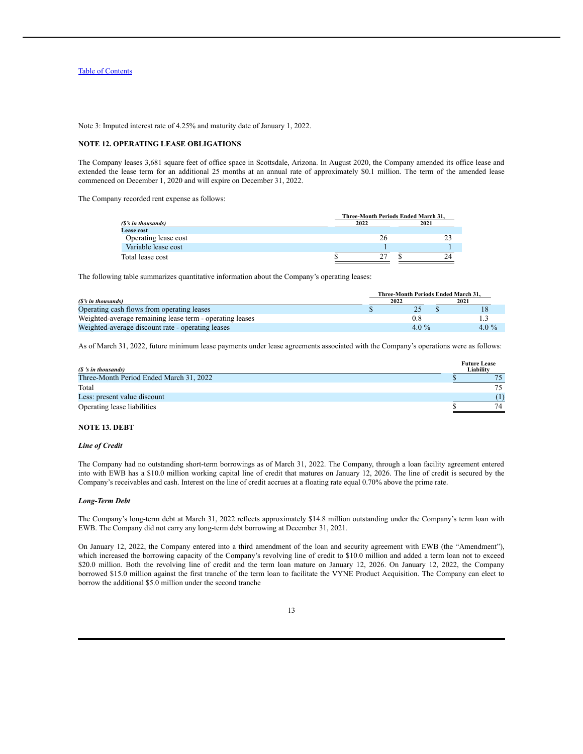Note 3: Imputed interest rate of 4.25% and maturity date of January 1, 2022.

# **NOTE 12. OPERATING LEASE OBLIGATIONS**

The Company leases 3,681 square feet of office space in Scottsdale, Arizona. In August 2020, the Company amended its office lease and extended the lease term for an additional 25 months at an annual rate of approximately \$0.1 million. The term of the amended lease commenced on December 1, 2020 and will expire on December 31, 2022.

The Company recorded rent expense as follows:

|                      | <b>Three-Month Periods Ended March 31.</b> |      |  |  |  |  |  |
|----------------------|--------------------------------------------|------|--|--|--|--|--|
| (S's in thousands)   | 2022                                       | 2021 |  |  |  |  |  |
| <b>Lease cost</b>    |                                            |      |  |  |  |  |  |
| Operating lease cost | 26                                         |      |  |  |  |  |  |
| Variable lease cost  |                                            |      |  |  |  |  |  |
| Total lease cost     |                                            |      |  |  |  |  |  |

The following table summarizes quantitative information about the Company's operating leases:

|                                                          | Three-Month Periods Ended March 31. |       |
|----------------------------------------------------------|-------------------------------------|-------|
| (S's in thousands)                                       | 2022                                | 2021  |
| Operating cash flows from operating leases               |                                     |       |
| Weighted-average remaining lease term - operating leases |                                     |       |
| Weighted-average discount rate - operating leases        | 40%                                 | 4.0 % |

As of March 31, 2022, future minimum lease payments under lease agreements associated with the Company's operations were as follows:

| (S's in thousands)                      | <b>Future Lease</b><br>Liabilitv |
|-----------------------------------------|----------------------------------|
| Three-Month Period Ended March 31, 2022 |                                  |
| Total                                   |                                  |
| Less: present value discount            |                                  |
| Operating lease liabilities             | 74                               |

### **NOTE 13. DEBT**

#### *Line of Credit*

The Company had no outstanding short-term borrowings as of March 31, 2022. The Company, through a loan facility agreement entered into with EWB has a \$10.0 million working capital line of credit that matures on January 12, 2026. The line of credit is secured by the Company's receivables and cash. Interest on the line of credit accrues at a floating rate equal 0.70% above the prime rate.

## *Long-Term Debt*

The Company's long-term debt at March 31, 2022 reflects approximately \$14.8 million outstanding under the Company's term loan with EWB. The Company did not carry any long-term debt borrowing at December 31, 2021.

On January 12, 2022, the Company entered into a third amendment of the loan and security agreement with EWB (the "Amendment"), which increased the borrowing capacity of the Company's revolving line of credit to \$10.0 million and added a term loan not to exceed \$20.0 million. Both the revolving line of credit and the term loan mature on January 12, 2026. On January 12, 2022, the Company borrowed \$15.0 million against the first tranche of the term loan to facilitate the VYNE Product Acquisition. The Company can elect to borrow the additional \$5.0 million under the second tranche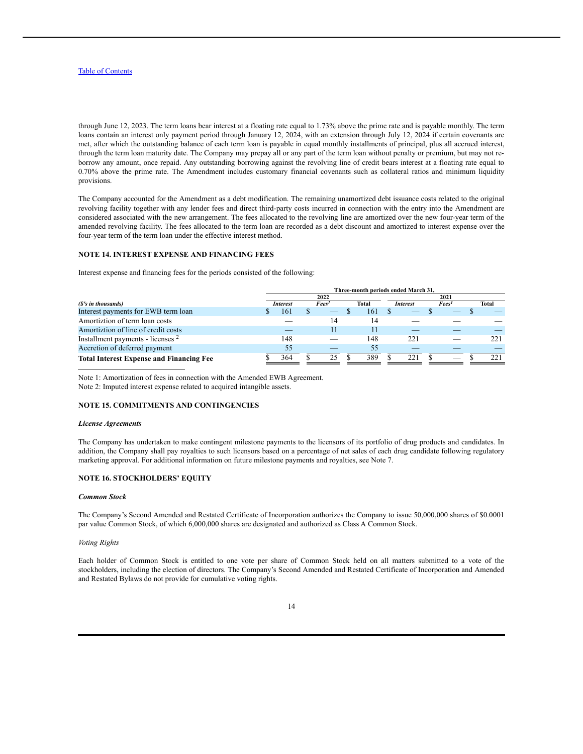through June 12, 2023. The term loans bear interest at a floating rate equal to 1.73% above the prime rate and is payable monthly. The term loans contain an interest only payment period through January 12, 2024, with an extension through July 12, 2024 if certain covenants are met, after which the outstanding balance of each term loan is payable in equal monthly installments of principal, plus all accrued interest, through the term loan maturity date. The Company may prepay all or any part of the term loan without penalty or premium, but may not reborrow any amount, once repaid. Any outstanding borrowing against the revolving line of credit bears interest at a floating rate equal to 0.70% above the prime rate. The Amendment includes customary financial covenants such as collateral ratios and minimum liquidity provisions.

The Company accounted for the Amendment as a debt modification. The remaining unamortized debt issuance costs related to the original revolving facility together with any lender fees and direct third-party costs incurred in connection with the entry into the Amendment are considered associated with the new arrangement. The fees allocated to the revolving line are amortized over the new four-year term of the amended revolving facility. The fees allocated to the term loan are recorded as a debt discount and amortized to interest expense over the four-year term of the term loan under the effective interest method.

## **NOTE 14. INTEREST EXPENSE AND FINANCING FEES**

Interest expense and financing fees for the periods consisted of the following:

|                                                 | Three-month periods ended March 31, |                 |  |              |  |       |  |                 |      |                   |  |       |
|-------------------------------------------------|-------------------------------------|-----------------|--|--------------|--|-------|--|-----------------|------|-------------------|--|-------|
|                                                 |                                     | 2022            |  |              |  |       |  |                 | 2021 |                   |  |       |
| (S's in thousands)                              |                                     | <i>Interest</i> |  | <i>Fees!</i> |  | Total |  | <i>Interest</i> |      | Fees <sup>1</sup> |  | Total |
| Interest payments for EWB term loan             |                                     | 161             |  |              |  | 161   |  |                 |      |                   |  |       |
| Amortiztion of term loan costs                  |                                     |                 |  | 14           |  | 14    |  |                 |      |                   |  |       |
| Amortiztion of line of credit costs             |                                     |                 |  |              |  |       |  |                 |      |                   |  |       |
| Installment payments - licenses <sup>2</sup>    |                                     | 148             |  |              |  | 148   |  | 221             |      |                   |  | 221   |
| Accretion of deferred payment                   |                                     | 55              |  |              |  | 55    |  |                 |      |                   |  |       |
| <b>Total Interest Expense and Financing Fee</b> |                                     | 364             |  | 25           |  | 389   |  |                 |      | __                |  |       |

Note 1: Amortization of fees in connection with the Amended EWB Agreement. Note 2: Imputed interest expense related to acquired intangible assets.

#### **NOTE 15. COMMITMENTS AND CONTINGENCIES**

#### *License Agreements*

The Company has undertaken to make contingent milestone payments to the licensors of its portfolio of drug products and candidates. In addition, the Company shall pay royalties to such licensors based on a percentage of net sales of each drug candidate following regulatory marketing approval. For additional information on future milestone payments and royalties, see Note 7.

## **NOTE 16. STOCKHOLDERS' EQUITY**

#### *Common Stock*

The Company's Second Amended and Restated Certificate of Incorporation authorizes the Company to issue 50,000,000 shares of \$0.0001 par value Common Stock, of which 6,000,000 shares are designated and authorized as Class A Common Stock.

#### *Voting Rights*

Each holder of Common Stock is entitled to one vote per share of Common Stock held on all matters submitted to a vote of the stockholders, including the election of directors. The Company's Second Amended and Restated Certificate of Incorporation and Amended and Restated Bylaws do not provide for cumulative voting rights.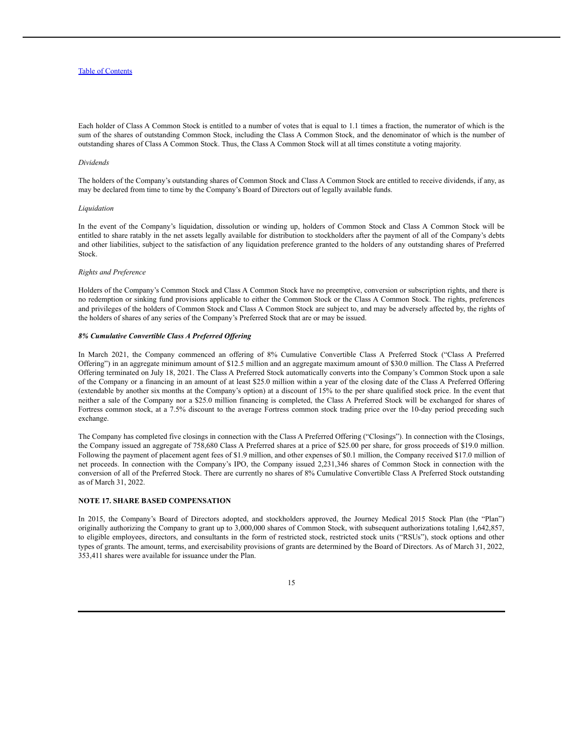Each holder of Class A Common Stock is entitled to a number of votes that is equal to 1.1 times a fraction, the numerator of which is the sum of the shares of outstanding Common Stock, including the Class A Common Stock, and the denominator of which is the number of outstanding shares of Class A Common Stock. Thus, the Class A Common Stock will at all times constitute a voting majority.

#### *Dividends*

The holders of the Company's outstanding shares of Common Stock and Class A Common Stock are entitled to receive dividends, if any, as may be declared from time to time by the Company's Board of Directors out of legally available funds.

### *Liquidation*

In the event of the Company's liquidation, dissolution or winding up, holders of Common Stock and Class A Common Stock will be entitled to share ratably in the net assets legally available for distribution to stockholders after the payment of all of the Company's debts and other liabilities, subject to the satisfaction of any liquidation preference granted to the holders of any outstanding shares of Preferred Stock.

#### *Rights and Preference*

Holders of the Company's Common Stock and Class A Common Stock have no preemptive, conversion or subscription rights, and there is no redemption or sinking fund provisions applicable to either the Common Stock or the Class A Common Stock. The rights, preferences and privileges of the holders of Common Stock and Class A Common Stock are subject to, and may be adversely affected by, the rights of the holders of shares of any series of the Company's Preferred Stock that are or may be issued.

#### *8% Cumulative Convertible Class A Preferred Of ering*

In March 2021, the Company commenced an offering of 8% Cumulative Convertible Class A Preferred Stock ("Class A Preferred Offering") in an aggregate minimum amount of \$12.5 million and an aggregate maximum amount of \$30.0 million. The Class A Preferred Offering terminated on July 18, 2021. The Class A Preferred Stock automatically converts into the Company's Common Stock upon a sale of the Company or a financing in an amount of at least \$25.0 million within a year of the closing date of the Class A Preferred Offering (extendable by another six months at the Company's option) at a discount of 15% to the per share qualified stock price. In the event that neither a sale of the Company nor a \$25.0 million financing is completed, the Class A Preferred Stock will be exchanged for shares of Fortress common stock, at a 7.5% discount to the average Fortress common stock trading price over the 10-day period preceding such exchange.

The Company has completed five closings in connection with the Class A Preferred Offering ("Closings"). In connection with the Closings, the Company issued an aggregate of 758,680 Class A Preferred shares at a price of \$25.00 per share, for gross proceeds of \$19.0 million. Following the payment of placement agent fees of \$1.9 million, and other expenses of \$0.1 million, the Company received \$17.0 million of net proceeds. In connection with the Company's IPO, the Company issued 2,231,346 shares of Common Stock in connection with the conversion of all of the Preferred Stock. There are currently no shares of 8% Cumulative Convertible Class A Preferred Stock outstanding as of March 31, 2022.

## **NOTE 17. SHARE BASED COMPENSATION**

In 2015, the Company's Board of Directors adopted, and stockholders approved, the Journey Medical 2015 Stock Plan (the "Plan") originally authorizing the Company to grant up to 3,000,000 shares of Common Stock, with subsequent authorizations totaling 1,642,857, to eligible employees, directors, and consultants in the form of restricted stock, restricted stock units ("RSUs"), stock options and other types of grants. The amount, terms, and exercisability provisions of grants are determined by the Board of Directors. As of March 31, 2022, 353,411 shares were available for issuance under the Plan.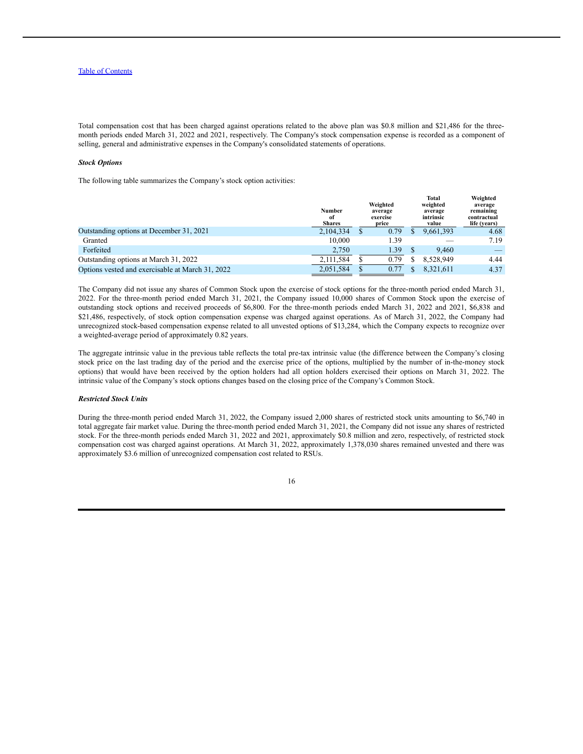Total compensation cost that has been charged against operations related to the above plan was \$0.8 million and \$21,486 for the threemonth periods ended March 31, 2022 and 2021, respectively. The Company's stock compensation expense is recorded as a component of selling, general and administrative expenses in the Company's consolidated statements of operations.

#### *Stock Options*

The following table summarizes the Company's stock option activities:

|                                                  | Number<br>of<br><b>Shares</b> | Weighted<br>average<br>exercise<br>price | <b>Total</b><br>weighted<br>average<br>intrinsic<br>value | Weighted<br>average<br>remaining<br>contractual<br>life (years) |
|--------------------------------------------------|-------------------------------|------------------------------------------|-----------------------------------------------------------|-----------------------------------------------------------------|
| Outstanding options at December 31, 2021         | 2,104,334                     | 0.79                                     | 9,661,393                                                 | 4.68                                                            |
| Granted                                          | 10.000                        | 1.39                                     |                                                           | 7.19                                                            |
| Forfeited                                        | 2.750                         | 1.39                                     | 9.460                                                     |                                                                 |
| Outstanding options at March 31, 2022            | 2.111.584                     | 0.79                                     | 8.528.949                                                 | 4.44                                                            |
| Options vested and exercisable at March 31, 2022 | 2,051,584                     | 0.77                                     | 8,321,611                                                 | 4.37                                                            |

The Company did not issue any shares of Common Stock upon the exercise of stock options for the three-month period ended March 31, 2022. For the three-month period ended March 31, 2021, the Company issued 10,000 shares of Common Stock upon the exercise of outstanding stock options and received proceeds of \$6,800. For the three-month periods ended March 31, 2022 and 2021, \$6,838 and \$21,486, respectively, of stock option compensation expense was charged against operations. As of March 31, 2022, the Company had unrecognized stock-based compensation expense related to all unvested options of \$13,284, which the Company expects to recognize over a weighted-average period of approximately 0.82 years.

The aggregate intrinsic value in the previous table reflects the total pre-tax intrinsic value (the difference between the Company's closing stock price on the last trading day of the period and the exercise price of the options, multiplied by the number of in-the-money stock options) that would have been received by the option holders had all option holders exercised their options on March 31, 2022. The intrinsic value of the Company's stock options changes based on the closing price of the Company's Common Stock.

#### *Restricted Stock Units*

During the three-month period ended March 31, 2022, the Company issued 2,000 shares of restricted stock units amounting to \$6,740 in total aggregate fair market value. During the three-month period ended March 31, 2021, the Company did not issue any shares of restricted stock. For the three-month periods ended March 31, 2022 and 2021, approximately \$0.8 million and zero, respectively, of restricted stock compensation cost was charged against operations. At March 31, 2022, approximately 1,378,030 shares remained unvested and there was approximately \$3.6 million of unrecognized compensation cost related to RSUs.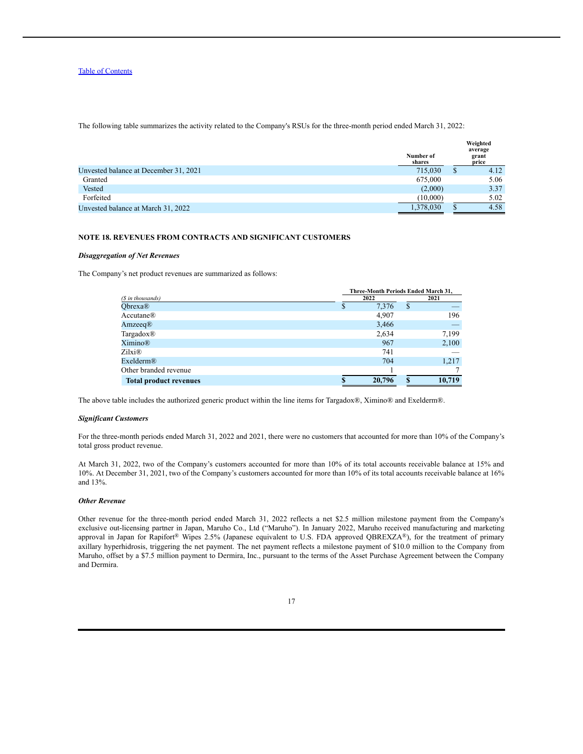The following table summarizes the activity related to the Company's RSUs for the three-month period ended March 31, 2022:

|                                       | Number of<br>shares |   | Weighted<br>average<br>grant<br>price |
|---------------------------------------|---------------------|---|---------------------------------------|
| Unvested balance at December 31, 2021 | 715,030             | D | 4.12                                  |
| Granted                               | 675,000             |   | 5.06                                  |
| Vested                                | (2,000)             |   | 3.37                                  |
| Forfeited                             | (10,000)            |   | 5.02                                  |
| Unvested balance at March 31, 2022    | 1,378,030           |   | 4.58                                  |

# **NOTE 18. REVENUES FROM CONTRACTS AND SIGNIFICANT CUSTOMERS**

## *Disaggregation of Net Revenues*

The Company's net product revenues are summarized as follows:

|                               | Three-Month Periods Ended March 31, |        |    |        |  |  |  |
|-------------------------------|-------------------------------------|--------|----|--------|--|--|--|
| (\$ in thousands)             |                                     | 2022   |    | 2021   |  |  |  |
| <b>Obrexa</b> <sup>®</sup>    |                                     | 7,376  | \$ |        |  |  |  |
| Accutane@                     |                                     | 4,907  |    | 196    |  |  |  |
| Amzeeq®                       |                                     | 3,466  |    |        |  |  |  |
| Targadox®                     |                                     | 2,634  |    | 7,199  |  |  |  |
| Ximino®                       |                                     | 967    |    | 2,100  |  |  |  |
| Zilxi@                        |                                     | 741    |    |        |  |  |  |
| Exelderm®                     |                                     | 704    |    | 1,217  |  |  |  |
| Other branded revenue         |                                     |        |    |        |  |  |  |
| <b>Total product revenues</b> |                                     | 20,796 | S  | 10.719 |  |  |  |

The above table includes the authorized generic product within the line items for Targadox®, Ximino® and Exelderm®.

#### *Significant Customers*

For the three-month periods ended March 31, 2022 and 2021, there were no customers that accounted for more than 10% of the Company's total gross product revenue.

At March 31, 2022, two of the Company's customers accounted for more than 10% of its total accounts receivable balance at 15% and 10%. At December 31, 2021, two of the Company's customers accounted for more than 10% of its total accounts receivable balance at 16% and 13%.

# *Other Revenue*

Other revenue for the three-month period ended March 31, 2022 reflects a net \$2.5 million milestone payment from the Company's exclusive out-licensing partner in Japan, Maruho Co., Ltd ("Maruho"). In January 2022, Maruho received manufacturing and marketing approval in Japan for Rapifort® Wipes 2.5% (Japanese equivalent to U.S. FDA approved QBREXZA®), for the treatment of primary axillary hyperhidrosis, triggering the net payment. The net payment reflects a milestone payment of \$10.0 million to the Company from Maruho, offset by a \$7.5 million payment to Dermira, Inc., pursuant to the terms of the Asset Purchase Agreement between the Company and Dermira.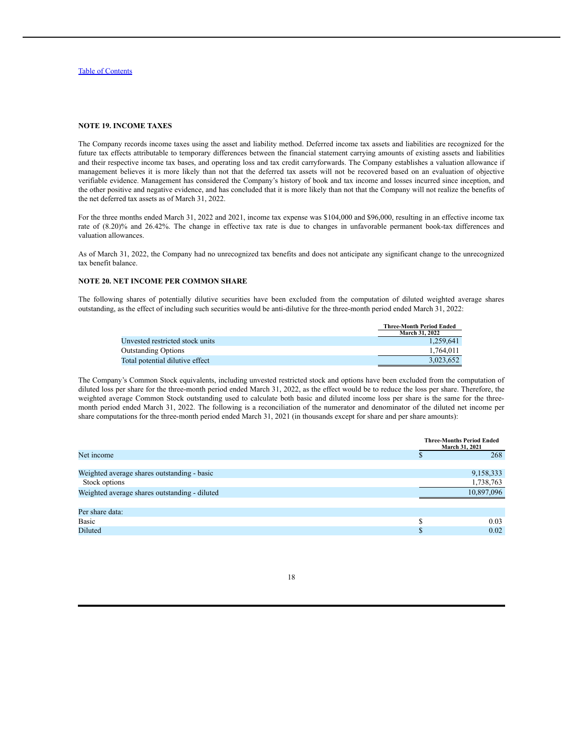

# **NOTE 19. INCOME TAXES**

The Company records income taxes using the asset and liability method. Deferred income tax assets and liabilities are recognized for the future tax effects attributable to temporary differences between the financial statement carrying amounts of existing assets and liabilities and their respective income tax bases, and operating loss and tax credit carryforwards. The Company establishes a valuation allowance if management believes it is more likely than not that the deferred tax assets will not be recovered based on an evaluation of objective verifiable evidence. Management has considered the Company's history of book and tax income and losses incurred since inception, and the other positive and negative evidence, and has concluded that it is more likely than not that the Company will not realize the benefits of the net deferred tax assets as of March 31, 2022.

For the three months ended March 31, 2022 and 2021, income tax expense was \$104,000 and \$96,000, resulting in an effective income tax rate of (8.20)% and 26.42%. The change in effective tax rate is due to changes in unfavorable permanent book-tax differences and valuation allowances.

As of March 31, 2022, the Company had no unrecognized tax benefits and does not anticipate any significant change to the unrecognized tax benefit balance.

## **NOTE 20. NET INCOME PER COMMON SHARE**

The following shares of potentially dilutive securities have been excluded from the computation of diluted weighted average shares outstanding, as the effect of including such securities would be anti-dilutive for the three-month period ended March 31, 2022:

|                                 | <b>Three-Month Period Ended</b> |
|---------------------------------|---------------------------------|
|                                 | <b>March 31, 2022</b>           |
| Unvested restricted stock units | 1.259.641                       |
| <b>Outstanding Options</b>      | 1.764.011                       |
| Total potential dilutive effect | 3.023.652                       |

The Company's Common Stock equivalents, including unvested restricted stock and options have been excluded from the computation of diluted loss per share for the three-month period ended March 31, 2022, as the effect would be to reduce the loss per share. Therefore, the weighted average Common Stock outstanding used to calculate both basic and diluted income loss per share is the same for the threemonth period ended March 31, 2022. The following is a reconciliation of the numerator and denominator of the diluted net income per share computations for the three-month period ended March 31, 2021 (in thousands except for share and per share amounts):

|                                               | <b>Three-Months Period Ended</b><br>March 31, 2021 |
|-----------------------------------------------|----------------------------------------------------|
| Net income                                    | 268                                                |
|                                               |                                                    |
| Weighted average shares outstanding - basic   | 9,158,333                                          |
| Stock options                                 | 1,738,763                                          |
| Weighted average shares outstanding - diluted | 10,897,096                                         |
|                                               |                                                    |
| Per share data:                               |                                                    |
| Basic                                         | 0.03                                               |
| Diluted                                       | 0.02                                               |
|                                               |                                                    |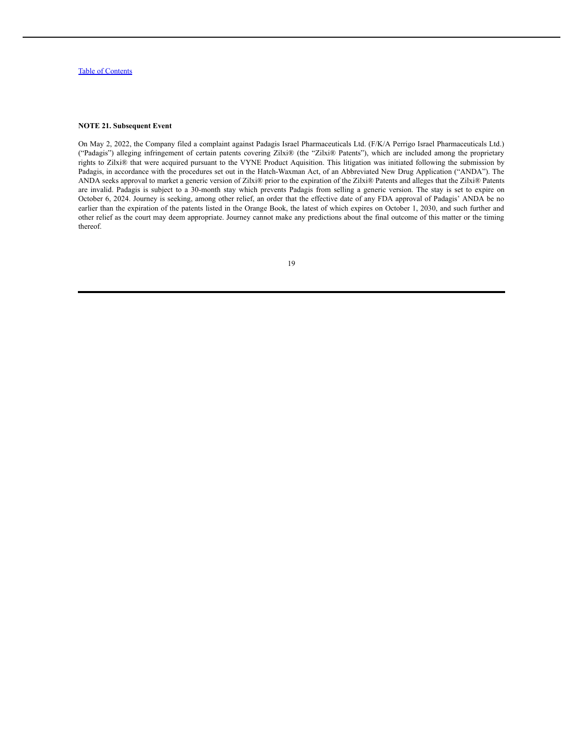# **NOTE 21. Subsequent Event**

On May 2, 2022, the Company filed a complaint against Padagis Israel Pharmaceuticals Ltd. (F/K/A Perrigo Israel Pharmaceuticals Ltd.) ("Padagis") alleging infringement of certain patents covering Zilxi® (the "Zilxi® Patents"), which are included among the proprietary rights to Zilxi® that were acquired pursuant to the VYNE Product Aquisition. This litigation was initiated following the submission by Padagis, in accordance with the procedures set out in the Hatch-Waxman Act, of an Abbreviated New Drug Application ("ANDA"). The ANDA seeks approval to market a generic version of Zilxi® prior to the expiration of the Zilxi® Patents and alleges that the Zilxi® Patents are invalid. Padagis is subject to a 30-month stay which prevents Padagis from selling a generic version. The stay is set to expire on October 6, 2024. Journey is seeking, among other relief, an order that the effective date of any FDA approval of Padagis' ANDA be no earlier than the expiration of the patents listed in the Orange Book, the latest of which expires on October 1, 2030, and such further and other relief as the court may deem appropriate. Journey cannot make any predictions about the final outcome of this matter or the timing thereof.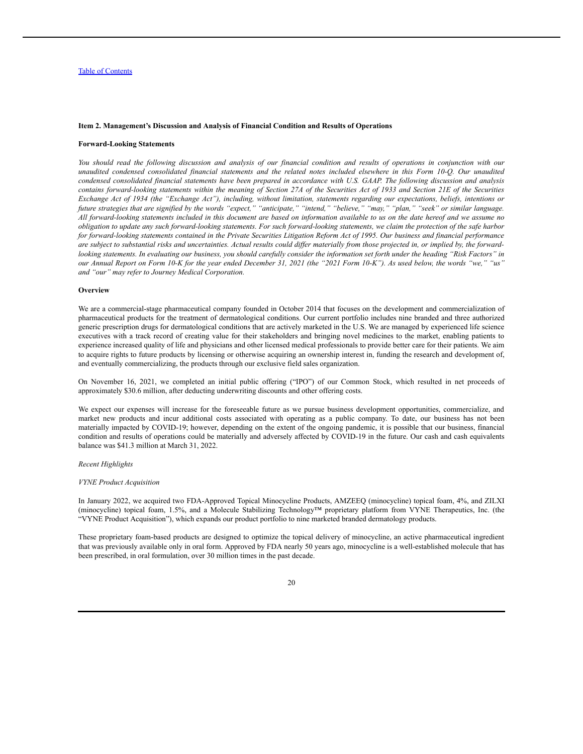#### <span id="page-21-0"></span>**Item 2. Management's Discussion and Analysis of Financial Condition and Results of Operations**

#### **Forward-Looking Statements**

You should read the following discussion and analysis of our financial condition and results of operations in conjunction with our unaudited condensed consolidated financial statements and the related notes included elsewhere in this Form 10-O. Our unaudited condensed consolidated financial statements have been prepared in accordance with U.S. GAAP. The following discussion and analysis contains forward-looking statements within the meaning of Section 27A of the Securities Act of 1933 and Section 21E of the Securities Exchange Act of 1934 (the "Exchange Act"), including, without limitation, statements regarding our expectations, beliefs, intentions or future strategies that are signified by the words "expect," "anticipate," "intend," "believe," "may," "plan," "seek" or similar language. All forward-looking statements included in this document are based on information available to us on the date hereof and we assume no obligation to update any such forward-looking statements. For such forward-looking statements, we claim the protection of the safe harbor for forward-looking statements contained in the Private Securities Litigation Reform Act of 1995. Our business and financial performance are subject to substantial risks and uncertainties. Actual results could differ materially from those projected in, or implied by, the forwardlooking statements. In evaluating our business, you should carefully consider the information set forth under the heading "Risk Factors" in our Annual Report on Form 10-K for the year ended December 31, 2021 (the "2021 Form 10-K"). As used below, the words "we," "us" *and "our" may refer to Journey Medical Corporation.*

#### **Overview**

We are a commercial-stage pharmaceutical company founded in October 2014 that focuses on the development and commercialization of pharmaceutical products for the treatment of dermatological conditions. Our current portfolio includes nine branded and three authorized generic prescription drugs for dermatological conditions that are actively marketed in the U.S. We are managed by experienced life science executives with a track record of creating value for their stakeholders and bringing novel medicines to the market, enabling patients to experience increased quality of life and physicians and other licensed medical professionals to provide better care for their patients. We aim to acquire rights to future products by licensing or otherwise acquiring an ownership interest in, funding the research and development of, and eventually commercializing, the products through our exclusive field sales organization.

On November 16, 2021, we completed an initial public offering ("IPO") of our Common Stock, which resulted in net proceeds of approximately \$30.6 million, after deducting underwriting discounts and other offering costs.

We expect our expenses will increase for the foreseeable future as we pursue business development opportunities, commercialize, and market new products and incur additional costs associated with operating as a public company. To date, our business has not been materially impacted by COVID-19; however, depending on the extent of the ongoing pandemic, it is possible that our business, financial condition and results of operations could be materially and adversely affected by COVID-19 in the future. Our cash and cash equivalents balance was \$41.3 million at March 31, 2022.

#### *Recent Highlights*

#### *VYNE Product Acquisition*

In January 2022, we acquired two FDA-Approved Topical Minocycline Products, AMZEEQ (minocycline) topical foam, 4%, and ZILXI (minocycline) topical foam, 1.5%, and a Molecule Stabilizing Technology™ proprietary platform from VYNE Therapeutics, Inc. (the "VYNE Product Acquisition"), which expands our product portfolio to nine marketed branded dermatology products.

These proprietary foam-based products are designed to optimize the topical delivery of minocycline, an active pharmaceutical ingredient that was previously available only in oral form. Approved by FDA nearly 50 years ago, minocycline is a well-established molecule that has been prescribed, in oral formulation, over 30 million times in the past decade.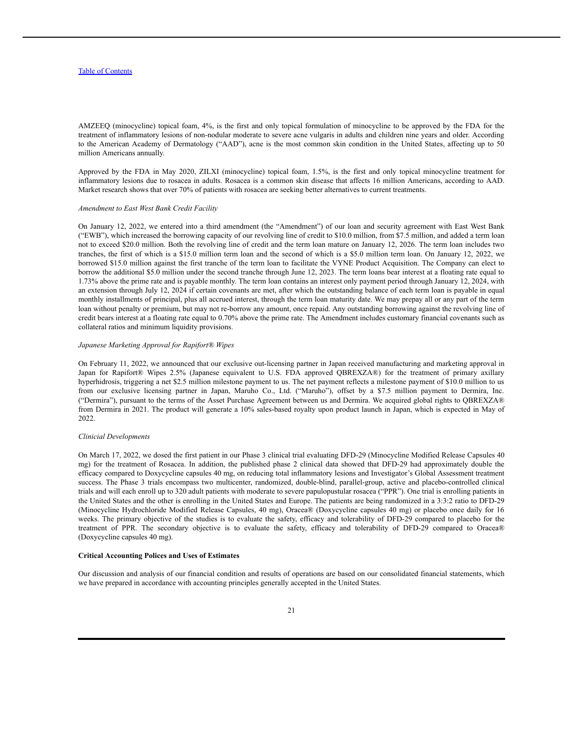AMZEEQ (minocycline) topical foam, 4%, is the first and only topical formulation of minocycline to be approved by the FDA for the treatment of inflammatory lesions of non-nodular moderate to severe acne vulgaris in adults and children nine years and older. According to the American Academy of Dermatology ("AAD"), acne is the most common skin condition in the United States, affecting up to 50 million Americans annually.

Approved by the FDA in May 2020, ZILXI (minocycline) topical foam, 1.5%, is the first and only topical minocycline treatment for inflammatory lesions due to rosacea in adults. Rosacea is a common skin disease that affects 16 million Americans, according to AAD. Market research shows that over 70% of patients with rosacea are seeking better alternatives to current treatments.

## *Amendment to East West Bank Credit Facility*

On January 12, 2022, we entered into a third amendment (the "Amendment") of our loan and security agreement with East West Bank ("EWB"), which increased the borrowing capacity of our revolving line of credit to \$10.0 million, from \$7.5 million, and added a term loan not to exceed \$20.0 million. Both the revolving line of credit and the term loan mature on January 12, 2026. The term loan includes two tranches, the first of which is a \$15.0 million term loan and the second of which is a \$5.0 million term loan. On January 12, 2022, we borrowed \$15.0 million against the first tranche of the term loan to facilitate the VYNE Product Acquisition. The Company can elect to borrow the additional \$5.0 million under the second tranche through June 12, 2023. The term loans bear interest at a floating rate equal to 1.73% above the prime rate and is payable monthly. The term loan contains an interest only payment period through January 12, 2024, with an extension through July 12, 2024 if certain covenants are met, after which the outstanding balance of each term loan is payable in equal monthly installments of principal, plus all accrued interest, through the term loan maturity date. We may prepay all or any part of the term loan without penalty or premium, but may not re-borrow any amount, once repaid. Any outstanding borrowing against the revolving line of credit bears interest at a floating rate equal to 0.70% above the prime rate. The Amendment includes customary financial covenants such as collateral ratios and minimum liquidity provisions.

#### *Japanese Marketing Approval for Rapifort® Wipes*

On February 11, 2022, we announced that our exclusive out-licensing partner in Japan received manufacturing and marketing approval in Japan for Rapifort® Wipes 2.5% (Japanese equivalent to U.S. FDA approved QBREXZA®) for the treatment of primary axillary hyperhidrosis, triggering a net \$2.5 million milestone payment to us. The net payment reflects a milestone payment of \$10.0 million to us from our exclusive licensing partner in Japan, Maruho Co., Ltd. ("Maruho"), offset by a \$7.5 million payment to Dermira, Inc. ("Dermira"), pursuant to the terms of the Asset Purchase Agreement between us and Dermira. We acquired global rights to QBREXZA® from Dermira in 2021. The product will generate a 10% sales-based royalty upon product launch in Japan, which is expected in May of 2022.

#### *Clinicial Developments*

On March 17, 2022, we dosed the first patient in our Phase 3 clinical trial evaluating DFD-29 (Minocycline Modified Release Capsules 40 mg) for the treatment of Rosacea. In addition, the published phase 2 clinical data showed that DFD-29 had approximately double the efficacy compared to Doxycycline capsules 40 mg, on reducing total inflammatory lesions and Investigator's Global Assessment treatment success. The Phase 3 trials encompass two multicenter, randomized, double-blind, parallel-group, active and placebo-controlled clinical trials and will each enroll up to 320 adult patients with moderate to severe papulopustular rosacea ("PPR"). One trial is enrolling patients in the United States and the other is enrolling in the United States and Europe. The patients are being randomized in a 3:3:2 ratio to DFD-29 (Minocycline Hydrochloride Modified Release Capsules, 40 mg), Oracea® (Doxycycline capsules 40 mg) or placebo once daily for 16 weeks. The primary objective of the studies is to evaluate the safety, efficacy and tolerability of DFD-29 compared to placebo for the treatment of PPR. The secondary objective is to evaluate the safety, efficacy and tolerability of DFD-29 compared to Oracea® (Doxycycline capsules 40 mg).

### **Critical Accounting Polices and Uses of Estimates**

Our discussion and analysis of our financial condition and results of operations are based on our consolidated financial statements, which we have prepared in accordance with accounting principles generally accepted in the United States.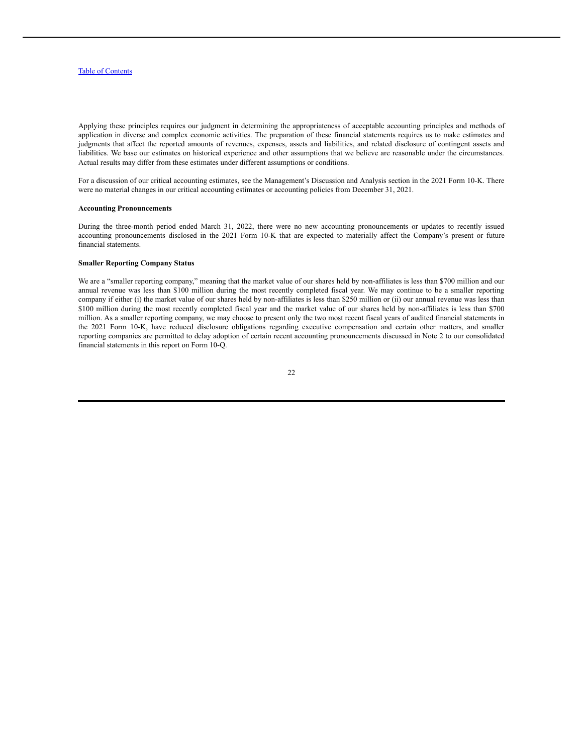Applying these principles requires our judgment in determining the appropriateness of acceptable accounting principles and methods of application in diverse and complex economic activities. The preparation of these financial statements requires us to make estimates and judgments that affect the reported amounts of revenues, expenses, assets and liabilities, and related disclosure of contingent assets and liabilities. We base our estimates on historical experience and other assumptions that we believe are reasonable under the circumstances. Actual results may differ from these estimates under different assumptions or conditions.

For a discussion of our critical accounting estimates, see the Management's Discussion and Analysis section in the 2021 Form 10-K. There were no material changes in our critical accounting estimates or accounting policies from December 31, 2021.

## **Accounting Pronouncements**

During the three-month period ended March 31, 2022, there were no new accounting pronouncements or updates to recently issued accounting pronouncements disclosed in the 2021 Form 10-K that are expected to materially affect the Company's present or future financial statements.

#### **Smaller Reporting Company Status**

We are a "smaller reporting company," meaning that the market value of our shares held by non-affiliates is less than \$700 million and our annual revenue was less than \$100 million during the most recently completed fiscal year. We may continue to be a smaller reporting company if either (i) the market value of our shares held by non-affiliates is less than \$250 million or (ii) our annual revenue was less than \$100 million during the most recently completed fiscal year and the market value of our shares held by non-affiliates is less than \$700 million. As a smaller reporting company, we may choose to present only the two most recent fiscal years of audited financial statements in the 2021 Form 10-K, have reduced disclosure obligations regarding executive compensation and certain other matters, and smaller reporting companies are permitted to delay adoption of certain recent accounting pronouncements discussed in Note 2 to our consolidated financial statements in this report on Form 10-Q.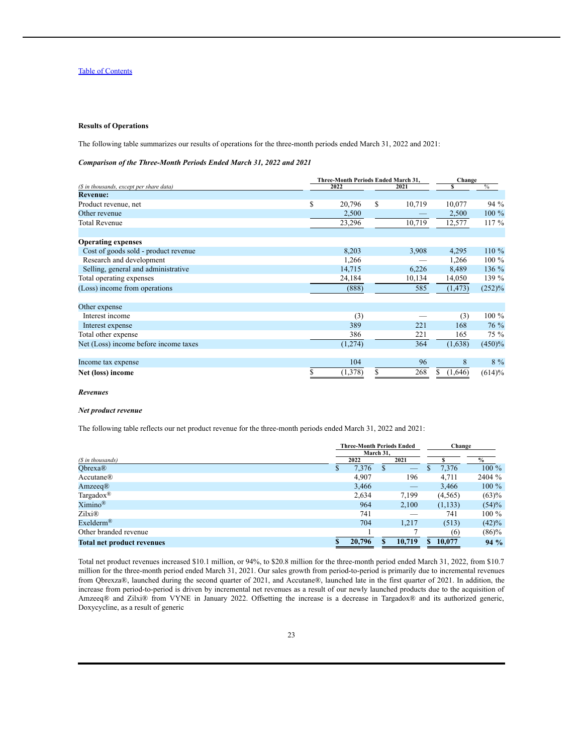# **Results of Operations**

The following table summarizes our results of operations for the three-month periods ended March 31, 2022 and 2021:

# *Comparison of the Three-Month Periods Ended March 31, 2022 and 2021*

|                                          | Three-Month Periods Ended March 31, |         |    |        |  | Change   |           |  |
|------------------------------------------|-------------------------------------|---------|----|--------|--|----------|-----------|--|
| (\$ in thousands, except per share data) |                                     | 2022    |    | 2021   |  | S        | $\%$      |  |
| <b>Revenue:</b>                          |                                     |         |    |        |  |          |           |  |
| Product revenue, net                     | \$                                  | 20,796  | \$ | 10,719 |  | 10,077   | 94 %      |  |
| Other revenue                            |                                     | 2,500   |    |        |  | 2,500    | $100 \%$  |  |
| <b>Total Revenue</b>                     |                                     | 23,296  |    | 10,719 |  | 12,577   | 117 %     |  |
|                                          |                                     |         |    |        |  |          |           |  |
| <b>Operating expenses</b>                |                                     |         |    |        |  |          |           |  |
| Cost of goods sold - product revenue     |                                     | 8,203   |    | 3,908  |  | 4,295    | $110\%$   |  |
| Research and development                 |                                     | 1,266   |    |        |  | 1,266    | 100 %     |  |
| Selling, general and administrative      |                                     | 14,715  |    | 6,226  |  | 8,489    | 136 %     |  |
| Total operating expenses                 |                                     | 24,184  |    | 10,134 |  | 14,050   | 139 %     |  |
| (Loss) income from operations            |                                     | (888)   |    | 585    |  | (1, 473) | $(252)\%$ |  |
| Other expense                            |                                     |         |    |        |  |          |           |  |
| Interest income                          |                                     | (3)     |    |        |  | (3)      | $100 \%$  |  |
| Interest expense                         |                                     | 389     |    | 221    |  | 168      | 76 %      |  |
| Total other expense                      |                                     | 386     |    | 221    |  | 165      | 75 %      |  |
| Net (Loss) income before income taxes    |                                     | (1,274) |    | 364    |  | (1,638)  | $(450)\%$ |  |
|                                          |                                     |         |    |        |  |          |           |  |
| Net (loss) income                        | \$                                  | (1,378) | \$ | 268    |  | (1,646)  | (614)%    |  |
| Income tax expense                       |                                     | 104     |    | 96     |  | 8        | $8\%$     |  |

# *Revenues*

#### *Net product revenue*

The following table reflects our net product revenue for the three-month periods ended March 31, 2022 and 2021:

|                                   | <b>Three-Month Periods Ended</b> |           |  |        |    | Change   |                                       |  |
|-----------------------------------|----------------------------------|-----------|--|--------|----|----------|---------------------------------------|--|
|                                   |                                  | March 31. |  |        |    |          |                                       |  |
| (\$ in thousands)                 |                                  | 2022      |  | 2021   |    |          | $\overline{\mathcal{O}_{\mathbf{O}}}$ |  |
| Qbrexa®                           |                                  | 7,376     |  |        | S  | 7,376    | $100\%$                               |  |
| Accutane®                         |                                  | 4,907     |  | 196    |    | 4,711    | 2404 %                                |  |
| Amzeeq $\mathbb{R}$               |                                  | 3,466     |  | _      |    | 3,466    | $100\%$                               |  |
| Targado $x^{\otimes}$             |                                  | 2,634     |  | 7,199  |    | (4,565)  | (63)%                                 |  |
| $Ximino^{\circledR}$              |                                  | 964       |  | 2,100  |    | (1, 133) | (54)%                                 |  |
| Zilxi®                            |                                  | 741       |  |        |    | 741      | $100\%$                               |  |
| Exelderm <sup>®</sup>             |                                  | 704       |  | 1,217  |    | (513)    | (42)%                                 |  |
| Other branded revenue             |                                  |           |  |        |    | (6)      | (86)%                                 |  |
| <b>Total net product revenues</b> |                                  | 20,796    |  | 10.719 | S. | 10.077   | $94\%$                                |  |

Total net product revenues increased \$10.1 million, or 94%, to \$20.8 million for the three-month period ended March 31, 2022, from \$10.7 million for the three-month period ended March 31, 2021. Our sales growth from period-to-period is primarily due to incremental revenues from Qbrexza®, launched during the second quarter of 2021, and Accutane®, launched late in the first quarter of 2021. In addition, the increase from period-to-period is driven by incremental net revenues as a result of our newly launched products due to the acquisition of Amzeeq® and Zilxi® from VYNE in January 2022. Offsetting the increase is a decrease in Targadox® and its authorized generic, Doxycycline, as a result of generic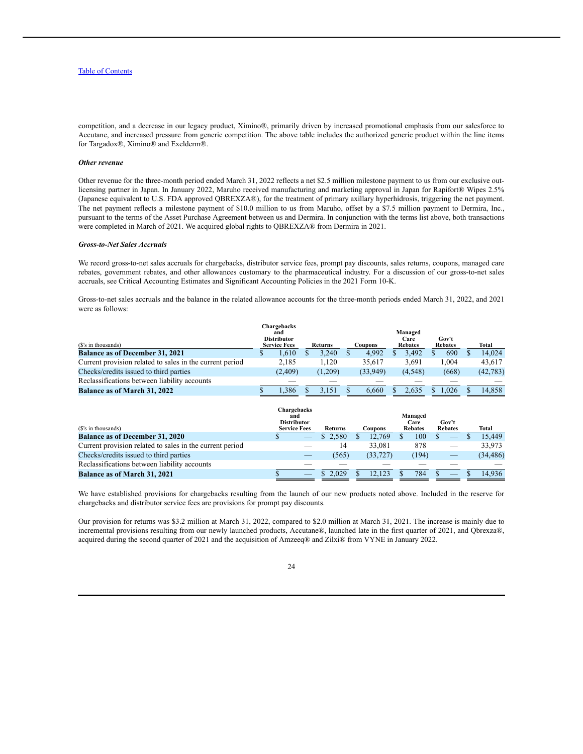competition, and a decrease in our legacy product, Ximino®, primarily driven by increased promotional emphasis from our salesforce to Accutane, and increased pressure from generic competition. The above table includes the authorized generic product within the line items for Targadox®, Ximino® and Exelderm®.

#### *Other revenue*

Other revenue for the three-month period ended March 31, 2022 reflects a net \$2.5 million milestone payment to us from our exclusive outlicensing partner in Japan. In January 2022, Maruho received manufacturing and marketing approval in Japan for Rapifort® Wipes 2.5% (Japanese equivalent to U.S. FDA approved QBREXZA®), for the treatment of primary axillary hyperhidrosis, triggering the net payment. The net payment reflects a milestone payment of \$10.0 million to us from Maruho, offset by a \$7.5 million payment to Dermira, Inc., pursuant to the terms of the Asset Purchase Agreement between us and Dermira. In conjunction with the terms list above, both transactions were completed in March of 2021. We acquired global rights to QBREXZA® from Dermira in 2021.

### *Gross-to-Net Sales Accruals*

We record gross-to-net sales accruals for chargebacks, distributor service fees, prompt pay discounts, sales returns, coupons, managed care rebates, government rebates, and other allowances customary to the pharmaceutical industry. For a discussion of our gross-to-net sales accruals, see Critical Accounting Estimates and Significant Accounting Policies in the 2021 Form 10-K.

Gross-to-net sales accruals and the balance in the related allowance accounts for the three-month periods ended March 31, 2022, and 2021 were as follows:

|                                                          |   | Chargebacks                                      |                |          |                                   |                         |           |
|----------------------------------------------------------|---|--------------------------------------------------|----------------|----------|-----------------------------------|-------------------------|-----------|
| (\$'s in thousands)                                      |   | and<br><b>Distributor</b><br><b>Service Fees</b> | <b>Returns</b> | Coupons  | Managed<br>Care<br><b>Rebates</b> | Gov't<br><b>Rebates</b> | Total     |
| <b>Balance as of December 31, 2021</b>                   | D | 1,610                                            | 3.240          | 4,992    | 3,492                             | 690                     | 14,024    |
| Current provision related to sales in the current period |   | 2.185                                            | 1,120          | 35,617   | 3,691                             | 1.004                   | 43,617    |
| Checks/credits issued to third parties                   |   | (2,409)                                          | (1,209)        | (33,949) | (4,548)                           | (668)                   | (42, 783) |
| Reclassifications between liability accounts             |   |                                                  |                |          |                                   |                         |           |
| <b>Balance as of March 31, 2022</b>                      |   | 1.386                                            | 3.151          | 6,660    | 2.635                             | 1,026                   | 14,858    |
|                                                          |   | Chargebacks<br>and                               |                |          | Managed                           |                         |           |

| (\$'s in thousands)                                      | <b>Distributor</b><br><b>Service Fees</b> | Returns | Coupons  | Care<br><b>Rebates</b> | Gov't<br><b>Rebates</b> | Total     |
|----------------------------------------------------------|-------------------------------------------|---------|----------|------------------------|-------------------------|-----------|
| <b>Balance as of December 31, 2020</b>                   |                                           | \$2.580 | 12.769   | 100                    |                         | 15.449    |
| Current provision related to sales in the current period |                                           | 14      | 33.081   | 878                    |                         | 33.973    |
| Checks/credits issued to third parties                   |                                           | (565)   | (33.727) | (194)                  |                         | (34, 486) |
| Reclassifications between liability accounts             |                                           |         |          |                        |                         |           |
| <b>Balance as of March 31, 2021</b>                      |                                           | 2.029   | 12.123   | 784                    |                         | 14.936    |

We have established provisions for chargebacks resulting from the launch of our new products noted above. Included in the reserve for chargebacks and distributor service fees are provisions for prompt pay discounts.

Our provision for returns was \$3.2 million at March 31, 2022, compared to \$2.0 million at March 31, 2021. The increase is mainly due to incremental provisions resulting from our newly launched products, Accutane®, launched late in the first quarter of 2021, and Qbrexza®, acquired during the second quarter of 2021 and the acquisition of Amzeeq® and Zilxi® from VYNE in January 2022.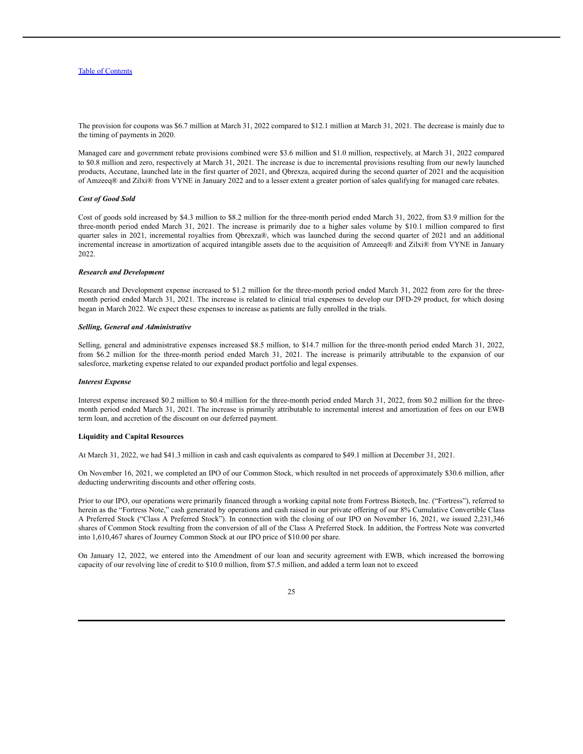The provision for coupons was \$6.7 million at March 31, 2022 compared to \$12.1 million at March 31, 2021. The decrease is mainly due to the timing of payments in 2020.

Managed care and government rebate provisions combined were \$3.6 million and \$1.0 million, respectively, at March 31, 2022 compared to \$0.8 million and zero, respectively at March 31, 2021. The increase is due to incremental provisions resulting from our newly launched products, Accutane, launched late in the first quarter of 2021, and Qbrexza, acquired during the second quarter of 2021 and the acquisition of Amzeeq® and Zilxi® from VYNE in January 2022 and to a lesser extent a greater portion of sales qualifying for managed care rebates.

### *Cost of Good Sold*

Cost of goods sold increased by \$4.3 million to \$8.2 million for the three-month period ended March 31, 2022, from \$3.9 million for the three-month period ended March 31, 2021. The increase is primarily due to a higher sales volume by \$10.1 million compared to first quarter sales in 2021, incremental royalties from Qbrexza®, which was launched during the second quarter of 2021 and an additional incremental increase in amortization of acquired intangible assets due to the acquisition of Amzeeq® and Zilxi® from VYNE in January 2022.

#### *Research and Development*

Research and Development expense increased to \$1.2 million for the three-month period ended March 31, 2022 from zero for the threemonth period ended March 31, 2021. The increase is related to clinical trial expenses to develop our DFD-29 product, for which dosing began in March 2022. We expect these expenses to increase as patients are fully enrolled in the trials.

#### *Selling, General and Administrative*

Selling, general and administrative expenses increased \$8.5 million, to \$14.7 million for the three-month period ended March 31, 2022, from \$6.2 million for the three-month period ended March 31, 2021. The increase is primarily attributable to the expansion of our salesforce, marketing expense related to our expanded product portfolio and legal expenses.

### *Interest Expense*

Interest expense increased \$0.2 million to \$0.4 million for the three-month period ended March 31, 2022, from \$0.2 million for the threemonth period ended March 31, 2021. The increase is primarily attributable to incremental interest and amortization of fees on our EWB term loan, and accretion of the discount on our deferred payment.

#### **Liquidity and Capital Resources**

At March 31, 2022, we had \$41.3 million in cash and cash equivalents as compared to \$49.1 million at December 31, 2021.

On November 16, 2021, we completed an IPO of our Common Stock, which resulted in net proceeds of approximately \$30.6 million, after deducting underwriting discounts and other offering costs.

Prior to our IPO, our operations were primarily financed through a working capital note from Fortress Biotech, Inc. ("Fortress"), referred to herein as the "Fortress Note," cash generated by operations and cash raised in our private offering of our 8% Cumulative Convertible Class A Preferred Stock ("Class A Preferred Stock"). In connection with the closing of our IPO on November 16, 2021, we issued 2,231,346 shares of Common Stock resulting from the conversion of all of the Class A Preferred Stock. In addition, the Fortress Note was converted into 1,610,467 shares of Journey Common Stock at our IPO price of \$10.00 per share.

On January 12, 2022, we entered into the Amendment of our loan and security agreement with EWB, which increased the borrowing capacity of our revolving line of credit to \$10.0 million, from \$7.5 million, and added a term loan not to exceed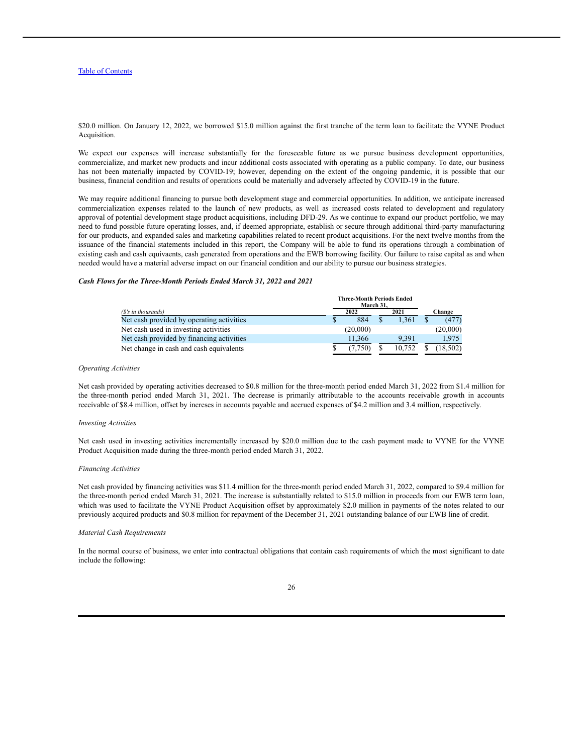\$20.0 million. On January 12, 2022, we borrowed \$15.0 million against the first tranche of the term loan to facilitate the VYNE Product Acquisition.

We expect our expenses will increase substantially for the foreseeable future as we pursue business development opportunities, commercialize, and market new products and incur additional costs associated with operating as a public company. To date, our business has not been materially impacted by COVID-19; however, depending on the extent of the ongoing pandemic, it is possible that our business, financial condition and results of operations could be materially and adversely affected by COVID-19 in the future.

We may require additional financing to pursue both development stage and commercial opportunities. In addition, we anticipate increased commercialization expenses related to the launch of new products, as well as increased costs related to development and regulatory approval of potential development stage product acquisitions, including DFD-29. As we continue to expand our product portfolio, we may need to fund possible future operating losses, and, if deemed appropriate, establish or secure through additional third-party manufacturing for our products, and expanded sales and marketing capabilities related to recent product acquisitions. For the next twelve months from the issuance of the financial statements included in this report, the Company will be able to fund its operations through a combination of existing cash and cash equivaents, cash generated from operations and the EWB borrowing facility. Our failure to raise capital as and when needed would have a material adverse impact on our financial condition and our ability to pursue our business strategies.

# *Cash Flows for the Three-Month Periods Ended March 31, 2022 and 2021*

|                                           | <b>Three-Month Periods Ended</b><br>March 31. |        |           |
|-------------------------------------------|-----------------------------------------------|--------|-----------|
| (S's in thousands)                        | 2022                                          | 2021   | Change    |
| Net cash provided by operating activities | 884                                           | 1.361  | (477)     |
| Net cash used in investing activities     | (20,000)                                      |        | (20,000)  |
| Net cash provided by financing activities | 11.366                                        | 9.391  | 1.975     |
| Net change in cash and cash equivalents   | (7.750)                                       | 10.752 | (18, 502) |

#### *Operating Activities*

Net cash provided by operating activities decreased to \$0.8 million for the three-month period ended March 31, 2022 from \$1.4 million for the three-month period ended March 31, 2021. The decrease is primarily attributable to the accounts receivable growth in accounts receivable of \$8.4 million, offset by increses in accounts payable and accrued expenses of \$4.2 million and 3.4 million, respectively.

#### *Investing Activities*

Net cash used in investing activities incrementally increased by \$20.0 million due to the cash payment made to VYNE for the VYNE Product Acquisition made during the three-month period ended March 31, 2022.

#### *Financing Activities*

Net cash provided by financing activities was \$11.4 million for the three-month period ended March 31, 2022, compared to \$9.4 million for the three-month period ended March 31, 2021. The increase is substantially related to \$15.0 million in proceeds from our EWB term loan, which was used to facilitate the VYNE Product Acquisition offset by approximately \$2.0 million in payments of the notes related to our previously acquired products and \$0.8 million for repayment of the December 31, 2021 outstanding balance of our EWB line of credit.

## *Material Cash Requirements*

In the normal course of business, we enter into contractual obligations that contain cash requirements of which the most significant to date include the following: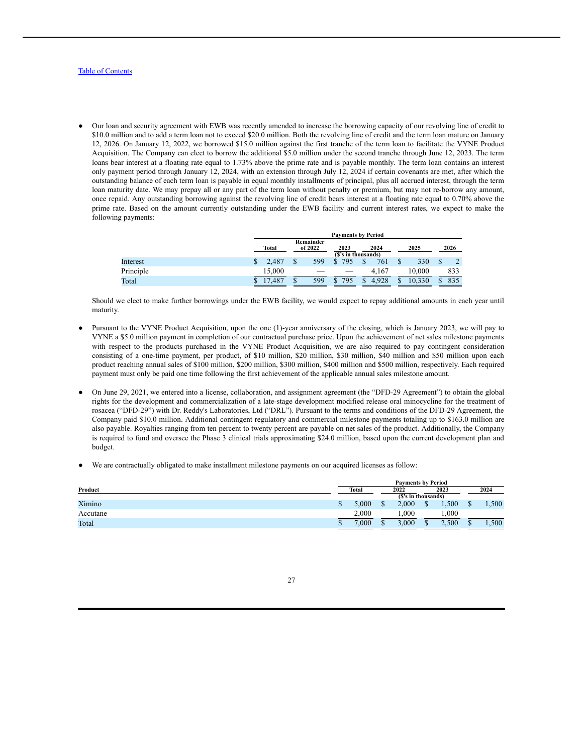Our loan and security agreement with EWB was recently amended to increase the borrowing capacity of our revolving line of credit to \$10.0 million and to add a term loan not to exceed \$20.0 million. Both the revolving line of credit and the term loan mature on January 12, 2026. On January 12, 2022, we borrowed \$15.0 million against the first tranche of the term loan to facilitate the VYNE Product Acquisition. The Company can elect to borrow the additional \$5.0 million under the second tranche through June 12, 2023. The term loans bear interest at a floating rate equal to 1.73% above the prime rate and is payable monthly. The term loan contains an interest only payment period through January 12, 2024, with an extension through July 12, 2024 if certain covenants are met, after which the outstanding balance of each term loan is payable in equal monthly installments of principal, plus all accrued interest, through the term loan maturity date. We may prepay all or any part of the term loan without penalty or premium, but may not re-borrow any amount, once repaid. Any outstanding borrowing against the revolving line of credit bears interest at a floating rate equal to 0.70% above the prime rate. Based on the amount currently outstanding under the EWB facility and current interest rates, we expect to make the following payments:

|           |              |                      |     | <b>Payments by Period</b> |                            |       |        |               |
|-----------|--------------|----------------------|-----|---------------------------|----------------------------|-------|--------|---------------|
|           | <b>Total</b> | Remainder<br>of 2022 |     |                           | 2023<br>(S's in thousands) | 2024  | 2025   | 2026          |
| Interest  | 2.487        |                      | 599 | 795<br>S.                 |                            | 761   | 330    | $\mathcal{D}$ |
| Principle | 15,000       |                      |     |                           |                            | 4.167 | 10.000 | 833           |
| Total     | 17.487       | \$                   | 599 | 795<br>$\mathbb{S}^-$     |                            | 4.928 | 10.330 | 835           |

Should we elect to make further borrowings under the EWB facility, we would expect to repay additional amounts in each year until maturity.

- Pursuant to the VYNE Product Acquisition, upon the one (1)-year anniversary of the closing, which is January 2023, we will pay to VYNE a \$5.0 million payment in completion of our contractual purchase price. Upon the achievement of net sales milestone payments with respect to the products purchased in the VYNE Product Acquisition, we are also required to pay contingent consideration consisting of a one-time payment, per product, of \$10 million, \$20 million, \$30 million, \$40 million and \$50 million upon each product reaching annual sales of \$100 million, \$200 million, \$300 million, \$400 million and \$500 million, respectively. Each required payment must only be paid one time following the first achievement of the applicable annual sales milestone amount.
- On June 29, 2021, we entered into a license, collaboration, and assignment agreement (the "DFD-29 Agreement") to obtain the global rights for the development and commercialization of a late-stage development modified release oral minocycline for the treatment of rosacea ("DFD-29") with Dr. Reddy's Laboratories, Ltd ("DRL"). Pursuant to the terms and conditions of the DFD-29 Agreement, the Company paid \$10.0 million. Additional contingent regulatory and commercial milestone payments totaling up to \$163.0 million are also payable. Royalties ranging from ten percent to twenty percent are payable on net sales of the product. Additionally, the Company is required to fund and oversee the Phase 3 clinical trials approximating \$24.0 million, based upon the current development plan and budget.
- We are contractually obligated to make installment milestone payments on our acquired licenses as follow:

| <b>Payments by Period</b> |  |              |             |                    |             |       |             |                          |
|---------------------------|--|--------------|-------------|--------------------|-------------|-------|-------------|--------------------------|
| Product                   |  | <b>Total</b> |             | 2022               |             | 2023  |             | 2024                     |
|                           |  |              |             | (S's in thousands) |             |       |             |                          |
| Ximino                    |  | 5.000        | $\triangle$ | 2.000              |             | 1,500 | $\triangle$ | 1,500                    |
| Accutane                  |  | 2.000        |             | .000               |             | .000  |             | $\overline{\phantom{a}}$ |
| Total                     |  | .000         |             | .000               | $\triangle$ | 2.500 | $\sqrt{2}$  | 1,500                    |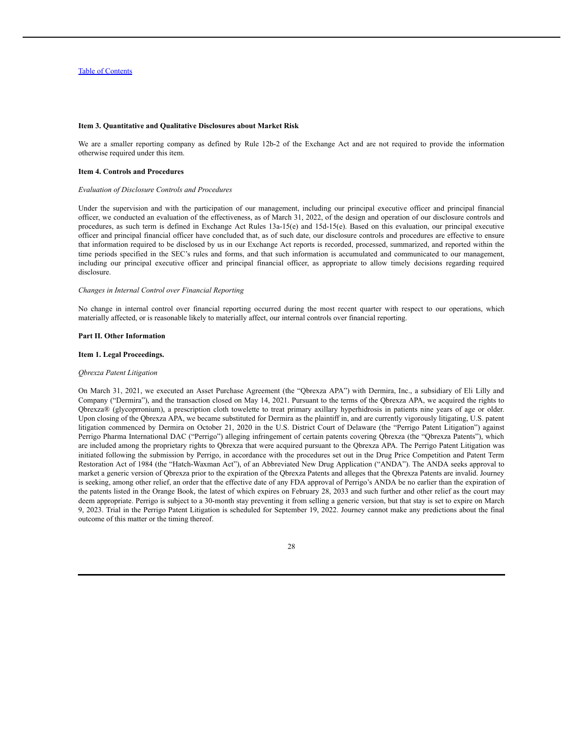#### <span id="page-29-0"></span>**Item 3. Quantitative and Qualitative Disclosures about Market Risk**

We are a smaller reporting company as defined by Rule 12b-2 of the Exchange Act and are not required to provide the information otherwise required under this item.

#### <span id="page-29-1"></span>**Item 4. Controls and Procedures**

#### *Evaluation of Disclosure Controls and Procedures*

Under the supervision and with the participation of our management, including our principal executive officer and principal financial officer, we conducted an evaluation of the effectiveness, as of March 31, 2022, of the design and operation of our disclosure controls and procedures, as such term is defined in Exchange Act Rules 13a-15(e) and 15d-15(e). Based on this evaluation, our principal executive officer and principal financial officer have concluded that, as of such date, our disclosure controls and procedures are effective to ensure that information required to be disclosed by us in our Exchange Act reports is recorded, processed, summarized, and reported within the time periods specified in the SEC's rules and forms, and that such information is accumulated and communicated to our management, including our principal executive officer and principal financial officer, as appropriate to allow timely decisions regarding required disclosure.

# *Changes in Internal Control over Financial Reporting*

No change in internal control over financial reporting occurred during the most recent quarter with respect to our operations, which materially affected, or is reasonable likely to materially affect, our internal controls over financial reporting.

#### <span id="page-29-2"></span>**Part II. Other Information**

## <span id="page-29-3"></span>**Item 1. Legal Proceedings.**

#### *Qbrexza Patent Litigation*

On March 31, 2021, we executed an Asset Purchase Agreement (the "Qbrexza APA") with Dermira, Inc., a subsidiary of Eli Lilly and Company ("Dermira"), and the transaction closed on May 14, 2021. Pursuant to the terms of the Qbrexza APA, we acquired the rights to Qbrexza® (glycoprronium), a prescription cloth towelette to treat primary axillary hyperhidrosis in patients nine years of age or older. Upon closing of the Qbrexza APA, we became substituted for Dermira as the plaintiff in, and are currently vigorously litigating, U.S. patent litigation commenced by Dermira on October 21, 2020 in the U.S. District Court of Delaware (the "Perrigo Patent Litigation") against Perrigo Pharma International DAC ("Perrigo") alleging infringement of certain patents covering Qbrexza (the "Qbrexza Patents"), which are included among the proprietary rights to Qbrexza that were acquired pursuant to the Qbrexza APA. The Perrigo Patent Litigation was initiated following the submission by Perrigo, in accordance with the procedures set out in the Drug Price Competition and Patent Term Restoration Act of 1984 (the "Hatch-Waxman Act"), of an Abbreviated New Drug Application ("ANDA"). The ANDA seeks approval to market a generic version of Qbrexza prior to the expiration of the Qbrexza Patents and alleges that the Qbrexza Patents are invalid. Journey is seeking, among other relief, an order that the effective date of any FDA approval of Perrigo's ANDA be no earlier than the expiration of the patents listed in the Orange Book, the latest of which expires on February 28, 2033 and such further and other relief as the court may deem appropriate. Perrigo is subject to a 30-month stay preventing it from selling a generic version, but that stay is set to expire on March 9, 2023. Trial in the Perrigo Patent Litigation is scheduled for September 19, 2022. Journey cannot make any predictions about the final outcome of this matter or the timing thereof.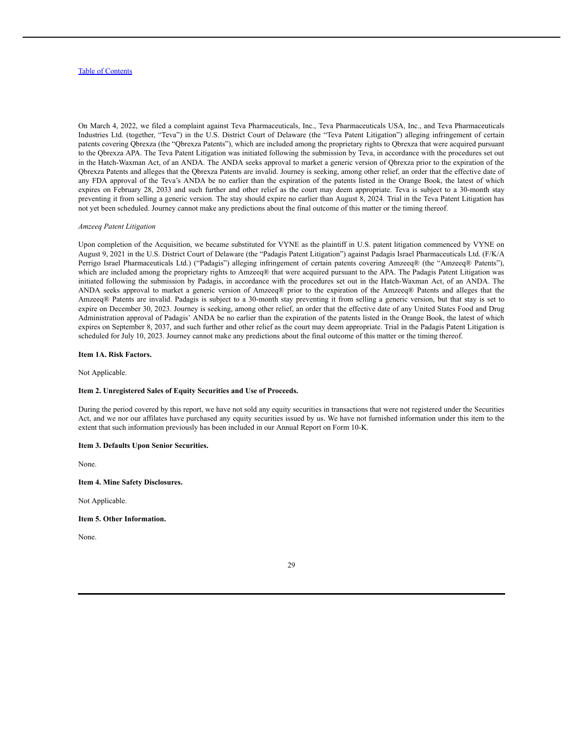On March 4, 2022, we filed a complaint against Teva Pharmaceuticals, Inc., Teva Pharmaceuticals USA, Inc., and Teva Pharmaceuticals Industries Ltd. (together, "Teva") in the U.S. District Court of Delaware (the "Teva Patent Litigation") alleging infringement of certain patents covering Qbrexza (the "Qbrexza Patents"), which are included among the proprietary rights to Qbrexza that were acquired pursuant to the Qbrexza APA. The Teva Patent Litigation was initiated following the submission by Teva, in accordance with the procedures set out in the Hatch-Waxman Act, of an ANDA. The ANDA seeks approval to market a generic version of Qbrexza prior to the expiration of the Qbrexza Patents and alleges that the Qbrexza Patents are invalid. Journey is seeking, among other relief, an order that the effective date of any FDA approval of the Teva's ANDA be no earlier than the expiration of the patents listed in the Orange Book, the latest of which expires on February 28, 2033 and such further and other relief as the court may deem appropriate. Teva is subject to a 30-month stay preventing it from selling a generic version. The stay should expire no earlier than August 8, 2024. Trial in the Teva Patent Litigation has not yet been scheduled. Journey cannot make any predictions about the final outcome of this matter or the timing thereof.

### *Amzeeq Patent Litigation*

Upon completion of the Acquisition, we became substituted for VYNE as the plaintiff in U.S. patent litigation commenced by VYNE on August 9, 2021 in the U.S. District Court of Delaware (the "Padagis Patent Litigation") against Padagis Israel Pharmaceuticals Ltd. (F/K/A Perrigo Israel Pharmaceuticals Ltd.) ("Padagis") alleging infringement of certain patents covering Amzeeq® (the "Amzeeq® Patents"), which are included among the proprietary rights to Amzeeq® that were acquired pursuant to the APA. The Padagis Patent Litigation was initiated following the submission by Padagis, in accordance with the procedures set out in the Hatch-Waxman Act, of an ANDA. The ANDA seeks approval to market a generic version of Amzeeq® prior to the expiration of the Amzeeq® Patents and alleges that the Amzeeq® Patents are invalid. Padagis is subject to a 30-month stay preventing it from selling a generic version, but that stay is set to expire on December 30, 2023. Journey is seeking, among other relief, an order that the effective date of any United States Food and Drug Administration approval of Padagis' ANDA be no earlier than the expiration of the patents listed in the Orange Book, the latest of which expires on September 8, 2037, and such further and other relief as the court may deem appropriate. Trial in the Padagis Patent Litigation is scheduled for July 10, 2023. Journey cannot make any predictions about the final outcome of this matter or the timing thereof.

## <span id="page-30-0"></span>**Item 1A. Risk Factors.**

Not Applicable.

## <span id="page-30-1"></span>**Item 2. Unregistered Sales of Equity Securities and Use of Proceeds.**

During the period covered by this report, we have not sold any equity securities in transactions that were not registered under the Securities Act, and we nor our affilates have purchased any equity securities issued by us. We have not furnished information under this item to the extent that such information previously has been included in our Annual Report on Form 10-K.

#### <span id="page-30-2"></span>**Item 3. Defaults Upon Senior Securities.**

None.

## <span id="page-30-3"></span>**Item 4. Mine Safety Disclosures.**

Not Applicable.

## <span id="page-30-4"></span>**Item 5. Other Information.**

None.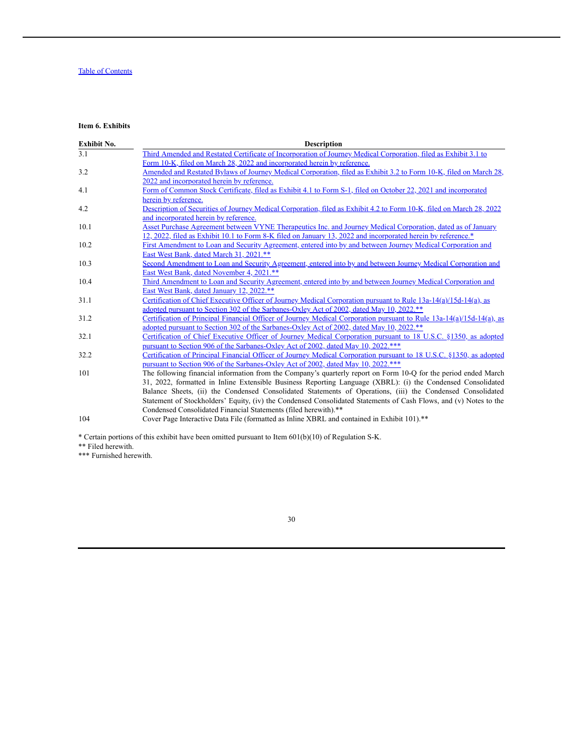# <span id="page-31-0"></span>**Item 6. Exhibits**

| Exhibit No. | <b>Description</b>                                                                                                   |
|-------------|----------------------------------------------------------------------------------------------------------------------|
| 3.1         | Third Amended and Restated Certificate of Incorporation of Journey Medical Corporation, filed as Exhibit 3.1 to      |
|             | Form 10-K, filed on March 28, 2022 and incorporated herein by reference.                                             |
| 3.2         | Amended and Restated Bylaws of Journey Medical Corporation, filed as Exhibit 3.2 to Form 10-K, filed on March 28,    |
|             | 2022 and incorporated herein by reference.                                                                           |
| 4.1         | Form of Common Stock Certificate, filed as Exhibit 4.1 to Form S-1, filed on October 22, 2021 and incorporated       |
|             | herein by reference.                                                                                                 |
| 4.2         | Description of Securities of Journey Medical Corporation, filed as Exhibit 4.2 to Form 10-K, filed on March 28, 2022 |
|             | and incorporated herein by reference.                                                                                |
| 10.1        | Asset Purchase Agreement between VYNE Therapeutics Inc. and Journey Medical Corporation, dated as of January         |
|             | 12, 2022, filed as Exhibit 10.1 to Form 8-K filed on January 13, 2022 and incorporated herein by reference.*         |
| 10.2        | First Amendment to Loan and Security Agreement, entered into by and between Journey Medical Corporation and          |
|             | East West Bank, dated March 31, 2021.**                                                                              |
| 10.3        | Second Amendment to Loan and Security Agreement, entered into by and between Journey Medical Corporation and         |
|             | East West Bank, dated November 4, 2021.**                                                                            |
| 10.4        | Third Amendment to Loan and Security Agreement, entered into by and between Journey Medical Corporation and          |
|             | East West Bank, dated January 12, 2022.**                                                                            |
| 31.1        | Certification of Chief Executive Officer of Journey Medical Corporation pursuant to Rule 13a-14(a)/15d-14(a), as     |
|             | adopted pursuant to Section 302 of the Sarbanes-Oxley Act of 2002, dated May 10, 2022.**                             |
| 31.2        | Certification of Principal Financial Officer of Journey Medical Corporation pursuant to Rule 13a-14(a)/15d-14(a), as |
|             | adopted pursuant to Section 302 of the Sarbanes-Oxley Act of 2002, dated May 10, 2022.**                             |
| 32.1        | Certification of Chief Executive Officer of Journey Medical Corporation pursuant to 18 U.S.C. §1350, as adopted      |
|             | pursuant to Section 906 of the Sarbanes-Oxley Act of 2002, dated May 10, 2022. ***                                   |
| 32.2        | Certification of Principal Financial Officer of Journey Medical Corporation pursuant to 18 U.S.C. §1350, as adopted  |
|             | pursuant to Section 906 of the Sarbanes-Oxley Act of 2002, dated May 10, 2022.***                                    |
| 101         | The following financial information from the Company's quarterly report on Form 10-Q for the period ended March      |
|             | 31, 2022, formatted in Inline Extensible Business Reporting Language (XBRL): (i) the Condensed Consolidated          |
|             | Balance Sheets, (ii) the Condensed Consolidated Statements of Operations, (iii) the Condensed Consolidated           |
|             | Statement of Stockholders' Equity, (iv) the Condensed Consolidated Statements of Cash Flows, and (v) Notes to the    |
|             | Condensed Consolidated Financial Statements (filed herewith).**                                                      |
| 104         | Cover Page Interactive Data File (formatted as Inline XBRL and contained in Exhibit 101).**                          |

\* Certain portions of this exhibit have been omitted pursuant to Item 601(b)(10) of Regulation S-K.

\*\* Filed herewith.

\*\*\* Furnished herewith.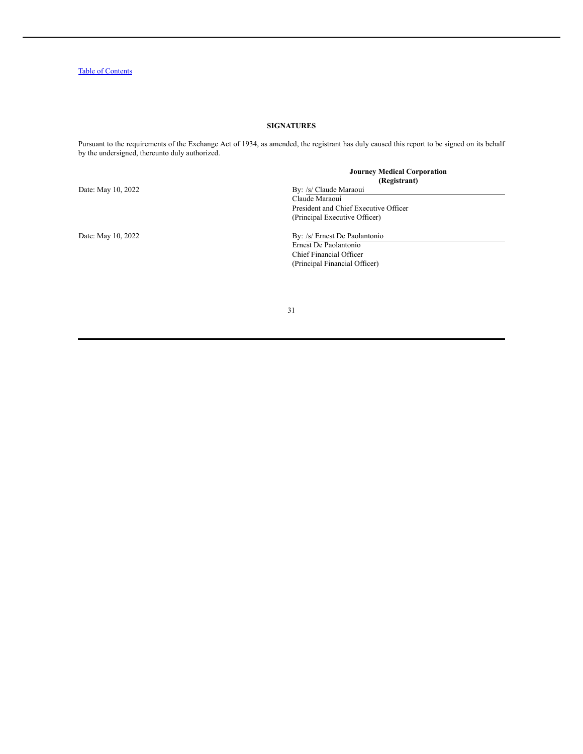# **SIGNATURES**

<span id="page-32-0"></span>Pursuant to the requirements of the Exchange Act of 1934, as amended, the registrant has duly caused this report to be signed on its behalf by the undersigned, thereunto duly authorized.

**(Registrant)** Date: May 10, 2022 By: /s/ Claude Maraoui Claude Maraoui President and Chief Executive Officer (Principal Executive Officer)

**Journey Medical Corporation**

Date: May 10, 2022 By: /s/ Ernest De Paolantonio Ernest De Paolantonio Chief Financial Officer (Principal Financial Officer)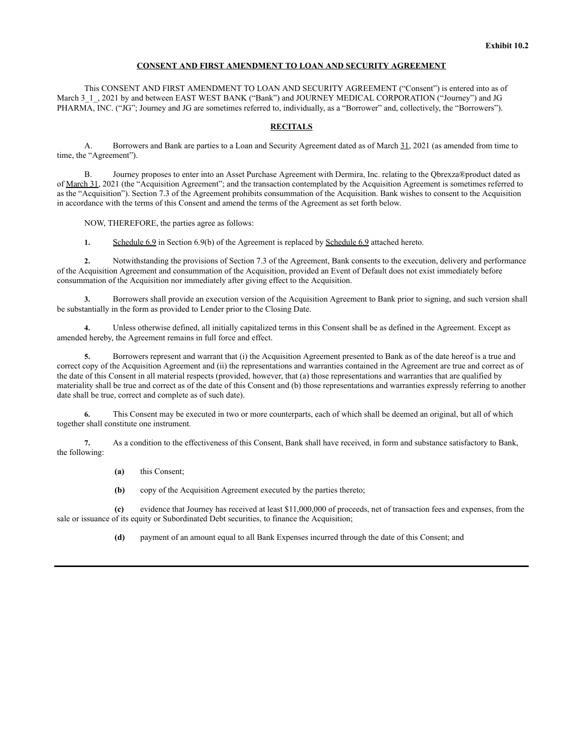# **CONSENT AND FIRST AMENDMENT TO LOAN AND SECURITY AGREEMENT**

This CONSENT AND FIRST AMENDMENT TO LOAN AND SECURITY AGREEMENT ("Consent") is entered into as of March 3\_1 , 2021 by and between EAST WEST BANK ("Bank") and JOURNEY MEDICAL CORPORATION ("Journey") and JG PHARMA, INC. ("JG"; Journey and JG are sometimes referred to, individually, as a "Borrower" and, collectively, the "Borrowers").

# **RECITALS**

A. Borrowers and Bank are parties to a Loan and Security Agreement dated as of March 31, 2021 (as amended from time to time, the "Agreement").

B. Journey proposes to enter into an Asset Purchase Agreement with Dermira, Inc. relating to the Qbrexza®product dated as of March 31, 2021 (the "Acquisition Agreement"; and the transaction contemplated by the Acquisition Agreement is sometimes referred to as the "Acquisition"). Section 7.3 of the Agreement prohibits consummation of the Acquisition. Bank wishes to consent to the Acquisition in accordance with the terms of this Consent and amend the terms of the Agreement as set forth below.

NOW, THEREFORE, the parties agree as follows:

**1.** Schedule 6.9 in Section 6.9(b) of the Agreement is replaced by Schedule 6.9 attached hereto.

**2.** Notwithstanding the provisions of Section 7.3 of the Agreement, Bank consents to the execution, delivery and performance of the Acquisition Agreement and consummation of the Acquisition, provided an Event of Default does not exist immediately before consummation of the Acquisition nor immediately after giving effect to the Acquisition.

**3.** Borrowers shall provide an execution version of the Acquisition Agreement to Bank prior to signing, and such version shall be substantially in the form as provided to Lender prior to the Closing Date.

**4.** Unless otherwise defined, all initially capitalized terms in this Consent shall be as defined in the Agreement. Except as amended hereby, the Agreement remains in full force and effect.

**5.** Borrowers represent and warrant that (i) the Acquisition Agreement presented to Bank as of the date hereof is a true and correct copy of the Acquisition Agreement and (ii) the representations and warranties contained in the Agreement are true and correct as of the date of this Consent in all material respects (provided, however, that (a) those representations and warranties that are qualified by materiality shall be true and correct as of the date of this Consent and (b) those representations and warranties expressly referring to another date shall be true, correct and complete as of such date).

**6.** This Consent may be executed in two or more counterparts, each of which shall be deemed an original, but all of which together shall constitute one instrument.

**7.** As a condition to the effectiveness of this Consent, Bank shall have received, in form and substance satisfactory to Bank, the following:

**(a)** this Consent;

**(b)** copy of the Acquisition Agreement executed by the parties thereto;

**(c)** evidence that Journey has received at least \$11,000,000 of proceeds, net of transaction fees and expenses, from the sale or issuance of its equity or Subordinated Debt securities, to finance the Acquisition;

**(d)** payment of an amount equal to all Bank Expenses incurred through the date of this Consent; and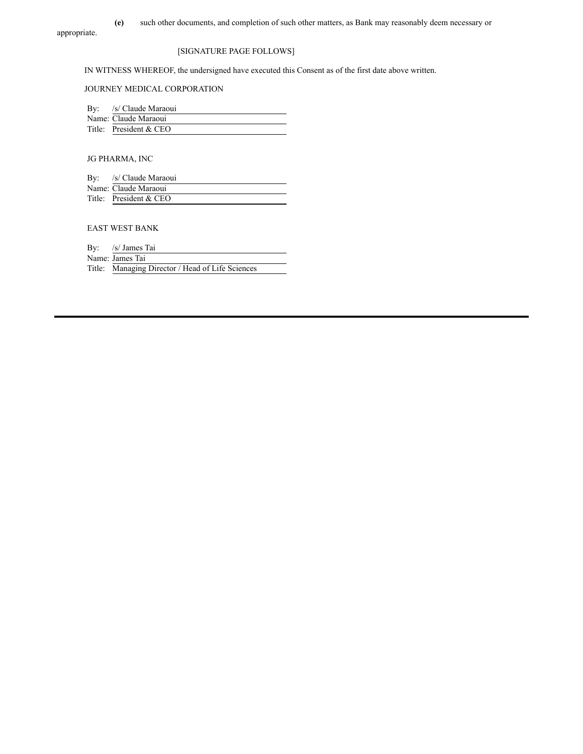appropriate.

# [SIGNATURE PAGE FOLLOWS]

IN WITNESS WHEREOF, the undersigned have executed this Consent as of the first date above written.

# JOURNEY MEDICAL CORPORATION

| $\mathbf{B} \mathbf{v}$ | /s/ Claude Maraoui     |
|-------------------------|------------------------|
|                         | Name: Claude Maraoui   |
|                         | Title: President & CEO |

# JG PHARMA, INC

| By: | /s/ Claude Maraoui     |
|-----|------------------------|
|     | Name: Claude Maraoui   |
|     | Title: President & CEO |

# EAST WEST BANK

| By: /s/ James Tai                                |
|--------------------------------------------------|
| Name: James Tai                                  |
| Title: Managing Director / Head of Life Sciences |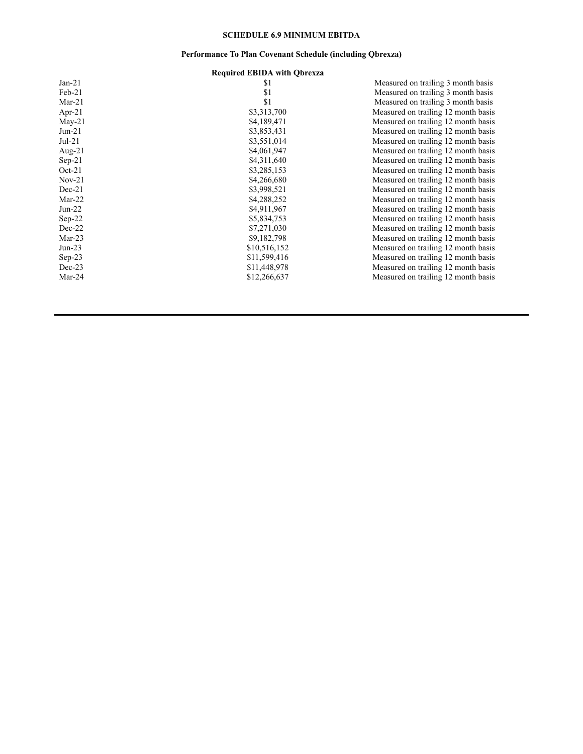# **SCHEDULE 6.9 MINIMUM EBITDA**

# **Performance To Plan Covenant Schedule (including Qbrexza)**

| <b>Required EBIDA with Obrexza</b> |              |                                     |  |  |
|------------------------------------|--------------|-------------------------------------|--|--|
| $Jan-21$                           | \$1          | Measured on trailing 3 month basis  |  |  |
| $Feb-21$                           | \$1          | Measured on trailing 3 month basis  |  |  |
| $Mar-21$                           | \$1          | Measured on trailing 3 month basis  |  |  |
| Apr-21                             | \$3,313,700  | Measured on trailing 12 month basis |  |  |
| May-21                             | \$4,189,471  | Measured on trailing 12 month basis |  |  |
| $Jun-21$                           | \$3,853,431  | Measured on trailing 12 month basis |  |  |
| $Jul-21$                           | \$3,551,014  | Measured on trailing 12 month basis |  |  |
| Aug- $21$                          | \$4,061,947  | Measured on trailing 12 month basis |  |  |
| $Sep-21$                           | \$4,311,640  | Measured on trailing 12 month basis |  |  |
| $Oct-21$                           | \$3,285,153  | Measured on trailing 12 month basis |  |  |
| $Nov-21$                           | \$4,266,680  | Measured on trailing 12 month basis |  |  |
| $Dec-21$                           | \$3,998,521  | Measured on trailing 12 month basis |  |  |
| Mar-22                             | \$4,288,252  | Measured on trailing 12 month basis |  |  |
| $Jun-22$                           | \$4,911,967  | Measured on trailing 12 month basis |  |  |
| $Sep-22$                           | \$5,834,753  | Measured on trailing 12 month basis |  |  |
| Dec-22                             | \$7,271,030  | Measured on trailing 12 month basis |  |  |
| Mar-23                             | \$9,182,798  | Measured on trailing 12 month basis |  |  |
| $Jun-23$                           | \$10,516,152 | Measured on trailing 12 month basis |  |  |
| $Sep-23$                           | \$11,599,416 | Measured on trailing 12 month basis |  |  |
| $Dec-23$                           | \$11,448,978 | Measured on trailing 12 month basis |  |  |
| Mar-24                             | \$12,266,637 | Measured on trailing 12 month basis |  |  |
|                                    |              |                                     |  |  |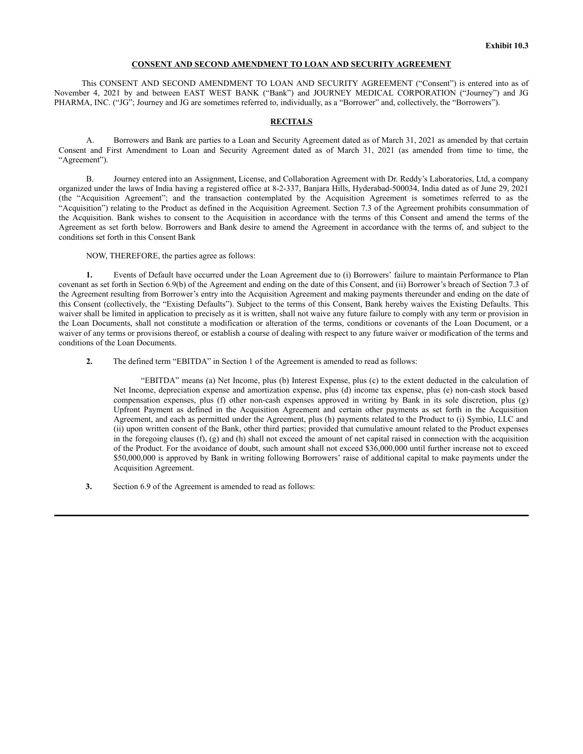## **CONSENT AND SECOND AMENDMENT TO LOAN AND SECURITY AGREEMENT**

This CONSENT AND SECOND AMENDMENT TO LOAN AND SECURITY AGREEMENT ("Consent") is entered into as of November 4, 2021 by and between EAST WEST BANK ("Bank") and JOURNEY MEDICAL CORPORATION ("Journey") and JG PHARMA, INC. ("JG"; Journey and JG are sometimes referred to, individually, as a "Borrower" and, collectively, the "Borrowers").

# **RECITALS**

A. Borrowers and Bank are parties to a Loan and Security Agreement dated as of March 31, 2021 as amended by that certain Consent and First Amendment to Loan and Security Agreement dated as of March 31, 2021 (as amended from time to time, the "Agreement").

B. Journey entered into an Assignment, License, and Collaboration Agreement with Dr. Reddy's Laboratories, Ltd, a company organized under the laws of India having a registered office at 8-2-337, Banjara Hills, Hyderabad-500034, India dated as of June 29, 2021 (the "Acquisition Agreement"; and the transaction contemplated by the Acquisition Agreement is sometimes referred to as the "Acquisition") relating to the Product as defined in the Acquisition Agreement. Section 7.3 of the Agreement prohibits consummation of the Acquisition. Bank wishes to consent to the Acquisition in accordance with the terms of this Consent and amend the terms of the Agreement as set forth below. Borrowers and Bank desire to amend the Agreement in accordance with the terms of, and subject to the conditions set forth in this Consent Bank

NOW, THEREFORE, the parties agree as follows:

**1.** Events of Default have occurred under the Loan Agreement due to (i) Borrowers' failure to maintain Performance to Plan covenant as set forth in Section 6.9(b) of the Agreement and ending on the date of this Consent, and (ii) Borrower's breach of Section 7.3 of the Agreement resulting from Borrower's entry into the Acquisition Agreement and making payments thereunder and ending on the date of this Consent (collectively, the "Existing Defaults"). Subject to the terms of this Consent, Bank hereby waives the Existing Defaults. This waiver shall be limited in application to precisely as it is written, shall not waive any future failure to comply with any term or provision in the Loan Documents, shall not constitute a modification or alteration of the terms, conditions or covenants of the Loan Document, or a waiver of any terms or provisions thereof, or establish a course of dealing with respect to any future waiver or modification of the terms and conditions of the Loan Documents.

**2.** The defined term "EBITDA" in Section 1 of the Agreement is amended to read as follows:

"EBITDA" means (a) Net Income, plus (b) Interest Expense, plus (c) to the extent deducted in the calculation of Net Income, depreciation expense and amortization expense, plus (d) income tax expense, plus (e) non-cash stock based compensation expenses, plus (f) other non-cash expenses approved in writing by Bank in its sole discretion, plus (g) Upfront Payment as defined in the Acquisition Agreement and certain other payments as set forth in the Acquisition Agreement, and each as permitted under the Agreement, plus (h) payments related to the Product to (i) Symbio, LLC and (ii) upon written consent of the Bank, other third parties; provided that cumulative amount related to the Product expenses in the foregoing clauses  $(f)$ ,  $(g)$  and  $(h)$  shall not exceed the amount of net capital raised in connection with the acquisition of the Product. For the avoidance of doubt, such amount shall not exceed \$36,000,000 until further increase not to exceed \$50,000,000 is approved by Bank in writing following Borrowers' raise of additional capital to make payments under the Acquisition Agreement.

**3.** Section 6.9 of the Agreement is amended to read as follows: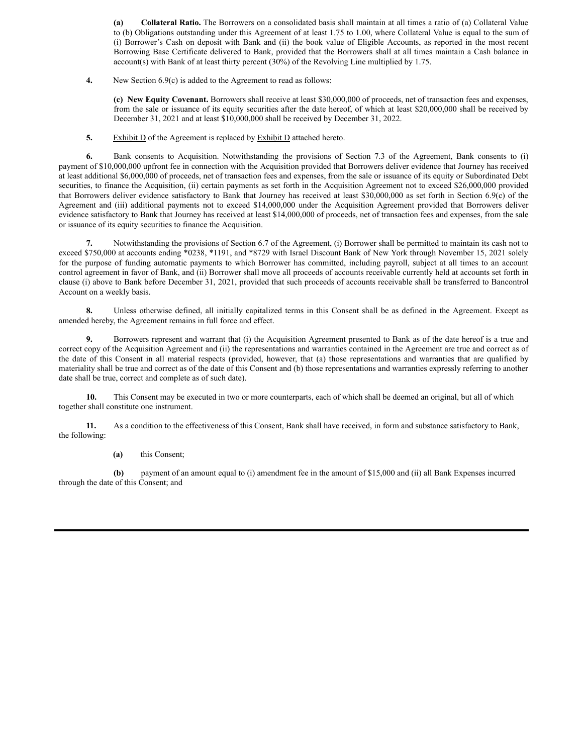**(a) Collateral Ratio.** The Borrowers on a consolidated basis shall maintain at all times a ratio of (a) Collateral Value to (b) Obligations outstanding under this Agreement of at least 1.75 to 1.00, where Collateral Value is equal to the sum of (i) Borrower's Cash on deposit with Bank and (ii) the book value of Eligible Accounts, as reported in the most recent Borrowing Base Certificate delivered to Bank, provided that the Borrowers shall at all times maintain a Cash balance in account(s) with Bank of at least thirty percent (30%) of the Revolving Line multiplied by 1.75.

**4.** New Section 6.9(c) is added to the Agreement to read as follows:

**(c) New Equity Covenant.** Borrowers shall receive at least \$30,000,000 of proceeds, net of transaction fees and expenses, from the sale or issuance of its equity securities after the date hereof, of which at least \$20,000,000 shall be received by December 31, 2021 and at least \$10,000,000 shall be received by December 31, 2022.

**5.** Exhibit D of the Agreement is replaced by Exhibit D attached hereto.

**6.** Bank consents to Acquisition. Notwithstanding the provisions of Section 7.3 of the Agreement, Bank consents to (i) payment of \$10,000,000 upfront fee in connection with the Acquisition provided that Borrowers deliver evidence that Journey has received at least additional \$6,000,000 of proceeds, net of transaction fees and expenses, from the sale or issuance of its equity or Subordinated Debt securities, to finance the Acquisition, (ii) certain payments as set forth in the Acquisition Agreement not to exceed \$26,000,000 provided that Borrowers deliver evidence satisfactory to Bank that Journey has received at least \$30,000,000 as set forth in Section 6.9(c) of the Agreement and (iii) additional payments not to exceed \$14,000,000 under the Acquisition Agreement provided that Borrowers deliver evidence satisfactory to Bank that Journey has received at least \$14,000,000 of proceeds, net of transaction fees and expenses, from the sale or issuance of its equity securities to finance the Acquisition.

**7.** Notwithstanding the provisions of Section 6.7 of the Agreement, (i) Borrower shall be permitted to maintain its cash not to exceed \$750,000 at accounts ending \*0238, \*1191, and \*8729 with Israel Discount Bank of New York through November 15, 2021 solely for the purpose of funding automatic payments to which Borrower has committed, including payroll, subject at all times to an account control agreement in favor of Bank, and (ii) Borrower shall move all proceeds of accounts receivable currently held at accounts set forth in clause (i) above to Bank before December 31, 2021, provided that such proceeds of accounts receivable shall be transferred to Bancontrol Account on a weekly basis.

**8.** Unless otherwise defined, all initially capitalized terms in this Consent shall be as defined in the Agreement. Except as amended hereby, the Agreement remains in full force and effect.

**9.** Borrowers represent and warrant that (i) the Acquisition Agreement presented to Bank as of the date hereof is a true and correct copy of the Acquisition Agreement and (ii) the representations and warranties contained in the Agreement are true and correct as of the date of this Consent in all material respects (provided, however, that (a) those representations and warranties that are qualified by materiality shall be true and correct as of the date of this Consent and (b) those representations and warranties expressly referring to another date shall be true, correct and complete as of such date).

**10.** This Consent may be executed in two or more counterparts, each of which shall be deemed an original, but all of which together shall constitute one instrument.

**11.** As a condition to the effectiveness of this Consent, Bank shall have received, in form and substance satisfactory to Bank, the following:

**(a)** this Consent;

**(b)** payment of an amount equal to (i) amendment fee in the amount of \$15,000 and (ii) all Bank Expenses incurred through the date of this Consent; and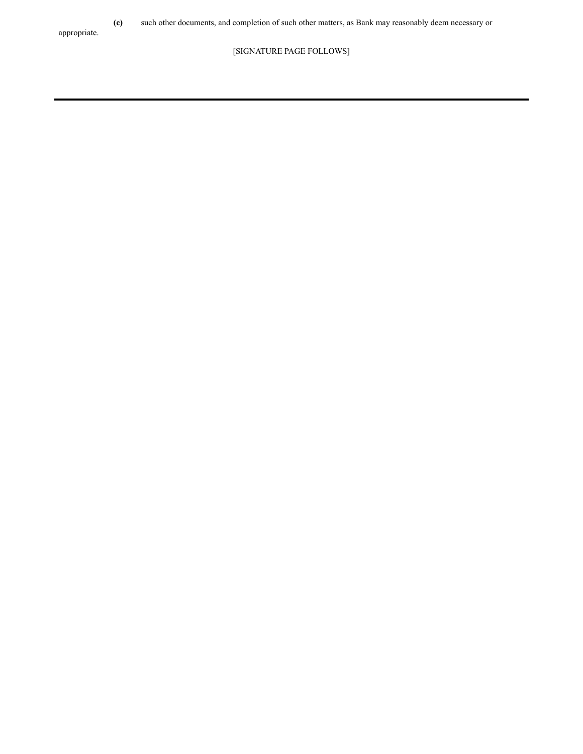appropriate.

[SIGNATURE PAGE FOLLOWS]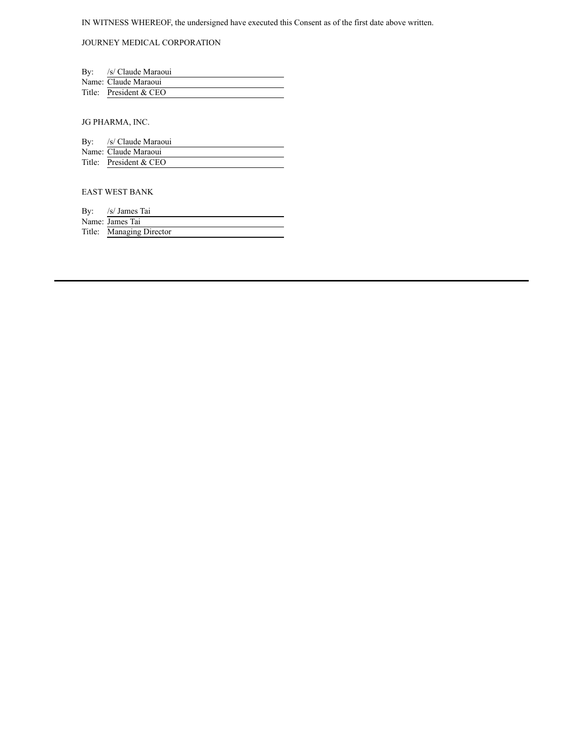# IN WITNESS WHEREOF, the undersigned have executed this Consent as of the first date above written.

# JOURNEY MEDICAL CORPORATION

| $\rm\,By:$ | /s/ Claude Maraoui     |
|------------|------------------------|
|            | Name: Claude Maraoui   |
|            | Title: President & CEO |

# JG PHARMA, INC.

| Bv: | /s/ Claude Maraoui     |
|-----|------------------------|
|     | Name: Claude Maraoui   |
|     | Title: President & CEO |

# EAST WEST BANK

| Bv: | /s/ James Tai            |
|-----|--------------------------|
|     | Name: James Tai          |
|     | Title: Managing Director |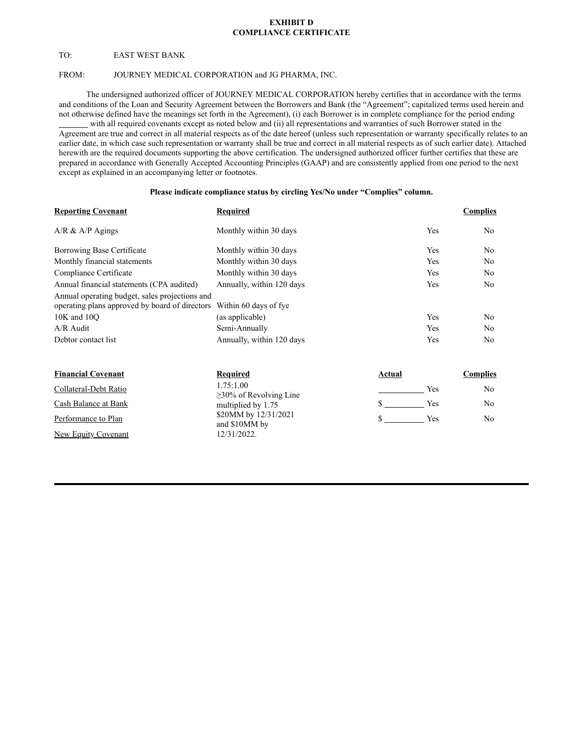## **EXHIBIT D COMPLIANCE CERTIFICATE**

# TO: EAST WEST BANK

# FROM: JOURNEY MEDICAL CORPORATION and JG PHARMA, INC.

The undersigned authorized officer of JOURNEY MEDICAL CORPORATION hereby certifies that in accordance with the terms and conditions of the Loan and Security Agreement between the Borrowers and Bank (the "Agreement"; capitalized terms used herein and not otherwise defined have the meanings set forth in the Agreement), (i) each Borrower is in complete compliance for the period ending with all required covenants except as noted below and (ii) all representations and warranties of such Borrower stated in the Agreement are true and correct in all material respects as of the date hereof (unless such representation or warranty specifically relates to an earlier date, in which case such representation or warranty shall be true and correct in all material respects as of such earlier date). Attached herewith are the required documents supporting the above certification. The undersigned authorized officer further certifies that these are prepared in accordance with Generally Accepted Accounting Principles (GAAP) and are consistently applied from one period to the next except as explained in an accompanying letter or footnotes.

### **Please indicate compliance status by circling Yes/No under "Complies" column.**

| <b>Reporting Covenant</b>                                                                                              | <b>Required</b>           |            | <b>Complies</b> |
|------------------------------------------------------------------------------------------------------------------------|---------------------------|------------|-----------------|
| $A/R \& A/P$ Agings                                                                                                    | Monthly within 30 days    | Yes        | N <sub>0</sub>  |
| Borrowing Base Certificate                                                                                             | Monthly within 30 days    | Yes        | No.             |
| Monthly financial statements                                                                                           | Monthly within 30 days    | Yes        | No.             |
| Compliance Certificate                                                                                                 | Monthly within 30 days    | Yes        | No.             |
| Annual financial statements (CPA audited)                                                                              | Annually, within 120 days | Yes        | No.             |
| Annual operating budget, sales projections and<br>operating plans approved by board of directors Within 60 days of fye |                           |            |                 |
| 10K and 10O                                                                                                            | (as applicable)           | <b>Yes</b> | N <sub>0</sub>  |
| $A/R$ Audit                                                                                                            | Semi-Annually             | Yes        | N <sub>0</sub>  |
| Debtor contact list                                                                                                    | Annually, within 120 days | Yes        | N <sub>0</sub>  |

| <b>Financial Covenant</b>   | <b>Required</b>                           | <b>Actual</b> | <b>Complies</b> |
|-----------------------------|-------------------------------------------|---------------|-----------------|
| Collateral-Debt Ratio       | 1.75:1.00<br>$\geq$ 30% of Revolving Line | Yes           | No              |
| <b>Cash Balance at Bank</b> | multiplied by 1.75                        | Yes           | No              |
| Performance to Plan         | \$20MM by 12/31/2021<br>and \$10MM by     | Yes           | No              |
| <b>New Equity Covenant</b>  | 12/31/2022.                               |               |                 |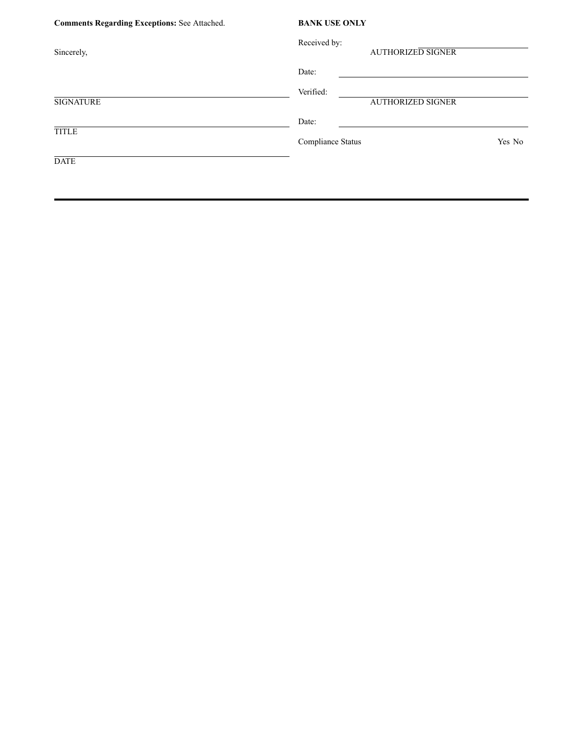| <b>Comments Regarding Exceptions: See Attached.</b> | <b>BANK USE ONLY</b>                     |        |
|-----------------------------------------------------|------------------------------------------|--------|
| Sincerely,                                          | Received by:<br><b>AUTHORIZED SIGNER</b> |        |
|                                                     | Date:                                    |        |
| <b>SIGNATURE</b>                                    | Verified:<br><b>AUTHORIZED SIGNER</b>    |        |
|                                                     | Date:                                    |        |
| <b>TITLE</b>                                        | Compliance Status                        | Yes No |
| <b>DATE</b>                                         |                                          |        |
|                                                     |                                          |        |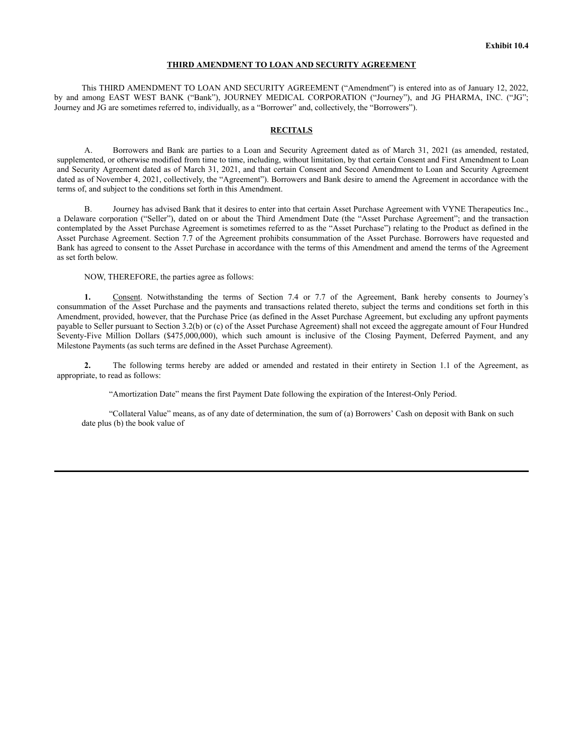## **THIRD AMENDMENT TO LOAN AND SECURITY AGREEMENT**

This THIRD AMENDMENT TO LOAN AND SECURITY AGREEMENT ("Amendment") is entered into as of January 12, 2022, by and among EAST WEST BANK ("Bank"), JOURNEY MEDICAL CORPORATION ("Journey"), and JG PHARMA, INC. ("JG"; Journey and JG are sometimes referred to, individually, as a "Borrower" and, collectively, the "Borrowers").

## **RECITALS**

A. Borrowers and Bank are parties to a Loan and Security Agreement dated as of March 31, 2021 (as amended, restated, supplemented, or otherwise modified from time to time, including, without limitation, by that certain Consent and First Amendment to Loan and Security Agreement dated as of March 31, 2021, and that certain Consent and Second Amendment to Loan and Security Agreement dated as of November 4, 2021, collectively, the "Agreement"). Borrowers and Bank desire to amend the Agreement in accordance with the terms of, and subject to the conditions set forth in this Amendment.

B. Journey has advised Bank that it desires to enter into that certain Asset Purchase Agreement with VYNE Therapeutics Inc., a Delaware corporation ("Seller"), dated on or about the Third Amendment Date (the "Asset Purchase Agreement"; and the transaction contemplated by the Asset Purchase Agreement is sometimes referred to as the "Asset Purchase") relating to the Product as defined in the Asset Purchase Agreement. Section 7.7 of the Agreement prohibits consummation of the Asset Purchase. Borrowers have requested and Bank has agreed to consent to the Asset Purchase in accordance with the terms of this Amendment and amend the terms of the Agreement as set forth below.

NOW, THEREFORE, the parties agree as follows:

**1.** Consent. Notwithstanding the terms of Section 7.4 or 7.7 of the Agreement, Bank hereby consents to Journey's consummation of the Asset Purchase and the payments and transactions related thereto, subject the terms and conditions set forth in this Amendment, provided, however, that the Purchase Price (as defined in the Asset Purchase Agreement, but excluding any upfront payments payable to Seller pursuant to Section 3.2(b) or (c) of the Asset Purchase Agreement) shall not exceed the aggregate amount of Four Hundred Seventy-Five Million Dollars (\$475,000,000), which such amount is inclusive of the Closing Payment, Deferred Payment, and any Milestone Payments (as such terms are defined in the Asset Purchase Agreement).

**2.** The following terms hereby are added or amended and restated in their entirety in Section 1.1 of the Agreement, as appropriate, to read as follows:

"Amortization Date" means the first Payment Date following the expiration of the Interest-Only Period.

"Collateral Value" means, as of any date of determination, the sum of (a) Borrowers' Cash on deposit with Bank on such date plus (b) the book value of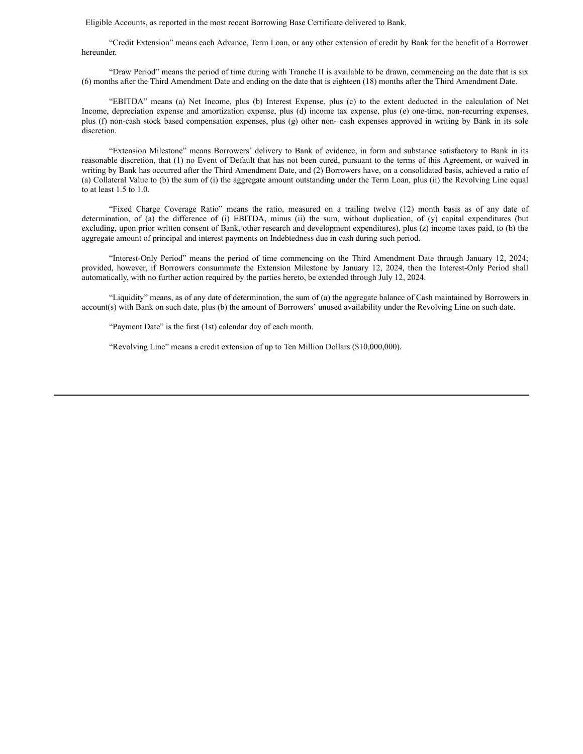Eligible Accounts, as reported in the most recent Borrowing Base Certificate delivered to Bank.

"Credit Extension" means each Advance, Term Loan, or any other extension of credit by Bank for the benefit of a Borrower hereunder.

"Draw Period" means the period of time during with Tranche II is available to be drawn, commencing on the date that is six (6) months after the Third Amendment Date and ending on the date that is eighteen (18) months after the Third Amendment Date.

"EBITDA" means (a) Net Income, plus (b) Interest Expense, plus (c) to the extent deducted in the calculation of Net Income, depreciation expense and amortization expense, plus (d) income tax expense, plus (e) one-time, non-recurring expenses, plus (f) non-cash stock based compensation expenses, plus (g) other non- cash expenses approved in writing by Bank in its sole discretion.

"Extension Milestone" means Borrowers' delivery to Bank of evidence, in form and substance satisfactory to Bank in its reasonable discretion, that (1) no Event of Default that has not been cured, pursuant to the terms of this Agreement, or waived in writing by Bank has occurred after the Third Amendment Date, and (2) Borrowers have, on a consolidated basis, achieved a ratio of (a) Collateral Value to (b) the sum of (i) the aggregate amount outstanding under the Term Loan, plus (ii) the Revolving Line equal to at least 1.5 to 1.0.

"Fixed Charge Coverage Ratio" means the ratio, measured on a trailing twelve (12) month basis as of any date of determination, of (a) the difference of (i) EBITDA, minus (ii) the sum, without duplication, of (y) capital expenditures (but excluding, upon prior written consent of Bank, other research and development expenditures), plus (z) income taxes paid, to (b) the aggregate amount of principal and interest payments on Indebtedness due in cash during such period.

"Interest-Only Period" means the period of time commencing on the Third Amendment Date through January 12, 2024; provided, however, if Borrowers consummate the Extension Milestone by January 12, 2024, then the Interest-Only Period shall automatically, with no further action required by the parties hereto, be extended through July 12, 2024.

"Liquidity" means, as of any date of determination, the sum of (a) the aggregate balance of Cash maintained by Borrowers in account(s) with Bank on such date, plus (b) the amount of Borrowers' unused availability under the Revolving Line on such date.

"Payment Date" is the first (1st) calendar day of each month.

"Revolving Line" means a credit extension of up to Ten Million Dollars (\$10,000,000).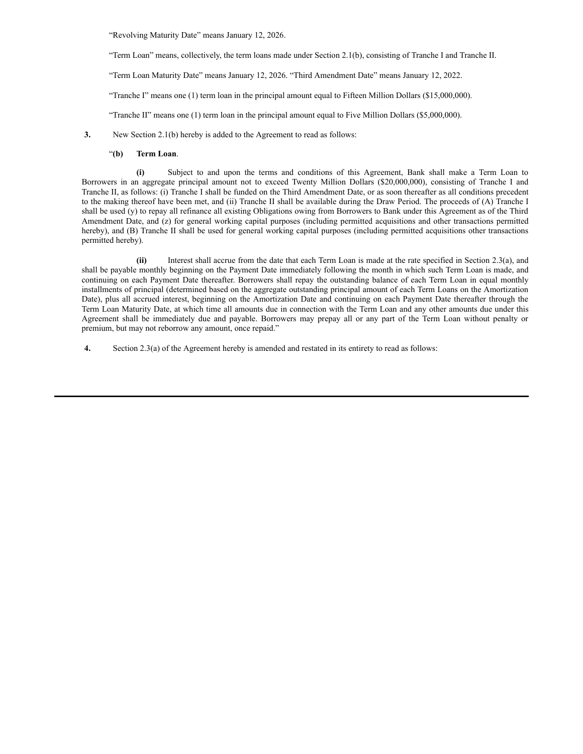"Revolving Maturity Date" means January 12, 2026.

"Term Loan" means, collectively, the term loans made under Section 2.1(b), consisting of Tranche I and Tranche II.

"Term Loan Maturity Date" means January 12, 2026. "Third Amendment Date" means January 12, 2022.

"Tranche I" means one (1) term loan in the principal amount equal to Fifteen Million Dollars (\$15,000,000).

"Tranche II" means one (1) term loan in the principal amount equal to Five Million Dollars (\$5,000,000).

**3.** New Section 2.1(b) hereby is added to the Agreement to read as follows:

## "**(b) Term Loan**.

**(i)** Subject to and upon the terms and conditions of this Agreement, Bank shall make a Term Loan to Borrowers in an aggregate principal amount not to exceed Twenty Million Dollars (\$20,000,000), consisting of Tranche I and Tranche II, as follows: (i) Tranche I shall be funded on the Third Amendment Date, or as soon thereafter as all conditions precedent to the making thereof have been met, and (ii) Tranche II shall be available during the Draw Period. The proceeds of (A) Tranche I shall be used (y) to repay all refinance all existing Obligations owing from Borrowers to Bank under this Agreement as of the Third Amendment Date, and (z) for general working capital purposes (including permitted acquisitions and other transactions permitted hereby), and (B) Tranche II shall be used for general working capital purposes (including permitted acquisitions other transactions permitted hereby).

**(ii)** Interest shall accrue from the date that each Term Loan is made at the rate specified in Section 2.3(a), and shall be payable monthly beginning on the Payment Date immediately following the month in which such Term Loan is made, and continuing on each Payment Date thereafter. Borrowers shall repay the outstanding balance of each Term Loan in equal monthly installments of principal (determined based on the aggregate outstanding principal amount of each Term Loans on the Amortization Date), plus all accrued interest, beginning on the Amortization Date and continuing on each Payment Date thereafter through the Term Loan Maturity Date, at which time all amounts due in connection with the Term Loan and any other amounts due under this Agreement shall be immediately due and payable. Borrowers may prepay all or any part of the Term Loan without penalty or premium, but may not reborrow any amount, once repaid."

**4.** Section 2.3(a) of the Agreement hereby is amended and restated in its entirety to read as follows: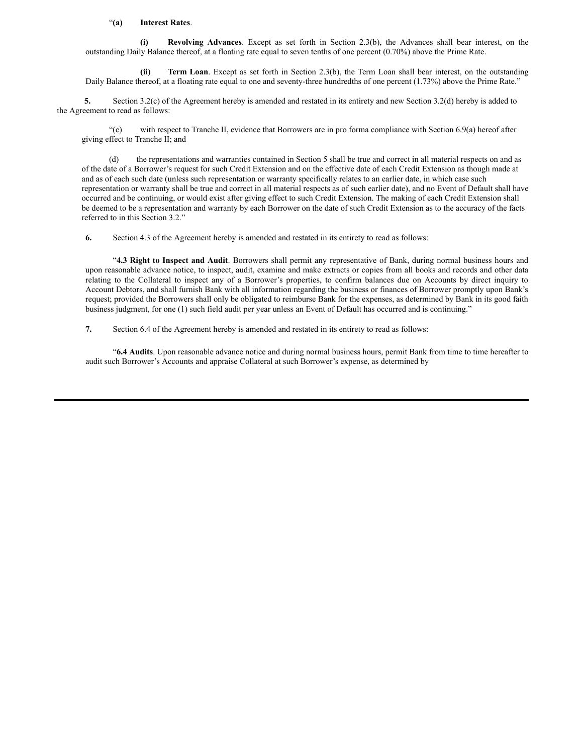# "**(a) Interest Rates**.

**(i) Revolving Advances**. Except as set forth in Section 2.3(b), the Advances shall bear interest, on the outstanding Daily Balance thereof, at a floating rate equal to seven tenths of one percent (0.70%) above the Prime Rate.

**(ii) Term Loan**. Except as set forth in Section 2.3(b), the Term Loan shall bear interest, on the outstanding Daily Balance thereof, at a floating rate equal to one and seventy-three hundredths of one percent (1.73%) above the Prime Rate."

**5.** Section 3.2(c) of the Agreement hereby is amended and restated in its entirety and new Section 3.2(d) hereby is added to the Agreement to read as follows:

"(c) with respect to Tranche II, evidence that Borrowers are in pro forma compliance with Section 6.9(a) hereof after giving effect to Tranche II; and

(d) the representations and warranties contained in Section 5 shall be true and correct in all material respects on and as of the date of a Borrower's request for such Credit Extension and on the effective date of each Credit Extension as though made at and as of each such date (unless such representation or warranty specifically relates to an earlier date, in which case such representation or warranty shall be true and correct in all material respects as of such earlier date), and no Event of Default shall have occurred and be continuing, or would exist after giving effect to such Credit Extension. The making of each Credit Extension shall be deemed to be a representation and warranty by each Borrower on the date of such Credit Extension as to the accuracy of the facts referred to in this Section 3.2."

**6.** Section 4.3 of the Agreement hereby is amended and restated in its entirety to read as follows:

"**4.3 Right to Inspect and Audit**. Borrowers shall permit any representative of Bank, during normal business hours and upon reasonable advance notice, to inspect, audit, examine and make extracts or copies from all books and records and other data relating to the Collateral to inspect any of a Borrower's properties, to confirm balances due on Accounts by direct inquiry to Account Debtors, and shall furnish Bank with all information regarding the business or finances of Borrower promptly upon Bank's request; provided the Borrowers shall only be obligated to reimburse Bank for the expenses, as determined by Bank in its good faith business judgment, for one (1) such field audit per year unless an Event of Default has occurred and is continuing."

**7.** Section 6.4 of the Agreement hereby is amended and restated in its entirety to read as follows:

"**6.4 Audits**. Upon reasonable advance notice and during normal business hours, permit Bank from time to time hereafter to audit such Borrower's Accounts and appraise Collateral at such Borrower's expense, as determined by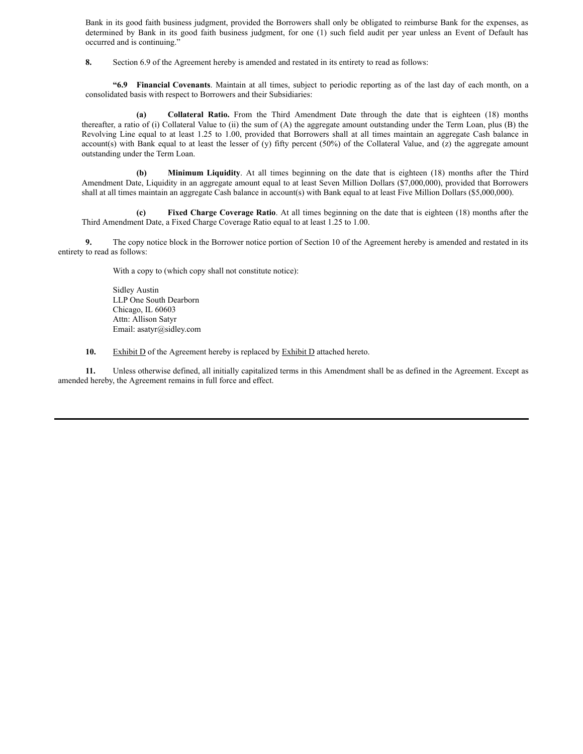Bank in its good faith business judgment, provided the Borrowers shall only be obligated to reimburse Bank for the expenses, as determined by Bank in its good faith business judgment, for one (1) such field audit per year unless an Event of Default has occurred and is continuing."

**8.** Section 6.9 of the Agreement hereby is amended and restated in its entirety to read as follows:

**"6.9 Financial Covenants**. Maintain at all times, subject to periodic reporting as of the last day of each month, on a consolidated basis with respect to Borrowers and their Subsidiaries:

**(a) Collateral Ratio.** From the Third Amendment Date through the date that is eighteen (18) months thereafter, a ratio of (i) Collateral Value to (ii) the sum of (A) the aggregate amount outstanding under the Term Loan, plus (B) the Revolving Line equal to at least 1.25 to 1.00, provided that Borrowers shall at all times maintain an aggregate Cash balance in account(s) with Bank equal to at least the lesser of (y) fifty percent (50%) of the Collateral Value, and (z) the aggregate amount outstanding under the Term Loan.

**(b) Minimum Liquidity**. At all times beginning on the date that is eighteen (18) months after the Third Amendment Date, Liquidity in an aggregate amount equal to at least Seven Million Dollars (\$7,000,000), provided that Borrowers shall at all times maintain an aggregate Cash balance in account(s) with Bank equal to at least Five Million Dollars (\$5,000,000).

**(c) Fixed Charge Coverage Ratio**. At all times beginning on the date that is eighteen (18) months after the Third Amendment Date, a Fixed Charge Coverage Ratio equal to at least 1.25 to 1.00.

**9.** The copy notice block in the Borrower notice portion of Section 10 of the Agreement hereby is amended and restated in its entirety to read as follows:

With a copy to (which copy shall not constitute notice):

Sidley Austin LLP One South Dearborn Chicago, IL 60603 Attn: Allison Satyr Email: asatyr@sidley.com

**10.** Exhibit D of the Agreement hereby is replaced by Exhibit D attached hereto.

**11.** Unless otherwise defined, all initially capitalized terms in this Amendment shall be as defined in the Agreement. Except as amended hereby, the Agreement remains in full force and effect.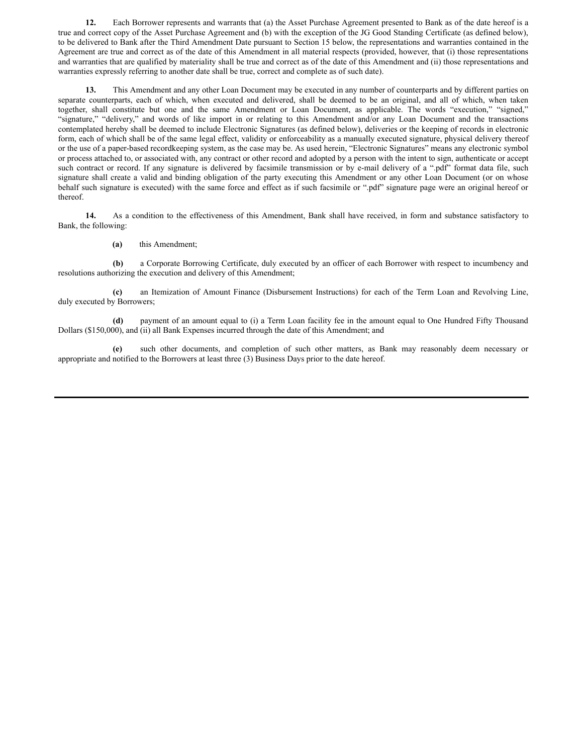**12.** Each Borrower represents and warrants that (a) the Asset Purchase Agreement presented to Bank as of the date hereof is a true and correct copy of the Asset Purchase Agreement and (b) with the exception of the JG Good Standing Certificate (as defined below), to be delivered to Bank after the Third Amendment Date pursuant to Section 15 below, the representations and warranties contained in the Agreement are true and correct as of the date of this Amendment in all material respects (provided, however, that (i) those representations and warranties that are qualified by materiality shall be true and correct as of the date of this Amendment and (ii) those representations and warranties expressly referring to another date shall be true, correct and complete as of such date).

**13.** This Amendment and any other Loan Document may be executed in any number of counterparts and by different parties on separate counterparts, each of which, when executed and delivered, shall be deemed to be an original, and all of which, when taken together, shall constitute but one and the same Amendment or Loan Document, as applicable. The words "execution," "signed," "signature," "delivery," and words of like import in or relating to this Amendment and/or any Loan Document and the transactions contemplated hereby shall be deemed to include Electronic Signatures (as defined below), deliveries or the keeping of records in electronic form, each of which shall be of the same legal effect, validity or enforceability as a manually executed signature, physical delivery thereof or the use of a paper-based recordkeeping system, as the case may be. As used herein, "Electronic Signatures" means any electronic symbol or process attached to, or associated with, any contract or other record and adopted by a person with the intent to sign, authenticate or accept such contract or record. If any signature is delivered by facsimile transmission or by e-mail delivery of a ".pdf" format data file, such signature shall create a valid and binding obligation of the party executing this Amendment or any other Loan Document (or on whose behalf such signature is executed) with the same force and effect as if such facsimile or ".pdf" signature page were an original hereof or thereof.

**14.** As a condition to the effectiveness of this Amendment, Bank shall have received, in form and substance satisfactory to Bank, the following:

**(a)** this Amendment;

**(b)** a Corporate Borrowing Certificate, duly executed by an officer of each Borrower with respect to incumbency and resolutions authorizing the execution and delivery of this Amendment;

**(c)** an Itemization of Amount Finance (Disbursement Instructions) for each of the Term Loan and Revolving Line, duly executed by Borrowers;

**(d)** payment of an amount equal to (i) a Term Loan facility fee in the amount equal to One Hundred Fifty Thousand Dollars (\$150,000), and (ii) all Bank Expenses incurred through the date of this Amendment; and

**(e)** such other documents, and completion of such other matters, as Bank may reasonably deem necessary or appropriate and notified to the Borrowers at least three (3) Business Days prior to the date hereof.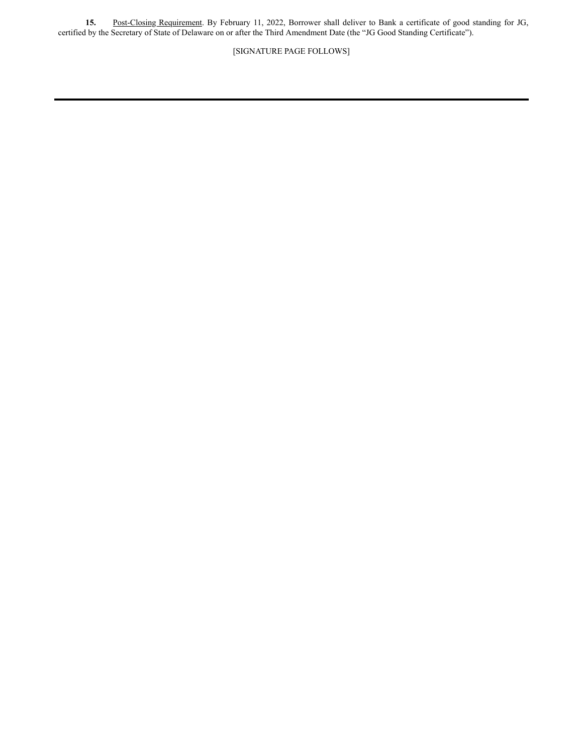**15.** Post-Closing Requirement. By February 11, 2022, Borrower shall deliver to Bank a certificate of good standing for JG, certified by the Secretary of State of Delaware on or after the Third Amendment Date (the "JG Good Standing Certificate").

[SIGNATURE PAGE FOLLOWS]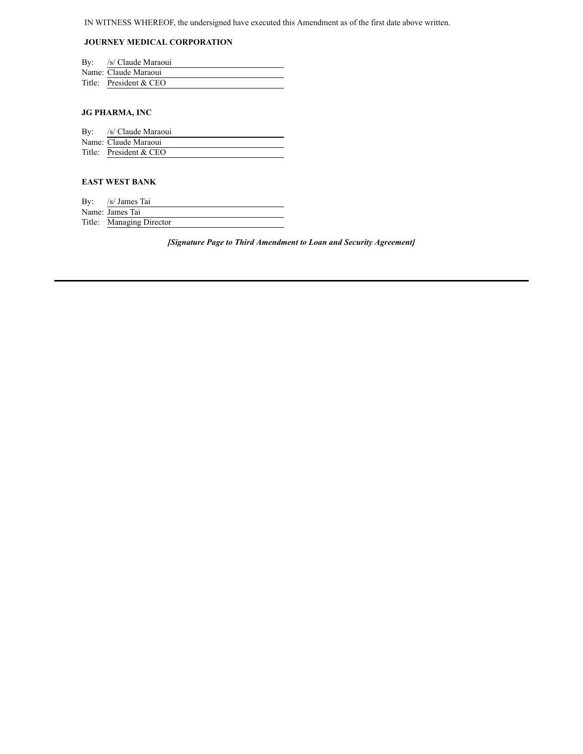IN WITNESS WHEREOF, the undersigned have executed this Amendment as of the first date above written.

# **JOURNEY MEDICAL CORPORATION**

| By: | /s/ Claude Maraoui     |
|-----|------------------------|
|     | Name: Claude Maraoui   |
|     | Title: President & CEO |

# **JG PHARMA, INC**

| By: | /s/ Claude Maraoui     |
|-----|------------------------|
|     | Name: Claude Maraoui   |
|     | Title: President & CEO |

# **EAST WEST BANK**

| By: | /s/ James Tai            |
|-----|--------------------------|
|     | Name: James Tai          |
|     | Title: Managing Director |

*[Signature Page to Third Amendment to Loan and Security Agreement]*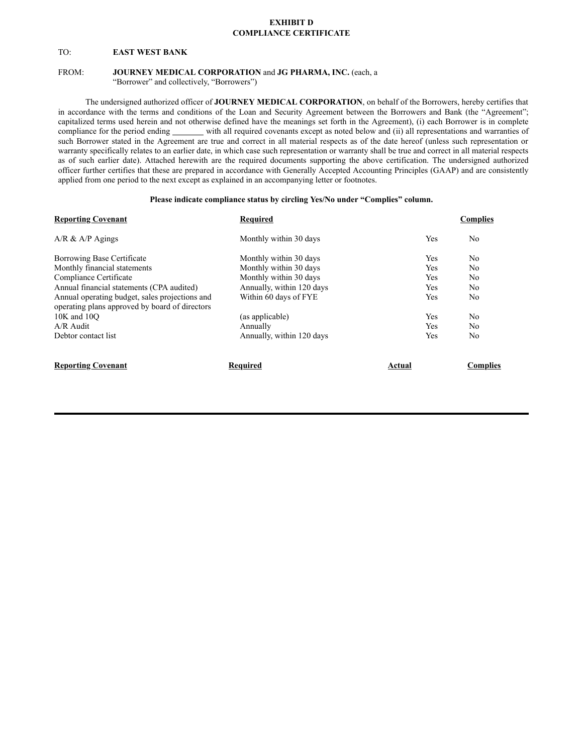# **EXHIBIT D COMPLIANCE CERTIFICATE**

# TO: **EAST WEST BANK**

# FROM: **JOURNEY MEDICAL CORPORATION** and **JG PHARMA, INC.** (each, a

"Borrower" and collectively, "Borrowers")

The undersigned authorized officer of **JOURNEY MEDICAL CORPORATION**, on behalf of the Borrowers, hereby certifies that in accordance with the terms and conditions of the Loan and Security Agreement between the Borrowers and Bank (the "Agreement"; capitalized terms used herein and not otherwise defined have the meanings set forth in the Agreement), (i) each Borrower is in complete compliance for the period ending with all required covenants except as noted below and (ii) all representations and warranties of such Borrower stated in the Agreement are true and correct in all material respects as of the date hereof (unless such representation or warranty specifically relates to an earlier date, in which case such representation or warranty shall be true and correct in all material respects as of such earlier date). Attached herewith are the required documents supporting the above certification. The undersigned authorized officer further certifies that these are prepared in accordance with Generally Accepted Accounting Principles (GAAP) and are consistently applied from one period to the next except as explained in an accompanying letter or footnotes.

# **Please indicate compliance status by circling Yes/No under "Complies" column.**

| <b>Reporting Covenant</b>                      | <b>Required</b>           |        | <b>Complies</b> |
|------------------------------------------------|---------------------------|--------|-----------------|
| $A/R \& A/P$ Agings                            | Monthly within 30 days    | Yes    | N <sub>0</sub>  |
| Borrowing Base Certificate                     | Monthly within 30 days    | Yes    | N <sub>0</sub>  |
| Monthly financial statements                   | Monthly within 30 days    | Yes    | N <sub>0</sub>  |
| Compliance Certificate                         | Monthly within 30 days    | Yes    | N <sub>0</sub>  |
| Annual financial statements (CPA audited)      | Annually, within 120 days | Yes    | N <sub>0</sub>  |
| Annual operating budget, sales projections and | Within 60 days of FYE     | Yes    | N <sub>0</sub>  |
| operating plans approved by board of directors |                           |        |                 |
| 10K and 10O                                    | (as applicable)           | Yes    | N <sub>0</sub>  |
| $A/R$ Audit                                    | Annually                  | Yes    | N <sub>0</sub>  |
| Debtor contact list                            | Annually, within 120 days | Yes    | N <sub>0</sub>  |
| <b>Reporting Covenant</b>                      | <b>Required</b>           | Actual | <b>Complies</b> |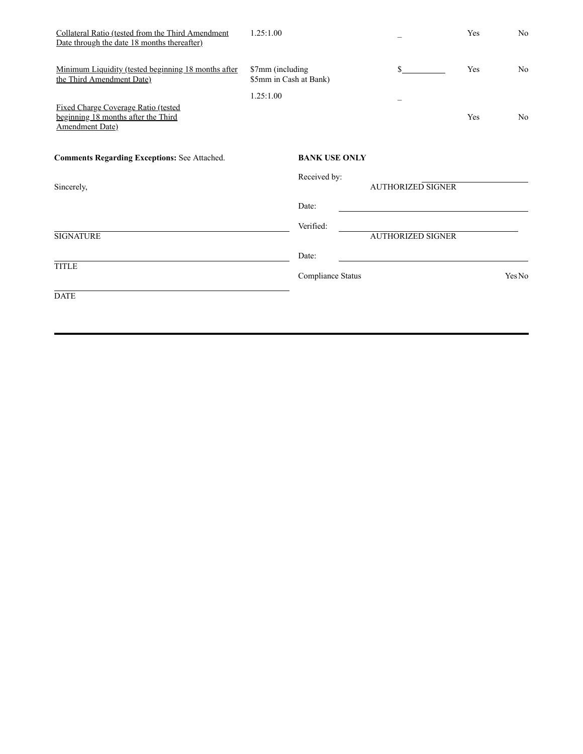| Collateral Ratio (tested from the Third Amendment<br>Date through the date 18 months thereafter)     | 1.25:1.00                                  |                          | Yes | N <sub>o</sub> |
|------------------------------------------------------------------------------------------------------|--------------------------------------------|--------------------------|-----|----------------|
| Minimum Liquidity (tested beginning 18 months after<br>the Third Amendment Date)                     | \$7mm (including<br>\$5mm in Cash at Bank) | S                        | Yes | N <sub>o</sub> |
| Fixed Charge Coverage Ratio (tested<br>beginning 18 months after the Third<br><b>Amendment Date)</b> | 1.25:1.00                                  |                          | Yes | No             |
| <b>Comments Regarding Exceptions: See Attached.</b>                                                  | <b>BANK USE ONLY</b>                       |                          |     |                |
| Sincerely,                                                                                           | Received by:                               | <b>AUTHORIZED SIGNER</b> |     |                |
|                                                                                                      | Date:                                      |                          |     |                |
|                                                                                                      | Verified:                                  |                          |     |                |
| <b>SIGNATURE</b>                                                                                     |                                            | <b>AUTHORIZED SIGNER</b> |     |                |
| <b>TITLE</b>                                                                                         | Date:                                      |                          |     |                |
|                                                                                                      | Compliance Status                          |                          |     | Yes No         |
| <b>DATE</b>                                                                                          |                                            |                          |     |                |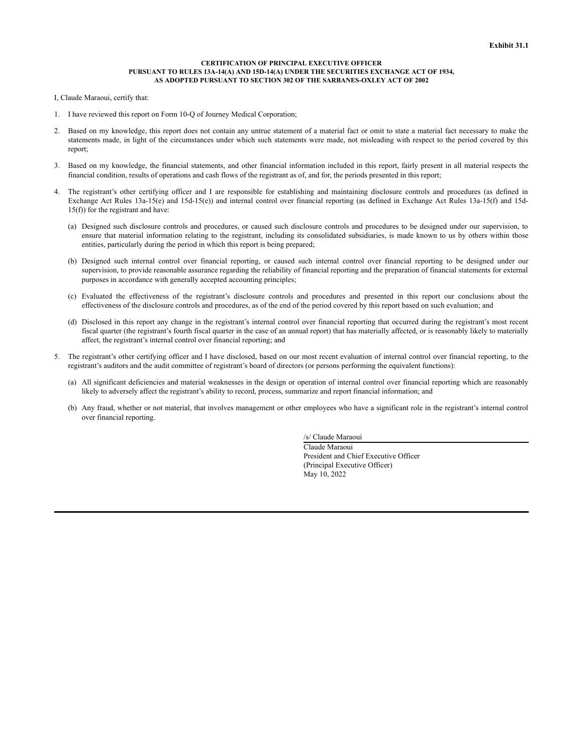#### **CERTIFICATION OF PRINCIPAL EXECUTIVE OFFICER PURSUANT TO RULES 13A-14(A) AND 15D-14(A) UNDER THE SECURITIES EXCHANGE ACT OF 1934, AS ADOPTED PURSUANT TO SECTION 302 OF THE SARBANES-OXLEY ACT OF 2002**

I, Claude Maraoui, certify that:

- 1. I have reviewed this report on Form 10-Q of Journey Medical Corporation;
- 2. Based on my knowledge, this report does not contain any untrue statement of a material fact or omit to state a material fact necessary to make the statements made, in light of the circumstances under which such statements were made, not misleading with respect to the period covered by this report;
- 3. Based on my knowledge, the financial statements, and other financial information included in this report, fairly present in all material respects the financial condition, results of operations and cash flows of the registrant as of, and for, the periods presented in this report;
- 4. The registrant's other certifying officer and I are responsible for establishing and maintaining disclosure controls and procedures (as defined in Exchange Act Rules 13a-15(e) and 15d-15(e)) and internal control over financial reporting (as defined in Exchange Act Rules 13a-15(f) and 15d-15(f)) for the registrant and have:
	- (a) Designed such disclosure controls and procedures, or caused such disclosure controls and procedures to be designed under our supervision, to ensure that material information relating to the registrant, including its consolidated subsidiaries, is made known to us by others within those entities, particularly during the period in which this report is being prepared;
	- (b) Designed such internal control over financial reporting, or caused such internal control over financial reporting to be designed under our supervision, to provide reasonable assurance regarding the reliability of financial reporting and the preparation of financial statements for external purposes in accordance with generally accepted accounting principles;
	- (c) Evaluated the effectiveness of the registrant's disclosure controls and procedures and presented in this report our conclusions about the effectiveness of the disclosure controls and procedures, as of the end of the period covered by this report based on such evaluation; and
	- (d) Disclosed in this report any change in the registrant's internal control over financial reporting that occurred during the registrant's most recent fiscal quarter (the registrant's fourth fiscal quarter in the case of an annual report) that has materially affected, or is reasonably likely to materially affect, the registrant's internal control over financial reporting; and
- 5. The registrant's other certifying officer and I have disclosed, based on our most recent evaluation of internal control over financial reporting, to the registrant's auditors and the audit committee of registrant's board of directors (or persons performing the equivalent functions):
	- (a) All significant deficiencies and material weaknesses in the design or operation of internal control over financial reporting which are reasonably likely to adversely affect the registrant's ability to record, process, summarize and report financial information; and
	- (b) Any fraud, whether or not material, that involves management or other employees who have a significant role in the registrant's internal control over financial reporting.

/s/ Claude Maraoui Claude Maraoui President and Chief Executive Officer

(Principal Executive Officer) May 10, 2022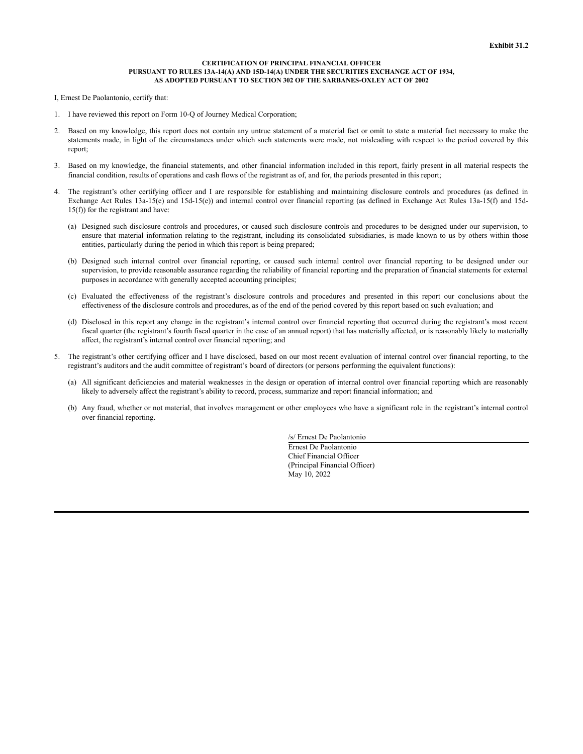#### **CERTIFICATION OF PRINCIPAL FINANCIAL OFFICER PURSUANT TO RULES 13A-14(A) AND 15D-14(A) UNDER THE SECURITIES EXCHANGE ACT OF 1934, AS ADOPTED PURSUANT TO SECTION 302 OF THE SARBANES-OXLEY ACT OF 2002**

I, Ernest De Paolantonio, certify that:

- 1. I have reviewed this report on Form 10-Q of Journey Medical Corporation;
- 2. Based on my knowledge, this report does not contain any untrue statement of a material fact or omit to state a material fact necessary to make the statements made, in light of the circumstances under which such statements were made, not misleading with respect to the period covered by this report;
- 3. Based on my knowledge, the financial statements, and other financial information included in this report, fairly present in all material respects the financial condition, results of operations and cash flows of the registrant as of, and for, the periods presented in this report;
- 4. The registrant's other certifying officer and I are responsible for establishing and maintaining disclosure controls and procedures (as defined in Exchange Act Rules 13a-15(e) and 15d-15(e)) and internal control over financial reporting (as defined in Exchange Act Rules 13a-15(f) and 15d-15(f)) for the registrant and have:
	- (a) Designed such disclosure controls and procedures, or caused such disclosure controls and procedures to be designed under our supervision, to ensure that material information relating to the registrant, including its consolidated subsidiaries, is made known to us by others within those entities, particularly during the period in which this report is being prepared;
	- (b) Designed such internal control over financial reporting, or caused such internal control over financial reporting to be designed under our supervision, to provide reasonable assurance regarding the reliability of financial reporting and the preparation of financial statements for external purposes in accordance with generally accepted accounting principles;
	- (c) Evaluated the effectiveness of the registrant's disclosure controls and procedures and presented in this report our conclusions about the effectiveness of the disclosure controls and procedures, as of the end of the period covered by this report based on such evaluation; and
	- (d) Disclosed in this report any change in the registrant's internal control over financial reporting that occurred during the registrant's most recent fiscal quarter (the registrant's fourth fiscal quarter in the case of an annual report) that has materially affected, or is reasonably likely to materially affect, the registrant's internal control over financial reporting; and
- 5. The registrant's other certifying officer and I have disclosed, based on our most recent evaluation of internal control over financial reporting, to the registrant's auditors and the audit committee of registrant's board of directors (or persons performing the equivalent functions):
	- (a) All significant deficiencies and material weaknesses in the design or operation of internal control over financial reporting which are reasonably likely to adversely affect the registrant's ability to record, process, summarize and report financial information; and
	- (b) Any fraud, whether or not material, that involves management or other employees who have a significant role in the registrant's internal control over financial reporting.

/s/ Ernest De Paolantonio Ernest De Paolantonio Chief Financial Officer (Principal Financial Officer) May 10, 2022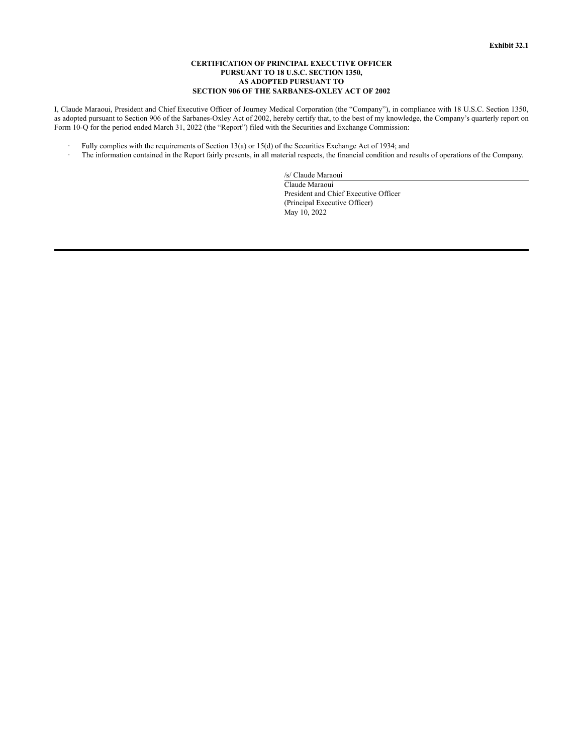# **CERTIFICATION OF PRINCIPAL EXECUTIVE OFFICER PURSUANT TO 18 U.S.C. SECTION 1350, AS ADOPTED PURSUANT TO SECTION 906 OF THE SARBANES-OXLEY ACT OF 2002**

I, Claude Maraoui, President and Chief Executive Officer of Journey Medical Corporation (the "Company"), in compliance with 18 U.S.C. Section 1350, as adopted pursuant to Section 906 of the Sarbanes-Oxley Act of 2002, hereby certify that, to the best of my knowledge, the Company's quarterly report on Form 10-Q for the period ended March 31, 2022 (the "Report") filed with the Securities and Exchange Commission:

- · Fully complies with the requirements of Section 13(a) or 15(d) of the Securities Exchange Act of 1934; and
- · The information contained in the Report fairly presents, in all material respects, the financial condition and results of operations of the Company.

/s/ Claude Maraoui Claude Maraoui President and Chief Executive Officer (Principal Executive Officer) May 10, 2022